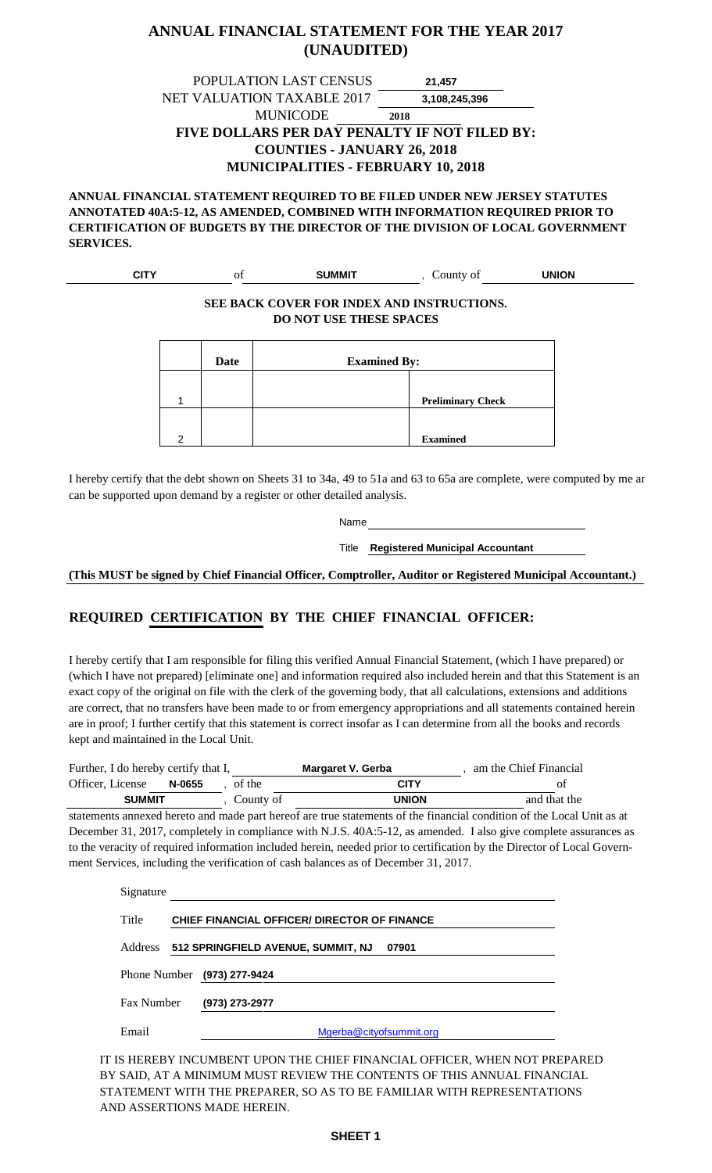#### **ANNUAL FINANCIAL STATEMENT FOR THE YEAR 2017 (UNAUDITED)**

POPULATION LAST CENSUS NET VALUATION TAXABLE 2017 MUNICODE **FIVE DOLLARS PER DAY PENALTY IF NOT FILED BY: COUNTIES - JANUARY 26, 2018 MUNICIPALITIES - FEBRUARY 10, 2018 21,457 3,108,245,396 2018**

**ANNUAL FINANCIAL STATEMENT REQUIRED TO BE FILED UNDER NEW JERSEY STATUTES ANNOTATED 40A:5-12, AS AMENDED, COMBINED WITH INFORMATION REQUIRED PRIOR TO CERTIFICATION OF BUDGETS BY THE DIRECTOR OF THE DIVISION OF LOCAL GOVERNMENT SERVICES.**

| עדור<br>. ا اب | Οİ<br>__ | <b>SUMMIT</b> | Jounty of<br>__ | UNION<br>_____ |  |
|----------------|----------|---------------|-----------------|----------------|--|
|                |          |               |                 |                |  |

#### **SEE BACK COVER FOR INDEX AND INSTRUCTIONS. DO NOT USE THESE SPACES**

|   | Date | <b>Examined By:</b> |                          |
|---|------|---------------------|--------------------------|
|   |      |                     |                          |
|   |      |                     | <b>Preliminary Check</b> |
| ົ |      |                     | <b>Examined</b>          |

I hereby certify that the debt shown on Sheets 31 to 34a, 49 to 51a and 63 to 65a are complete, were computed by me ar can be supported upon demand by a register or other detailed analysis.

Name

Title **Registered Municipal Accountant**

**(This MUST be signed by Chief Financial Officer, Comptroller, Auditor or Registered Municipal Accountant.)**

#### **REQUIRED CERTIFICATION BY THE CHIEF FINANCIAL OFFICER:**

I hereby certify that I am responsible for filing this verified Annual Financial Statement, (which I have prepared) or (which I have not prepared) [eliminate one] and information required also included herein and that this Statement is an exact copy of the original on file with the clerk of the governing body, that all calculations, extensions and additions are correct, that no transfers have been made to or from emergency appropriations and all statements contained herein are in proof; I further certify that this statement is correct insofar as I can determine from all the books and records kept and maintained in the Local Unit.

| Further, I do hereby certify that I, |        |           | Margaret V. Gerba | am the Chief Financial |
|--------------------------------------|--------|-----------|-------------------|------------------------|
| Officer, License                     | N-0655 | of the    | <b>CITY</b>       | Ωt                     |
| <b>SUMMIT</b>                        |        | County of | <b>UNION</b>      | and that the           |

statements annexed hereto and made part hereof are true statements of the financial condition of the Local Unit as at December 31, 2017, completely in compliance with N.J.S. 40A:5-12, as amended. I also give complete assurances as to the veracity of required information included herein, needed prior to certification by the Director of Local Government Services, including the verification of cash balances as of December 31, 2017.

| Signature  |                                                     |  |
|------------|-----------------------------------------------------|--|
| Title      | <b>CHIEF FINANCIAL OFFICER/ DIRECTOR OF FINANCE</b> |  |
|            | Address 512 SPRINGFIELD AVENUE, SUMMIT, NJ<br>07901 |  |
|            | Phone Number (973) 277-9424                         |  |
| Fax Number | (973) 273-2977                                      |  |
| Email      | Mgerba@cityofsummit.org                             |  |

IT IS HEREBY INCUMBENT UPON THE CHIEF FINANCIAL OFFICER, WHEN NOT PREPARED BY SAID, AT A MINIMUM MUST REVIEW THE CONTENTS OF THIS ANNUAL FINANCIAL STATEMENT WITH THE PREPARER, SO AS TO BE FAMILIAR WITH REPRESENTATIONS AND ASSERTIONS MADE HEREIN.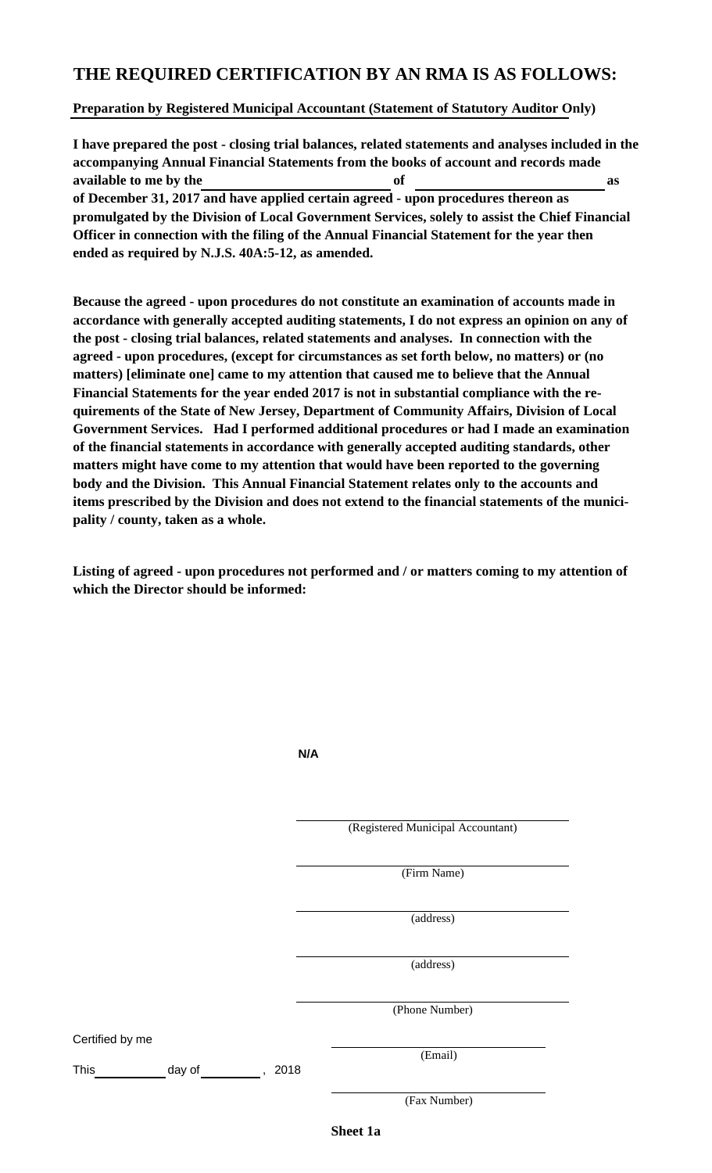#### **THE REQUIRED CERTIFICATION BY AN RMA IS AS FOLLOWS:**

#### **Preparation by Registered Municipal Accountant (Statement of Statutory Auditor Only)**

**I have prepared the post - closing trial balances, related statements and analyses included in the accompanying Annual Financial Statements from the books of account and records made available to me by the of as of December 31, 2017 and have applied certain agreed - upon procedures thereon as promulgated by the Division of Local Government Services, solely to assist the Chief Financial Officer in connection with the filing of the Annual Financial Statement for the year then ended as required by N.J.S. 40A:5-12, as amended.**

**Because the agreed - upon procedures do not constitute an examination of accounts made in accordance with generally accepted auditing statements, I do not express an opinion on any of the post - closing trial balances, related statements and analyses. In connection with the agreed - upon procedures, (except for circumstances as set forth below, no matters) or (no matters) [eliminate one] came to my attention that caused me to believe that the Annual Financial Statements for the year ended 2017 is not in substantial compliance with the requirements of the State of New Jersey, Department of Community Affairs, Division of Local Government Services. Had I performed additional procedures or had I made an examination of the financial statements in accordance with generally accepted auditing standards, other matters might have come to my attention that would have been reported to the governing body and the Division. This Annual Financial Statement relates only to the accounts and items prescribed by the Division and does not extend to the financial statements of the municipality / county, taken as a whole.**

**Listing of agreed - upon procedures not performed and / or matters coming to my attention of which the Director should be informed:**

|                 |        | N/A                    |                                   |
|-----------------|--------|------------------------|-----------------------------------|
|                 |        |                        | (Registered Municipal Accountant) |
|                 |        |                        | (Firm Name)                       |
|                 |        |                        | (address)                         |
|                 |        |                        | (address)                         |
|                 |        |                        | (Phone Number)                    |
| Certified by me |        |                        |                                   |
| This            | day of | 2018<br>$\overline{ }$ | (Email)                           |
|                 |        |                        | (Fax Number)                      |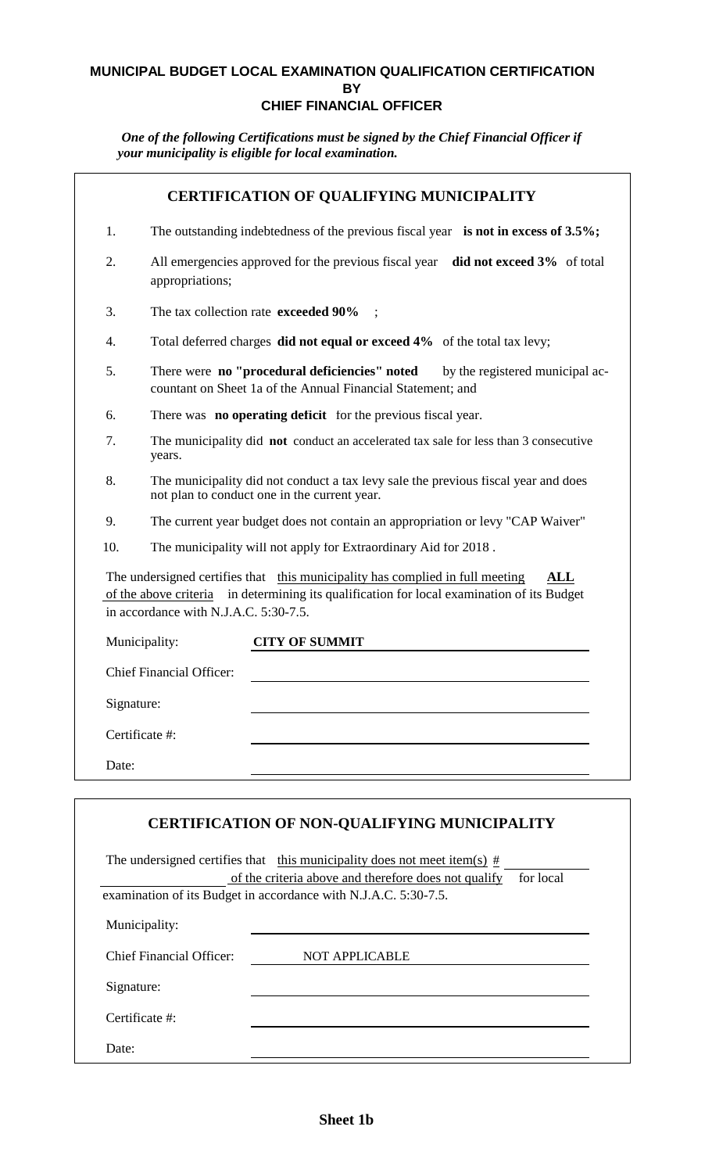#### **MUNICIPAL BUDGET LOCAL EXAMINATION QUALIFICATION CERTIFICATION BY CHIEF FINANCIAL OFFICER**

*One of the following Certifications must be signed by the Chief Financial Officer if your municipality is eligible for local examination.* 

|            | <b>CERTIFICATION OF QUALIFYING MUNICIPALITY</b>                                                                                                                                                                                |
|------------|--------------------------------------------------------------------------------------------------------------------------------------------------------------------------------------------------------------------------------|
| 1.         | The outstanding indebtedness of the previous fiscal year is not in excess of $3.5\%$ ;                                                                                                                                         |
| 2.         | All emergencies approved for the previous fiscal year<br>did not exceed 3% of total<br>appropriations;                                                                                                                         |
| 3.         | The tax collection rate exceeded 90%                                                                                                                                                                                           |
| 4.         | Total deferred charges did not equal or exceed 4% of the total tax levy;                                                                                                                                                       |
| 5.         | There were no "procedural deficiencies" noted<br>by the registered municipal ac-<br>countant on Sheet 1a of the Annual Financial Statement; and                                                                                |
| 6.         | There was <b>no operating deficit</b> for the previous fiscal year.                                                                                                                                                            |
| 7.         | The municipality did not conduct an accelerated tax sale for less than 3 consecutive<br>years.                                                                                                                                 |
| 8.         | The municipality did not conduct a tax levy sale the previous fiscal year and does<br>not plan to conduct one in the current year.                                                                                             |
| 9.         | The current year budget does not contain an appropriation or levy "CAP Waiver"                                                                                                                                                 |
| 10.        | The municipality will not apply for Extraordinary Aid for 2018.                                                                                                                                                                |
|            | The undersigned certifies that this municipality has complied in full meeting<br>ALL<br>of the above criteria<br>in determining its qualification for local examination of its Budget<br>in accordance with N.J.A.C. 5:30-7.5. |
|            | Municipality:<br><b>CITY OF SUMMIT</b>                                                                                                                                                                                         |
|            | <b>Chief Financial Officer:</b>                                                                                                                                                                                                |
| Signature: |                                                                                                                                                                                                                                |
|            | Certificate #:                                                                                                                                                                                                                 |
| Date:      |                                                                                                                                                                                                                                |
|            |                                                                                                                                                                                                                                |
|            | <b>CERTIFICATION OF NON-QUALIFYING MUNICIPALITY</b>                                                                                                                                                                            |

|                                                                 | The undersigned certifies that this municipality does not meet item(s) $#$ |           |  |
|-----------------------------------------------------------------|----------------------------------------------------------------------------|-----------|--|
|                                                                 | of the criteria above and therefore does not qualify                       | for local |  |
| examination of its Budget in accordance with N.J.A.C. 5:30-7.5. |                                                                            |           |  |
| Municipality:                                                   |                                                                            |           |  |
| Chief Financial Officer:                                        | <b>NOT APPLICABLE</b>                                                      |           |  |
| Signature:                                                      |                                                                            |           |  |
| Certificate #:                                                  |                                                                            |           |  |
| Date:                                                           |                                                                            |           |  |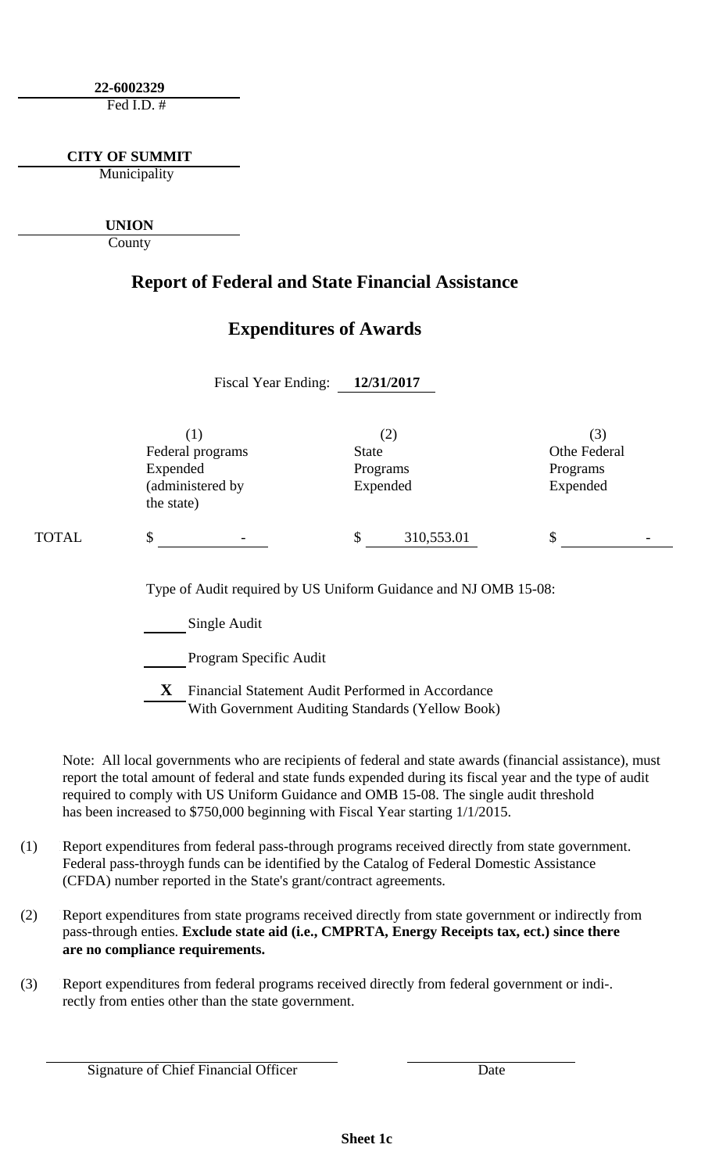**22-6002329**

Fed I.D.  $#$ 

**CITY OF SUMMIT**

Municipality

**UNION**

County

### **Report of Federal and State Financial Assistance**

### **Expenditures of Awards**

|       | <b>Fiscal Year Ending:</b>                                            | 12/31/2017                                  |                                             |
|-------|-----------------------------------------------------------------------|---------------------------------------------|---------------------------------------------|
|       | (1)<br>Federal programs<br>Expended<br>(administered by<br>the state) | (2)<br><b>State</b><br>Programs<br>Expended | (3)<br>Othe Federal<br>Programs<br>Expended |
| TOTAL | \$                                                                    | \$<br>310,553.01                            | \$                                          |
|       | Type of Audit required by US Uniform Guidance and NJ OMB 15-08:       |                                             |                                             |

Single Audit

Program Specific Audit

**X** Financial Statement Audit Performed in Accordance With Government Auditing Standards (Yellow Book)

Note: All local governments who are recipients of federal and state awards (financial assistance), must report the total amount of federal and state funds expended during its fiscal year and the type of audit required to comply with US Uniform Guidance and OMB 15-08. The single audit threshold has been increased to \$750,000 beginning with Fiscal Year starting 1/1/2015.

- (1) Report expenditures from federal pass-through programs received directly from state government. Federal pass-throygh funds can be identified by the Catalog of Federal Domestic Assistance (CFDA) number reported in the State's grant/contract agreements.
- (2) Report expenditures from state programs received directly from state government or indirectly from pass-through enties. **Exclude state aid (i.e., CMPRTA, Energy Receipts tax, ect.) since there are no compliance requirements.**
- (3) Report expenditures from federal programs received directly from federal government or indi-. rectly from enties other than the state government.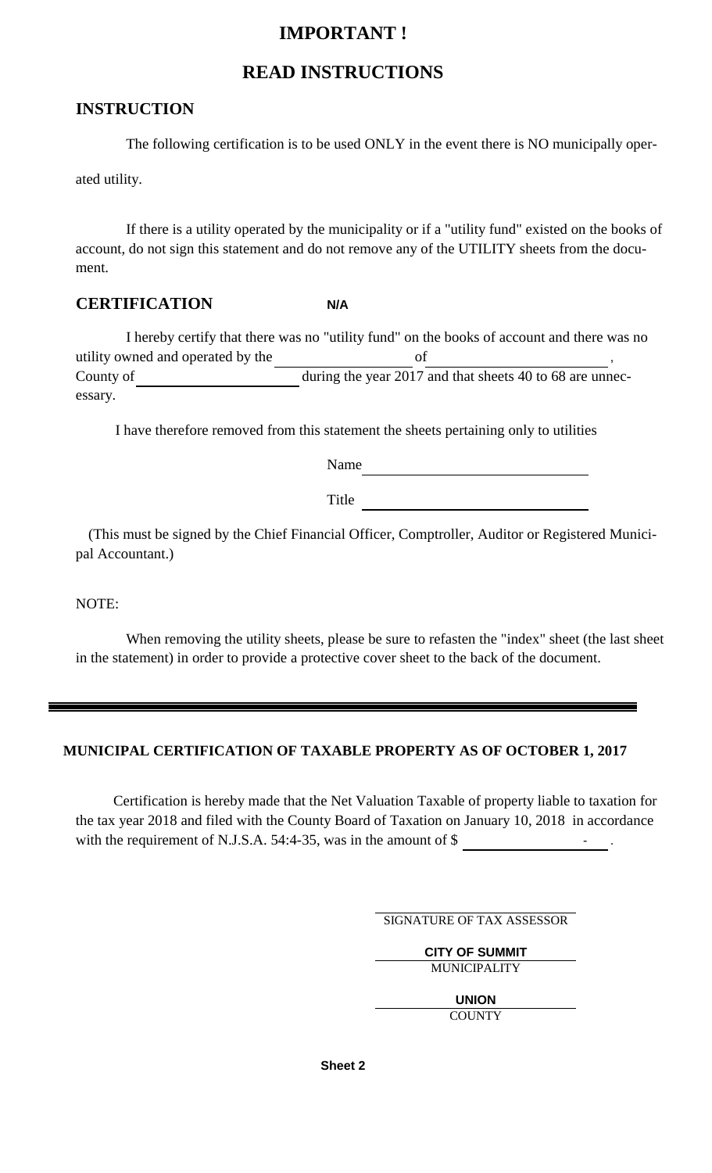### **IMPORTANT !**

#### **READ INSTRUCTIONS**

#### **INSTRUCTION**

The following certification is to be used ONLY in the event there is NO municipally oper-

ated utility.

If there is a utility operated by the municipality or if a "utility fund" existed on the books of account, do not sign this statement and do not remove any of the UTILITY sheets from the document.

#### **CERTIFICATION N/A**

I hereby certify that there was no "utility fund" on the books of account and there was no utility owned and operated by the  $\qquad$  of County of during the year 2017 and that sheets 40 to 68 are unnecessary.

I have therefore removed from this statement the sheets pertaining only to utilities

Name

Title

(This must be signed by the Chief Financial Officer, Comptroller, Auditor or Registered Municipal Accountant.)

NOTE:

When removing the utility sheets, please be sure to refasten the "index" sheet (the last sheet in the statement) in order to provide a protective cover sheet to the back of the document.

#### **MUNICIPAL CERTIFICATION OF TAXABLE PROPERTY AS OF OCTOBER 1, 2017**

Certification is hereby made that the Net Valuation Taxable of property liable to taxation for the tax year 2018 and filed with the County Board of Taxation on January 10, 2018 in accordance with the requirement of N.J.S.A.  $54:4-35$ , was in the amount of \$ .  $\qquad \qquad$ 

SIGNATURE OF TAX ASSESSOR

**CITY OF SUMMIT** MUNICIPALITY

**UNION**

**COUNTY** 

**Sheet 2**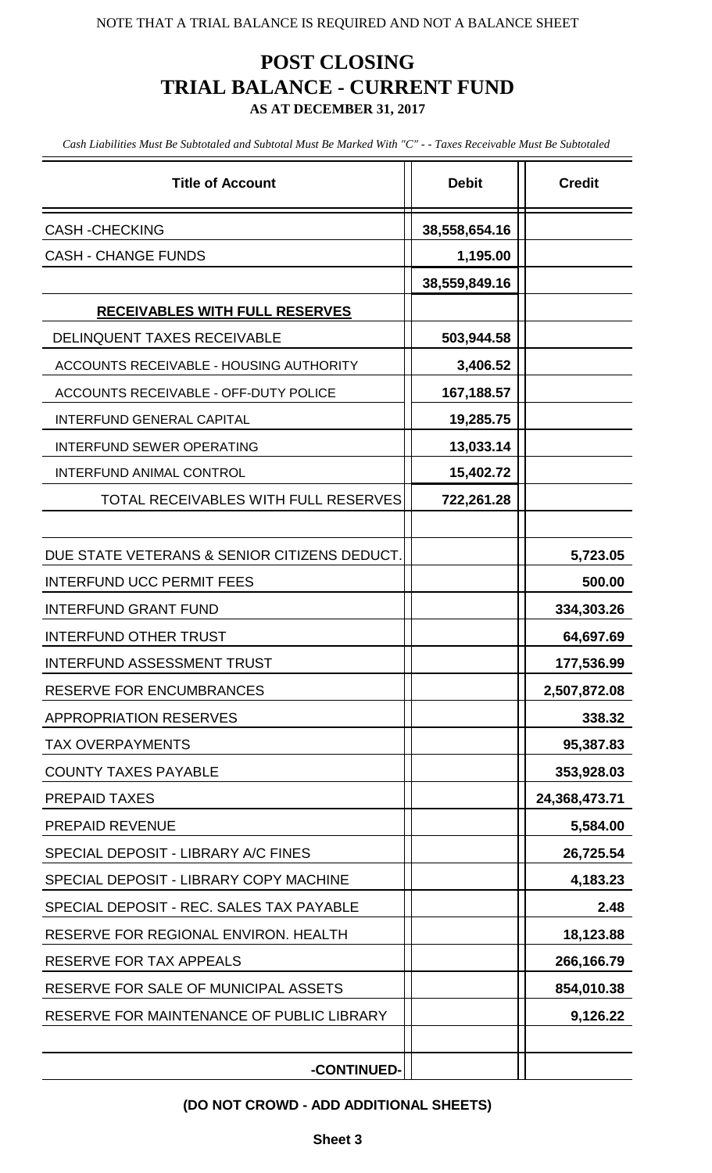### **POST CLOSING TRIAL BALANCE - CURRENT FUND AS AT DECEMBER 31, 2017**

*Cash Liabilities Must Be Subtotaled and Subtotal Must Be Marked With "C" - - Taxes Receivable Must Be Subtotaled*

| <b>Title of Account</b>                      | <b>Debit</b>  | <b>Credit</b> |
|----------------------------------------------|---------------|---------------|
| <b>CASH-CHECKING</b>                         | 38,558,654.16 |               |
| <b>CASH - CHANGE FUNDS</b>                   | 1,195.00      |               |
|                                              | 38,559,849.16 |               |
| <b>RECEIVABLES WITH FULL RESERVES</b>        |               |               |
| <b>DELINQUENT TAXES RECEIVABLE</b>           | 503,944.58    |               |
| ACCOUNTS RECEIVABLE - HOUSING AUTHORITY      | 3,406.52      |               |
| ACCOUNTS RECEIVABLE - OFF-DUTY POLICE        | 167,188.57    |               |
| <b>INTERFUND GENERAL CAPITAL</b>             | 19,285.75     |               |
| <b>INTERFUND SEWER OPERATING</b>             | 13,033.14     |               |
| <b>INTERFUND ANIMAL CONTROL</b>              | 15,402.72     |               |
| TOTAL RECEIVABLES WITH FULL RESERVES         | 722,261.28    |               |
|                                              |               |               |
| DUE STATE VETERANS & SENIOR CITIZENS DEDUCT. |               | 5,723.05      |
| <b>INTERFUND UCC PERMIT FEES</b>             |               | 500.00        |
| <b>INTERFUND GRANT FUND</b>                  |               | 334,303.26    |
| <b>INTERFUND OTHER TRUST</b>                 |               | 64,697.69     |
| <b>INTERFUND ASSESSMENT TRUST</b>            |               | 177,536.99    |
| <b>RESERVE FOR ENCUMBRANCES</b>              |               | 2,507,872.08  |
| <b>APPROPRIATION RESERVES</b>                |               | 338.32        |
| <b>TAX OVERPAYMENTS</b>                      |               | 95,387.83     |
| <b>COUNTY TAXES PAYABLE</b>                  |               | 353,928.03    |
| <b>PREPAID TAXES</b>                         |               | 24,368,473.71 |
| <b>PREPAID REVENUE</b>                       |               | 5,584.00      |
| SPECIAL DEPOSIT - LIBRARY A/C FINES          |               | 26,725.54     |
| SPECIAL DEPOSIT - LIBRARY COPY MACHINE       |               | 4,183.23      |
| SPECIAL DEPOSIT - REC. SALES TAX PAYABLE     |               | 2.48          |
| RESERVE FOR REGIONAL ENVIRON. HEALTH         |               | 18,123.88     |
| RESERVE FOR TAX APPEALS                      |               | 266,166.79    |
| RESERVE FOR SALE OF MUNICIPAL ASSETS         |               | 854,010.38    |
| RESERVE FOR MAINTENANCE OF PUBLIC LIBRARY    |               | 9,126.22      |
| -CONTINUED-                                  |               |               |

#### **(DO NOT CROWD - ADD ADDITIONAL SHEETS)**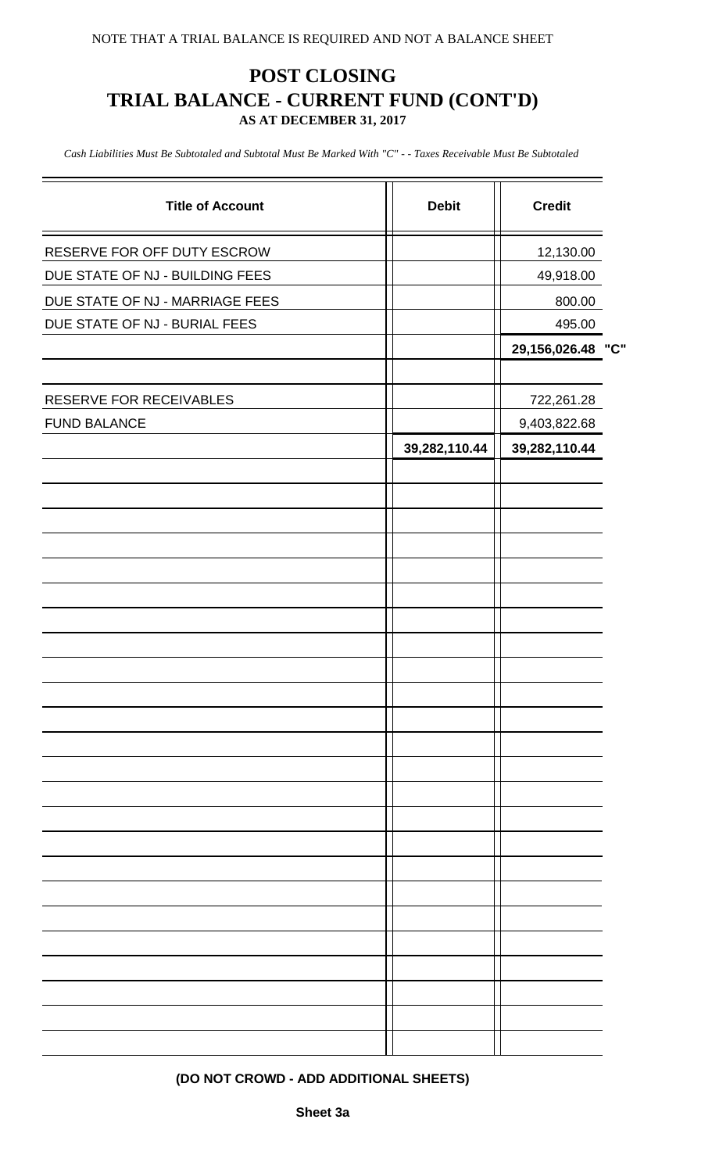### **POST CLOSING TRIAL BALANCE - CURRENT FUND (CONT'D) AS AT DECEMBER 31, 2017**

*Cash Liabilities Must Be Subtotaled and Subtotal Must Be Marked With "C" - - Taxes Receivable Must Be Subtotaled*

| <b>Title of Account</b>         | <b>Debit</b>  | <b>Credit</b> |     |
|---------------------------------|---------------|---------------|-----|
| RESERVE FOR OFF DUTY ESCROW     |               | 12,130.00     |     |
| DUE STATE OF NJ - BUILDING FEES |               | 49,918.00     |     |
| DUE STATE OF NJ - MARRIAGE FEES |               | 800.00        |     |
| DUE STATE OF NJ - BURIAL FEES   |               | 495.00        |     |
|                                 |               | 29,156,026.48 | "C" |
|                                 |               |               |     |
| RESERVE FOR RECEIVABLES         |               | 722,261.28    |     |
| <b>FUND BALANCE</b>             |               | 9,403,822.68  |     |
|                                 | 39,282,110.44 | 39,282,110.44 |     |
|                                 |               |               |     |
|                                 |               |               |     |
|                                 |               |               |     |
|                                 |               |               |     |
|                                 |               |               |     |
|                                 |               |               |     |
|                                 |               |               |     |
|                                 |               |               |     |
|                                 |               |               |     |
|                                 |               |               |     |
|                                 |               |               |     |
|                                 |               |               |     |
|                                 |               |               |     |
|                                 |               |               |     |
|                                 |               |               |     |
|                                 |               |               |     |
|                                 |               |               |     |
|                                 |               |               |     |
|                                 |               |               |     |
|                                 |               |               |     |
|                                 |               |               |     |
|                                 |               |               |     |
|                                 |               |               |     |
|                                 |               |               |     |
|                                 |               |               |     |
|                                 |               |               |     |

**(DO NOT CROWD - ADD ADDITIONAL SHEETS)**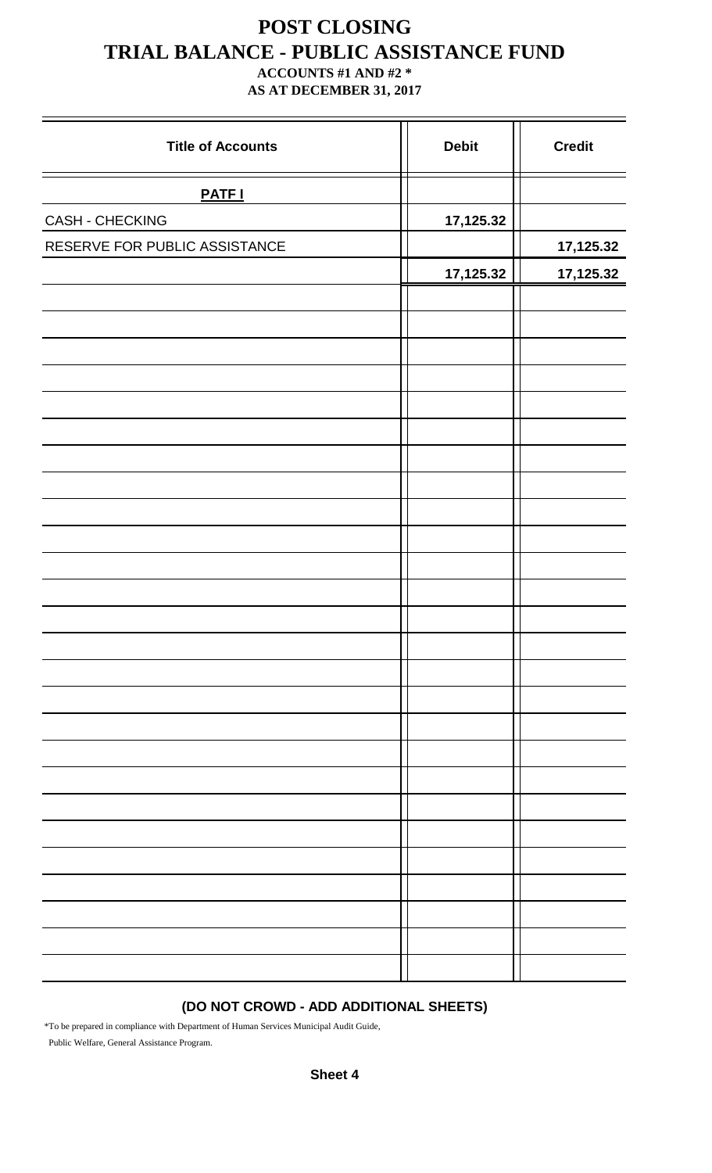## **POST CLOSING TRIAL BALANCE - PUBLIC ASSISTANCE FUND**

#### **ACCOUNTS #1 AND #2 \* AS AT DECEMBER 31, 2017**

| <b>Title of Accounts</b>      | <b>Debit</b> | <b>Credit</b> |
|-------------------------------|--------------|---------------|
| <b>PATF I</b>                 |              |               |
| <b>CASH - CHECKING</b>        | 17,125.32    |               |
| RESERVE FOR PUBLIC ASSISTANCE |              | 17,125.32     |
|                               | 17,125.32    | 17,125.32     |
|                               |              |               |
|                               |              |               |
|                               |              |               |
|                               |              |               |
|                               |              |               |
|                               |              |               |
|                               |              |               |
|                               |              |               |
|                               |              |               |
|                               |              |               |
|                               |              |               |
|                               |              |               |
|                               |              |               |
|                               |              |               |
|                               |              |               |
|                               |              |               |
|                               |              |               |
|                               |              |               |
|                               |              |               |
|                               |              |               |
|                               |              |               |
|                               |              |               |
|                               |              |               |
|                               |              |               |
|                               |              |               |
|                               |              |               |
|                               |              |               |

#### **(DO NOT CROWD - ADD ADDITIONAL SHEETS)**

\*To be prepared in compliance with Department of Human Services Municipal Audit Guide, Public Welfare, General Assistance Program.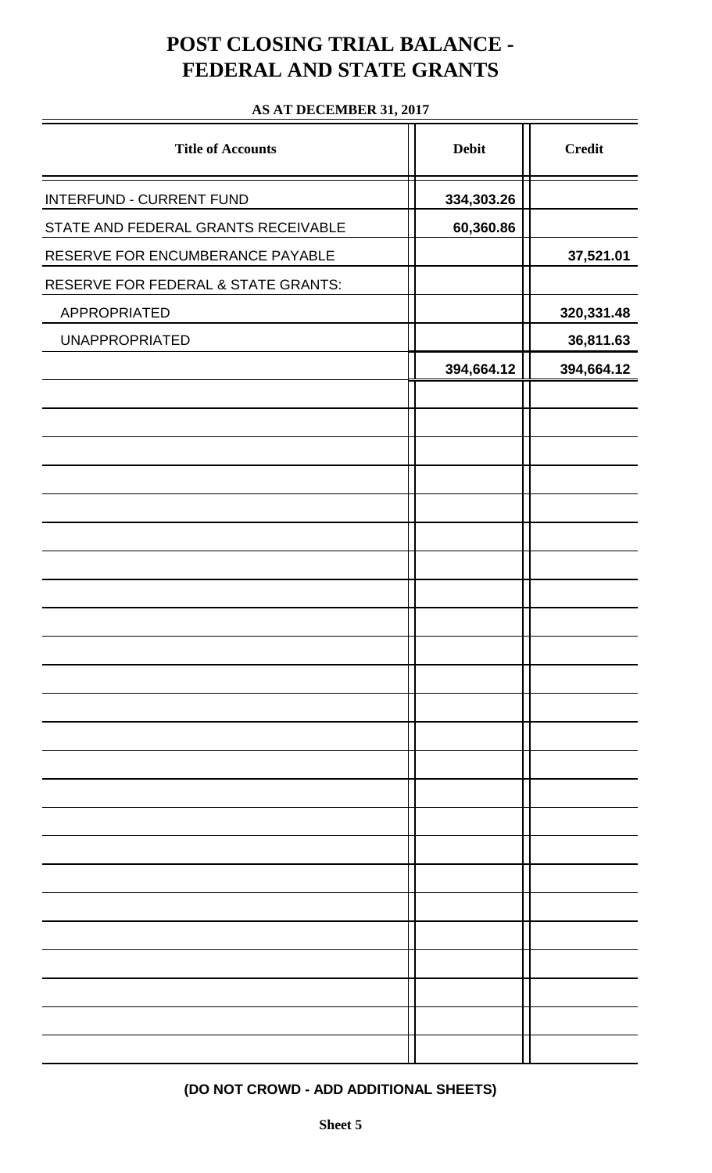## **POST CLOSING TRIAL BALANCE - FEDERAL AND STATE GRANTS**

#### **AS AT DECEMBER 31, 2017**

| <b>Title of Accounts</b>            | <b>Debit</b> | <b>Credit</b> |
|-------------------------------------|--------------|---------------|
| <b>INTERFUND - CURRENT FUND</b>     | 334,303.26   |               |
| STATE AND FEDERAL GRANTS RECEIVABLE | 60,360.86    |               |
| RESERVE FOR ENCUMBERANCE PAYABLE    |              | 37,521.01     |
| RESERVE FOR FEDERAL & STATE GRANTS: |              |               |
| APPROPRIATED                        |              | 320,331.48    |
| <b>UNAPPROPRIATED</b>               |              | 36,811.63     |
|                                     | 394,664.12   | 394,664.12    |
|                                     |              |               |
|                                     |              |               |
|                                     |              |               |
|                                     |              |               |
|                                     |              |               |
|                                     |              |               |
|                                     |              |               |
|                                     |              |               |
|                                     |              |               |
|                                     |              |               |
|                                     |              |               |
|                                     |              |               |
|                                     |              |               |
|                                     |              |               |
|                                     |              |               |
|                                     |              |               |
|                                     |              |               |
|                                     |              |               |
|                                     |              |               |
|                                     |              |               |
|                                     |              |               |
|                                     |              |               |
|                                     |              |               |
|                                     |              |               |

#### **(DO NOT CROWD - ADD ADDITIONAL SHEETS)**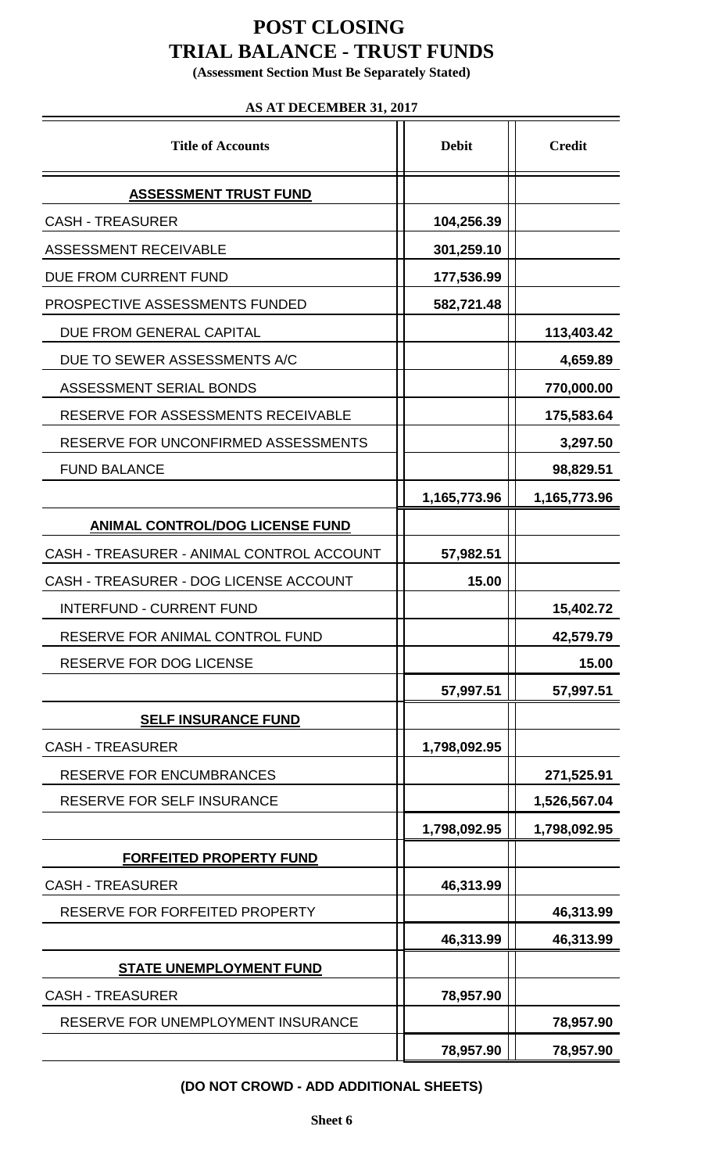## **POST CLOSING TRIAL BALANCE - TRUST FUNDS**

**(Assessment Section Must Be Separately Stated)**

#### **AS AT DECEMBER 31, 2017**

| <b>Title of Accounts</b>                  | <b>Debit</b> | <b>Credit</b> |
|-------------------------------------------|--------------|---------------|
| <b>ASSESSMENT TRUST FUND</b>              |              |               |
| <b>CASH - TREASURER</b>                   | 104,256.39   |               |
| <b>ASSESSMENT RECEIVABLE</b>              | 301,259.10   |               |
| DUE FROM CURRENT FUND                     | 177,536.99   |               |
| PROSPECTIVE ASSESSMENTS FUNDED            | 582,721.48   |               |
| DUE FROM GENERAL CAPITAL                  |              | 113,403.42    |
| DUE TO SEWER ASSESSMENTS A/C              |              | 4,659.89      |
| ASSESSMENT SERIAL BONDS                   |              | 770,000.00    |
| RESERVE FOR ASSESSMENTS RECEIVABLE        |              | 175,583.64    |
| RESERVE FOR UNCONFIRMED ASSESSMENTS       |              | 3,297.50      |
| <b>FUND BALANCE</b>                       |              | 98,829.51     |
|                                           | 1,165,773.96 | 1,165,773.96  |
| <b>ANIMAL CONTROL/DOG LICENSE FUND</b>    |              |               |
| CASH - TREASURER - ANIMAL CONTROL ACCOUNT | 57,982.51    |               |
| CASH - TREASURER - DOG LICENSE ACCOUNT    | 15.00        |               |
| <b>INTERFUND - CURRENT FUND</b>           |              | 15,402.72     |
| RESERVE FOR ANIMAL CONTROL FUND           |              | 42,579.79     |
| <b>RESERVE FOR DOG LICENSE</b>            |              | 15.00         |
|                                           | 57,997.51    | 57,997.51     |
| <b>SELF INSURANCE FUND</b>                |              |               |
| <b>CASH - TREASURER</b>                   | 1,798,092.95 |               |
| <b>RESERVE FOR ENCUMBRANCES</b>           |              | 271,525.91    |
| <b>RESERVE FOR SELF INSURANCE</b>         |              | 1,526,567.04  |
|                                           | 1,798,092.95 | 1,798,092.95  |
| FORFEITED PROPERTY FUND                   |              |               |
| <b>CASH - TREASURER</b>                   | 46,313.99    |               |
| RESERVE FOR FORFEITED PROPERTY            |              | 46,313.99     |
|                                           | 46,313.99    | 46,313.99     |
| <b>STATE UNEMPLOYMENT FUND</b>            |              |               |
| <b>CASH - TREASURER</b>                   | 78,957.90    |               |
| RESERVE FOR UNEMPLOYMENT INSURANCE        |              | 78,957.90     |
|                                           | 78,957.90    | 78,957.90     |

**(DO NOT CROWD - ADD ADDITIONAL SHEETS)**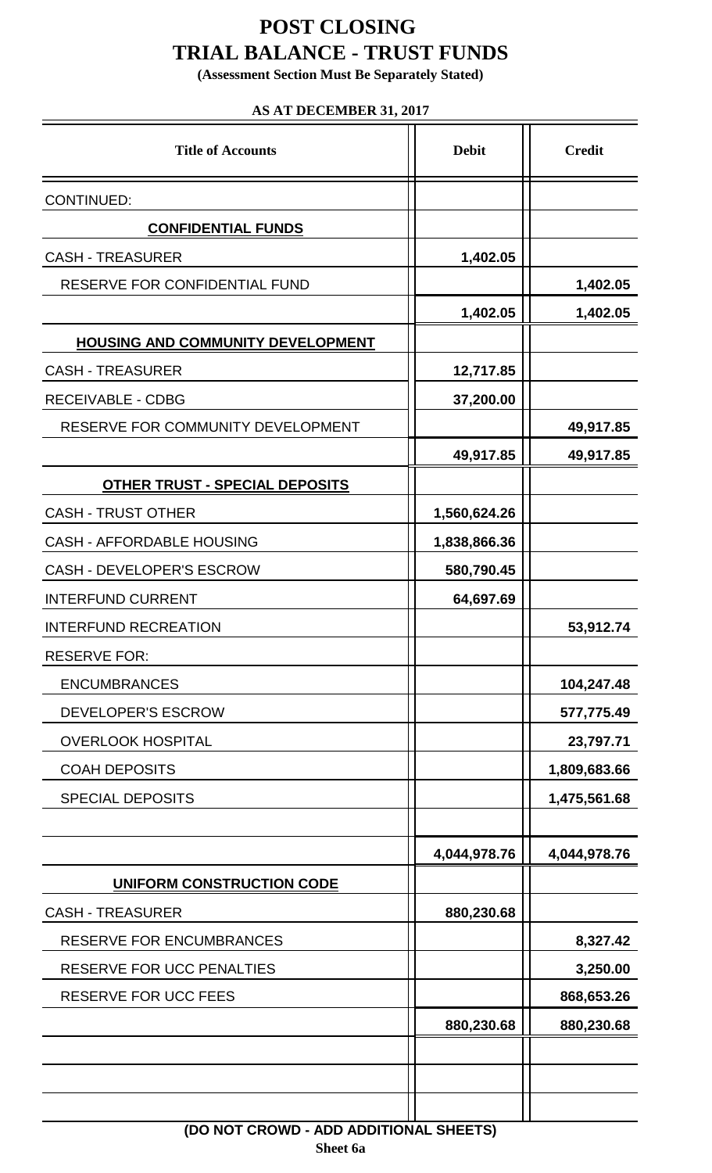## **POST CLOSING TRIAL BALANCE - TRUST FUNDS**

**(Assessment Section Must Be Separately Stated)**

#### **AS AT DECEMBER 31, 2017**

| <b>Title of Accounts</b>                 | <b>Debit</b> | <b>Credit</b> |  |
|------------------------------------------|--------------|---------------|--|
| <b>CONTINUED:</b>                        |              |               |  |
| <b>CONFIDENTIAL FUNDS</b>                |              |               |  |
| <b>CASH - TREASURER</b>                  | 1,402.05     |               |  |
| RESERVE FOR CONFIDENTIAL FUND            |              | 1,402.05      |  |
|                                          | 1,402.05     | 1,402.05      |  |
| <b>HOUSING AND COMMUNITY DEVELOPMENT</b> |              |               |  |
| <b>CASH - TREASURER</b>                  | 12,717.85    |               |  |
| <b>RECEIVABLE - CDBG</b>                 | 37,200.00    |               |  |
| RESERVE FOR COMMUNITY DEVELOPMENT        |              | 49,917.85     |  |
|                                          | 49,917.85    | 49,917.85     |  |
| <b>OTHER TRUST - SPECIAL DEPOSITS</b>    |              |               |  |
| <b>CASH - TRUST OTHER</b>                | 1,560,624.26 |               |  |
| <b>CASH - AFFORDABLE HOUSING</b>         | 1,838,866.36 |               |  |
| <b>CASH - DEVELOPER'S ESCROW</b>         | 580,790.45   |               |  |
| <b>INTERFUND CURRENT</b>                 | 64,697.69    |               |  |
| <b>INTERFUND RECREATION</b>              |              | 53,912.74     |  |
| <b>RESERVE FOR:</b>                      |              |               |  |
| <b>ENCUMBRANCES</b>                      |              | 104,247.48    |  |
| DEVELOPER'S ESCROW                       |              | 577,775.49    |  |
| <b>OVERLOOK HOSPITAL</b>                 |              | 23,797.71     |  |
| <b>COAH DEPOSITS</b>                     |              | 1,809,683.66  |  |
| <b>SPECIAL DEPOSITS</b>                  |              | 1,475,561.68  |  |
|                                          |              |               |  |
|                                          | 4,044,978.76 | 4,044,978.76  |  |
| <b>UNIFORM CONSTRUCTION CODE</b>         |              |               |  |
| <b>CASH - TREASURER</b>                  | 880,230.68   |               |  |
| <b>RESERVE FOR ENCUMBRANCES</b>          |              | 8,327.42      |  |
| RESERVE FOR UCC PENALTIES                |              | 3,250.00      |  |
| <b>RESERVE FOR UCC FEES</b>              |              | 868,653.26    |  |
|                                          | 880,230.68   | 880,230.68    |  |
|                                          |              |               |  |
|                                          |              |               |  |
| (DO NOT CROWD - ADD ADDITIONAL SHEETS)   |              |               |  |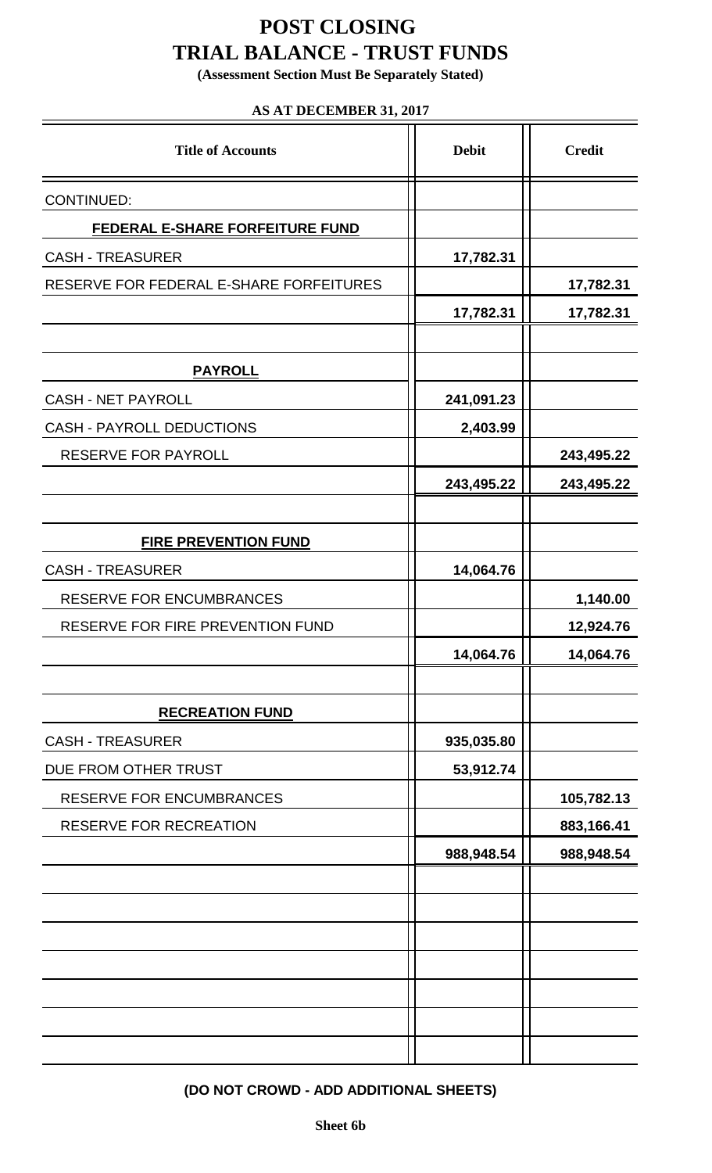## **POST CLOSING TRIAL BALANCE - TRUST FUNDS**

**(Assessment Section Must Be Separately Stated)**

#### **AS AT DECEMBER 31, 2017**

| <b>Title of Accounts</b>                | <b>Debit</b> | <b>Credit</b> |  |
|-----------------------------------------|--------------|---------------|--|
| <b>CONTINUED:</b>                       |              |               |  |
| FEDERAL E-SHARE FORFEITURE FUND         |              |               |  |
| <b>CASH - TREASURER</b>                 | 17,782.31    |               |  |
| RESERVE FOR FEDERAL E-SHARE FORFEITURES |              | 17,782.31     |  |
|                                         | 17,782.31    | 17,782.31     |  |
|                                         |              |               |  |
| <b>PAYROLL</b>                          |              |               |  |
| <b>CASH - NET PAYROLL</b>               | 241,091.23   |               |  |
| <b>CASH - PAYROLL DEDUCTIONS</b>        | 2,403.99     |               |  |
| <b>RESERVE FOR PAYROLL</b>              |              | 243,495.22    |  |
|                                         | 243,495.22   | 243,495.22    |  |
|                                         |              |               |  |
| <b>FIRE PREVENTION FUND</b>             |              |               |  |
| <b>CASH - TREASURER</b>                 | 14,064.76    |               |  |
| <b>RESERVE FOR ENCUMBRANCES</b>         |              | 1,140.00      |  |
| RESERVE FOR FIRE PREVENTION FUND        |              | 12,924.76     |  |
|                                         | 14,064.76    | 14,064.76     |  |
|                                         |              |               |  |
| <b>RECREATION FUND</b>                  |              |               |  |
| <b>CASH - TREASURER</b>                 | 935,035.80   |               |  |
| DUE FROM OTHER TRUST                    | 53,912.74    |               |  |
| RESERVE FOR ENCUMBRANCES                |              | 105,782.13    |  |
| RESERVE FOR RECREATION                  |              | 883,166.41    |  |
|                                         | 988,948.54   | 988,948.54    |  |
|                                         |              |               |  |
|                                         |              |               |  |
|                                         |              |               |  |
|                                         |              |               |  |
|                                         |              |               |  |
|                                         |              |               |  |
|                                         |              |               |  |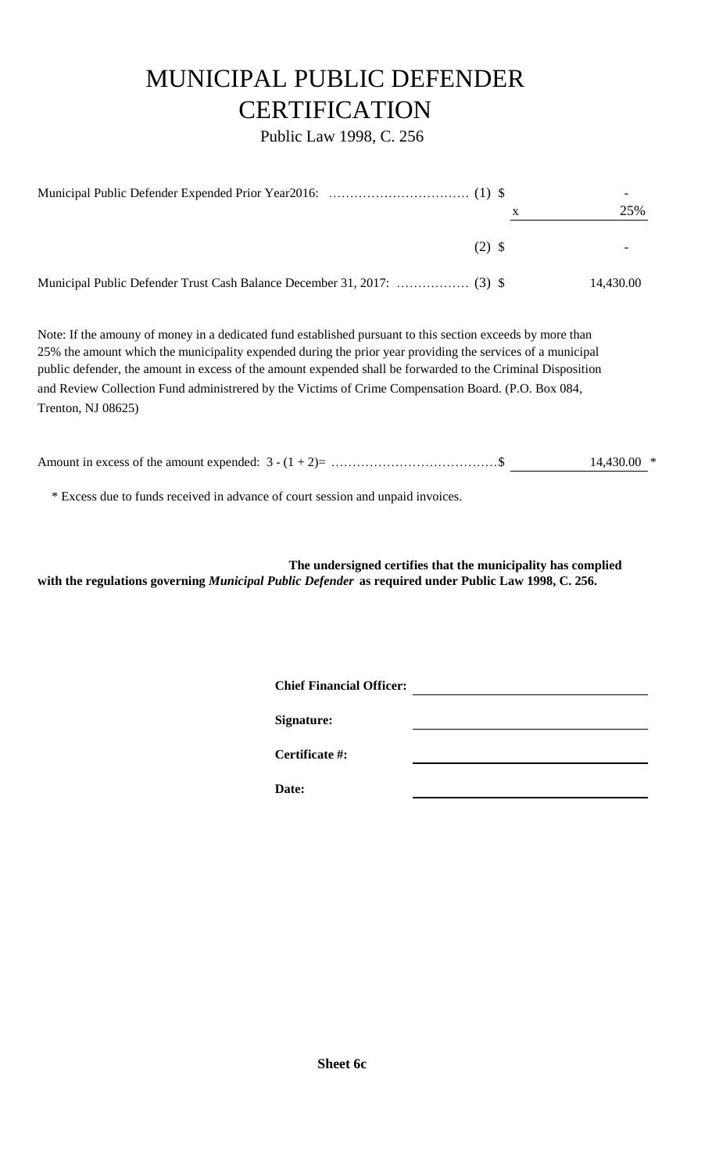# MUNICIPAL PUBLIC DEFENDER **CERTIFICATION**

Public Law 1998, C. 256

|          | 25%       |
|----------|-----------|
| $(2)$ \$ |           |
|          | 14,430.00 |

Note: If the amouny of money in a dedicated fund established pursuant to this section exceeds by more than 25% the amount which the municipality expended during the prior year providing the services of a municipal public defender, the amount in excess of the amount expended shall be forwarded to the Criminal Disposition and Review Collection Fund administrered by the Victims of Crime Compensation Board. (P.O. Box 084, Trenton, NJ 08625)

|  | $14,430.00$ * |  |
|--|---------------|--|
|  |               |  |

\* Excess due to funds received in advance of court session and unpaid invoices.

**The undersigned certifies that the municipality has complied with the regulations governing** *Municipal Public Defender* **as required under Public Law 1998, C. 256.**

**Chief Financial Officer:**

**Signature:**

**Certificate #:**

**Date:**

**Sheet 6c**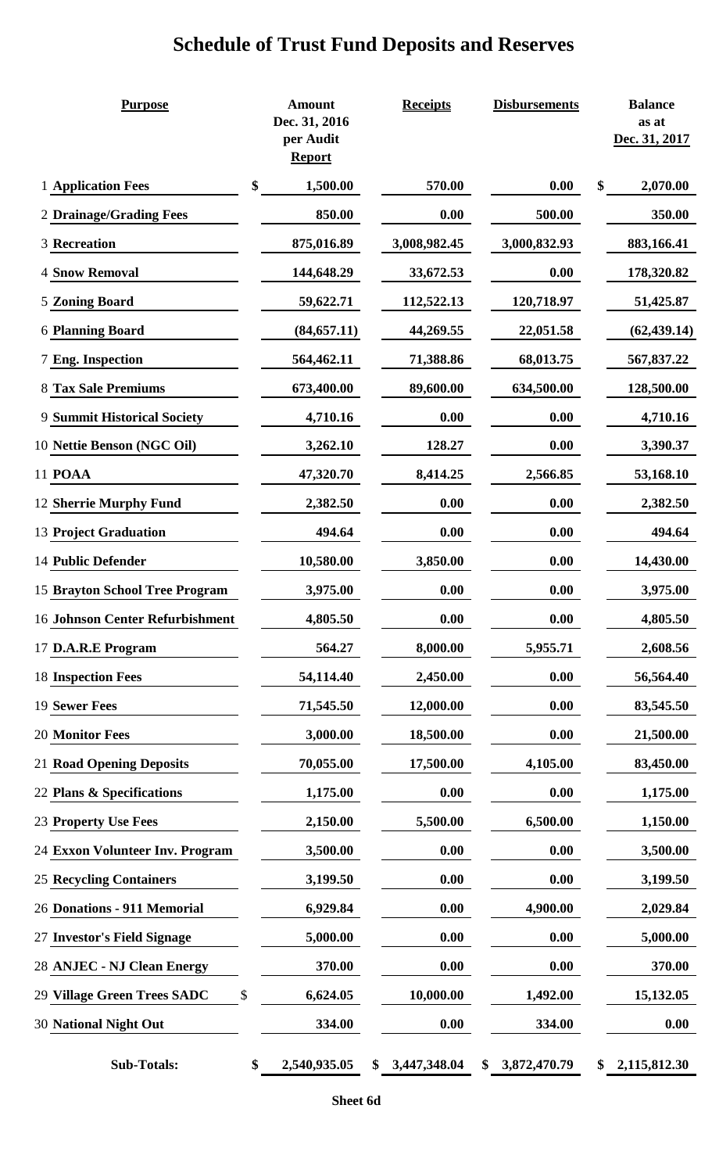## **Schedule of Trust Fund Deposits and Reserves**

| <b>Purpose</b>                     | <b>Amount</b><br>Dec. 31, 2016<br>per Audit<br><b>Report</b> | <b>Receipts</b>    | <b>Disbursements</b> | <b>Balance</b><br>as at<br>Dec. 31, 2017 |
|------------------------------------|--------------------------------------------------------------|--------------------|----------------------|------------------------------------------|
| 1 Application Fees                 | \$<br>1,500.00                                               | 570.00             | 0.00                 | \$<br>2,070.00                           |
| 2 Drainage/Grading Fees            | 850.00                                                       | 0.00               | 500.00               | 350.00                                   |
| <b>3 Recreation</b>                | 875,016.89                                                   | 3,008,982.45       | 3,000,832.93         | 883,166.41                               |
| <b>4 Snow Removal</b>              | 144,648.29                                                   | 33,672.53          | 0.00                 | 178,320.82                               |
| <b>5 Zoning Board</b>              | 59,622.71                                                    | 112,522.13         | 120,718.97           | 51,425.87                                |
| <b>6 Planning Board</b>            | (84, 657.11)                                                 | 44,269.55          | 22,051.58            | (62, 439.14)                             |
| <b>7 Eng. Inspection</b>           | 564,462.11                                                   | 71,388.86          | 68,013.75            | 567,837.22                               |
| <b>8 Tax Sale Premiums</b>         | 673,400.00                                                   | 89,600.00          | 634,500.00           | 128,500.00                               |
| <b>9 Summit Historical Society</b> | 4,710.16                                                     | 0.00               | 0.00                 | 4,710.16                                 |
| 10 Nettie Benson (NGC Oil)         | 3,262.10                                                     | 128.27             | 0.00                 | 3,390.37                                 |
| 11 POAA                            | 47,320.70                                                    | 8,414.25           | 2,566.85             | 53,168.10                                |
| 12 Sherrie Murphy Fund             | 2,382.50                                                     | 0.00               | 0.00                 | 2,382.50                                 |
| <b>13 Project Graduation</b>       | 494.64                                                       | 0.00               | 0.00                 | 494.64                                   |
| 14 Public Defender                 | 10,580.00                                                    | 3,850.00           | 0.00                 | 14,430.00                                |
| 15 Brayton School Tree Program     | 3,975.00                                                     | 0.00               | 0.00                 | 3,975.00                                 |
| 16 Johnson Center Refurbishment    | 4,805.50                                                     | 0.00               | 0.00                 | 4,805.50                                 |
| 17 D.A.R.E Program                 | 564.27                                                       | 8,000.00           | 5,955.71             | 2,608.56                                 |
| <b>18 Inspection Fees</b>          | 54,114.40                                                    | 2,450.00           | 0.00                 | 56,564.40                                |
| 19 Sewer Fees                      | 71,545.50                                                    | 12,000.00          | 0.00                 | 83,545.50                                |
| 20 Monitor Fees                    | 3,000.00                                                     | 18,500.00          | 0.00                 | 21,500.00                                |
| <b>21 Road Opening Deposits</b>    | 70,055.00                                                    | 17,500.00          | 4,105.00             | 83,450.00                                |
| 22 Plans & Specifications          | 1,175.00                                                     | 0.00               | 0.00                 | 1,175.00                                 |
| 23 Property Use Fees               | 2,150.00                                                     | 5,500.00           | 6,500.00             | 1,150.00                                 |
| 24 Exxon Volunteer Inv. Program    | 3,500.00                                                     | 0.00               | 0.00                 | 3,500.00                                 |
| <b>25 Recycling Containers</b>     | 3,199.50                                                     | 0.00               | 0.00                 | 3,199.50                                 |
| 26 Donations - 911 Memorial        | 6,929.84                                                     | 0.00               | 4,900.00             | 2,029.84                                 |
| 27 Investor's Field Signage        | 5,000.00                                                     | 0.00               | 0.00                 | 5,000.00                                 |
| 28 ANJEC - NJ Clean Energy         | 370.00                                                       | 0.00               | 0.00                 | 370.00                                   |
| 29 Village Green Trees SADC        | \$<br>6,624.05                                               | 10,000.00          | 1,492.00             | 15,132.05                                |
| <b>30 National Night Out</b>       | 334.00                                                       | 0.00               | 334.00               | 0.00                                     |
| <b>Sub-Totals:</b>                 | \$<br>2,540,935.05                                           | \$<br>3,447,348.04 | \$<br>3,872,470.79   | \$<br>2,115,812.30                       |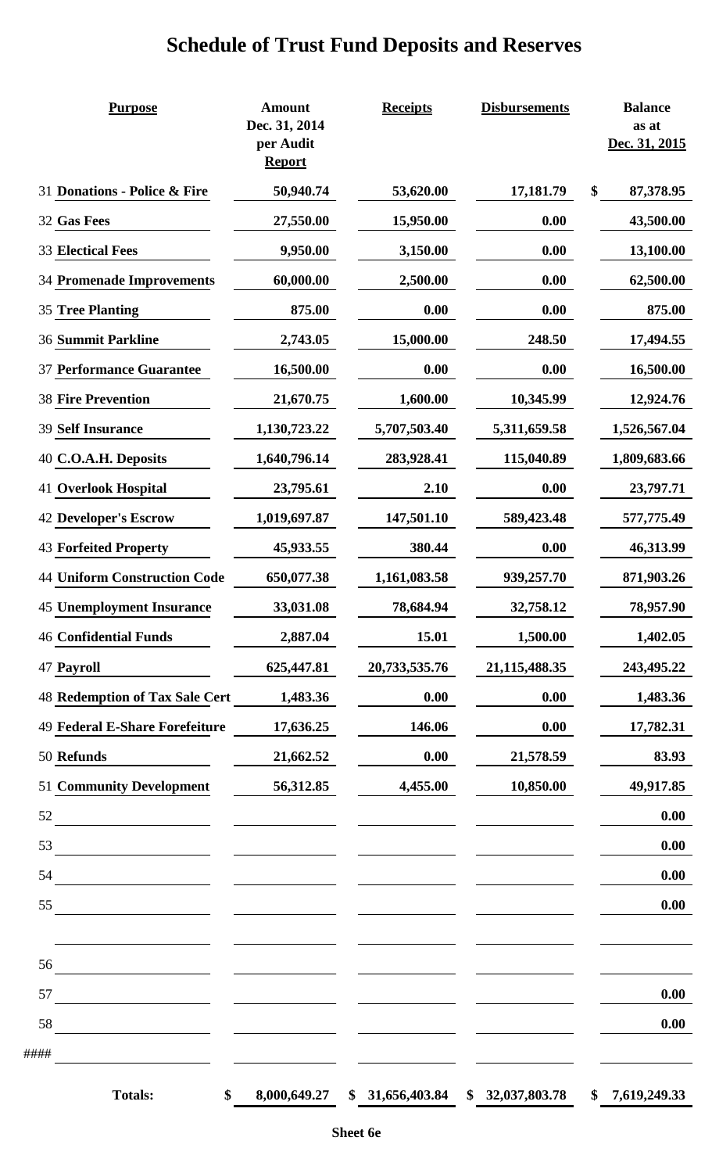# **Schedule of Trust Fund Deposits and Reserves**

| <b>Purpose</b>                        | <b>Amount</b><br>Dec. 31, 2014<br>per Audit<br><b>Report</b> | <b>Receipts</b> | <b>Disbursements</b> | <b>Balance</b><br>as at<br>Dec. 31, 2015 |
|---------------------------------------|--------------------------------------------------------------|-----------------|----------------------|------------------------------------------|
| 31 Donations - Police & Fire          | 50,940.74                                                    | 53,620.00       | 17,181.79            | \$<br>87,378.95                          |
| 32 Gas Fees                           | 27,550.00                                                    | 15,950.00       | 0.00                 | 43,500.00                                |
| <b>33 Electical Fees</b>              | 9,950.00                                                     | 3,150.00        | 0.00                 | 13,100.00                                |
| <b>34 Promenade Improvements</b>      | 60,000.00                                                    | 2,500.00        | 0.00                 | 62,500.00                                |
| <b>35 Tree Planting</b>               | 875.00                                                       | 0.00            | 0.00                 | 875.00                                   |
| <b>36 Summit Parkline</b>             | 2,743.05                                                     | 15,000.00       | 248.50               | 17,494.55                                |
| <b>37 Performance Guarantee</b>       | 16,500.00                                                    | 0.00            | 0.00                 | 16,500.00                                |
| <b>38 Fire Prevention</b>             | 21,670.75                                                    | 1,600.00        | 10,345.99            | 12,924.76                                |
| <b>39 Self Insurance</b>              | 1,130,723.22                                                 | 5,707,503.40    | 5,311,659.58         | 1,526,567.04                             |
| 40 C.O.A.H. Deposits                  | 1,640,796.14                                                 | 283,928.41      | 115,040.89           | 1,809,683.66                             |
| <b>41 Overlook Hospital</b>           | 23,795.61                                                    | 2.10            | 0.00                 | 23,797.71                                |
| <b>42 Developer's Escrow</b>          | 1,019,697.87                                                 | 147,501.10      | 589,423.48           | 577,775.49                               |
| <b>43 Forfeited Property</b>          | 45,933.55                                                    | 380.44          | 0.00                 | 46,313.99                                |
| <b>44 Uniform Construction Code</b>   | 650,077.38                                                   | 1,161,083.58    | 939,257.70           | 871,903.26                               |
| <b>45 Unemployment Insurance</b>      | 33,031.08                                                    | 78,684.94       | 32,758.12            | 78,957.90                                |
| <b>46 Confidential Funds</b>          | 2,887.04                                                     | 15.01           | 1,500.00             | 1,402.05                                 |
| 47 Payroll                            | 625,447.81                                                   | 20,733,535.76   | 21,115,488.35        | 243,495.22                               |
| <b>48 Redemption of Tax Sale Cert</b> | 1,483.36                                                     | 0.00            | 0.00                 | 1,483.36                                 |
| 49 Federal E-Share Forefeiture        | 17,636.25                                                    | 146.06          | 0.00                 | 17,782.31                                |
| 50 Refunds                            | 21,662.52                                                    | 0.00            | 21,578.59            | 83.93                                    |
| <b>51 Community Development</b>       | 56,312.85                                                    | 4,455.00        | 10,850.00            | 49,917.85                                |
| 52                                    |                                                              |                 |                      | 0.00                                     |
| 53                                    |                                                              |                 |                      | 0.00                                     |
| 54                                    |                                                              |                 |                      | 0.00                                     |
| 55                                    |                                                              |                 |                      | 0.00                                     |
|                                       |                                                              |                 |                      |                                          |
| 56                                    |                                                              |                 |                      |                                          |
| 57                                    |                                                              |                 |                      | 0.00                                     |
| 58                                    |                                                              |                 |                      | 0.00                                     |
| ####                                  |                                                              |                 |                      |                                          |
| <b>Totals:</b><br>\$                  | 8,000,649.27                                                 | \$31,656,403.84 | \$32,037,803.78      | \$<br>7,619,249.33                       |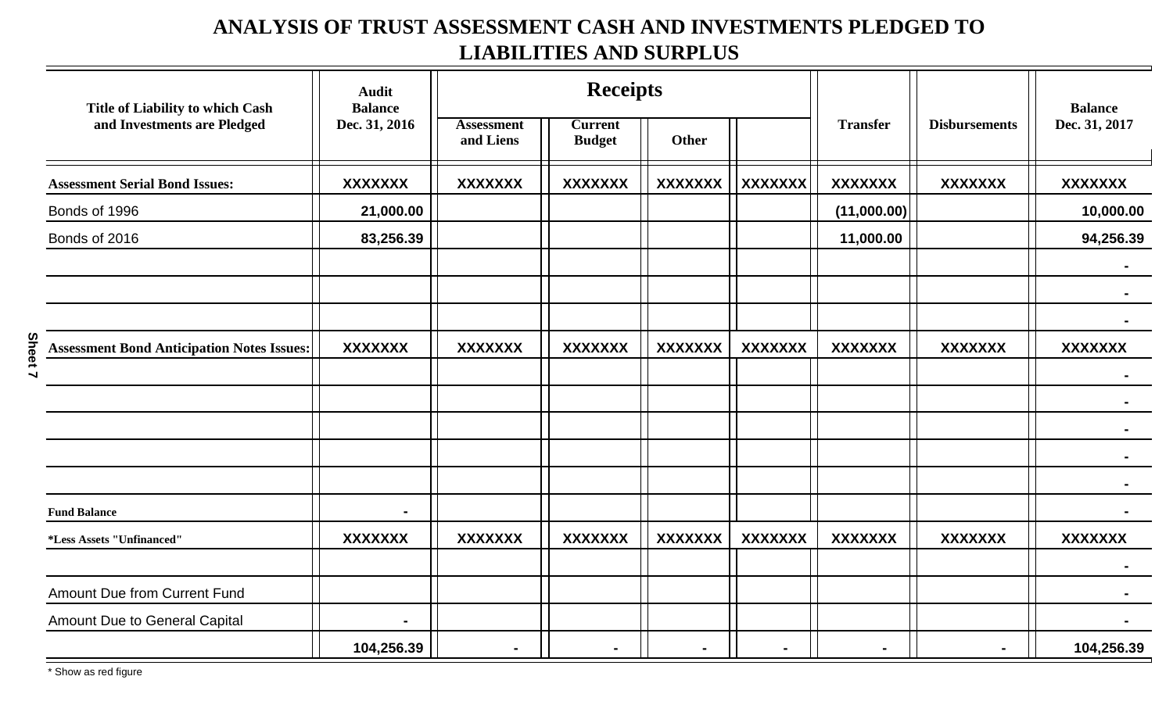## **ANALYSIS OF TRUST ASSESSMENT CASH AND INVESTMENTS PLEDGED TO LIABILITIES AND SURPLUS**

| Title of Liability to which Cash                  | <b>Audit</b><br><b>Balance</b> | <b>Receipts</b>                |                                 |                |                |                 | <b>Balance</b>       |                |  |
|---------------------------------------------------|--------------------------------|--------------------------------|---------------------------------|----------------|----------------|-----------------|----------------------|----------------|--|
| and Investments are Pledged                       | Dec. 31, 2016                  | <b>Assessment</b><br>and Liens | <b>Current</b><br><b>Budget</b> | Other          |                | <b>Transfer</b> | <b>Disbursements</b> | Dec. 31, 2017  |  |
| <b>Assessment Serial Bond Issues:</b>             | <b>XXXXXXX</b>                 | <b>XXXXXXX</b>                 | <b>XXXXXXX</b>                  | <b>XXXXXXX</b> | <b>XXXXXXX</b> | <b>XXXXXXX</b>  | <b>XXXXXXX</b>       | <b>XXXXXXX</b> |  |
| Bonds of 1996                                     | 21,000.00                      |                                |                                 |                |                | (11,000.00)     |                      | 10,000.00      |  |
| Bonds of 2016                                     | 83,256.39                      |                                |                                 |                |                | 11,000.00       |                      | 94,256.39      |  |
|                                                   |                                |                                |                                 |                |                |                 |                      |                |  |
|                                                   |                                |                                |                                 |                |                |                 |                      |                |  |
|                                                   |                                |                                |                                 |                |                |                 |                      |                |  |
| <b>Assessment Bond Anticipation Notes Issues:</b> | <b>XXXXXXX</b>                 | <b>XXXXXXX</b>                 | <b>XXXXXXX</b>                  | <b>XXXXXXX</b> | <b>XXXXXXX</b> | <b>XXXXXXX</b>  | <b>XXXXXXX</b>       | <b>XXXXXXX</b> |  |
|                                                   |                                |                                |                                 |                |                |                 |                      |                |  |
|                                                   |                                |                                |                                 |                |                |                 |                      |                |  |
|                                                   |                                |                                |                                 |                |                |                 |                      |                |  |
|                                                   |                                |                                |                                 |                |                |                 |                      |                |  |
|                                                   |                                |                                |                                 |                |                |                 |                      |                |  |
| <b>Fund Balance</b>                               |                                |                                |                                 |                |                |                 |                      |                |  |
| *Less Assets "Unfinanced"                         | <b>XXXXXXX</b>                 | <b>XXXXXXX</b>                 | <b>XXXXXXX</b>                  | <b>XXXXXXX</b> | <b>XXXXXXX</b> | <b>XXXXXXX</b>  | <b>XXXXXXX</b>       | <b>XXXXXXX</b> |  |
|                                                   |                                |                                |                                 |                |                |                 |                      |                |  |
| <b>Amount Due from Current Fund</b>               |                                |                                |                                 |                |                |                 |                      |                |  |
| Amount Due to General Capital                     |                                |                                |                                 |                |                |                 |                      |                |  |
|                                                   | 104,256.39                     |                                |                                 |                | $\blacksquare$ |                 |                      | 104,256.39     |  |

**Sheet 7**

\* Show as red figure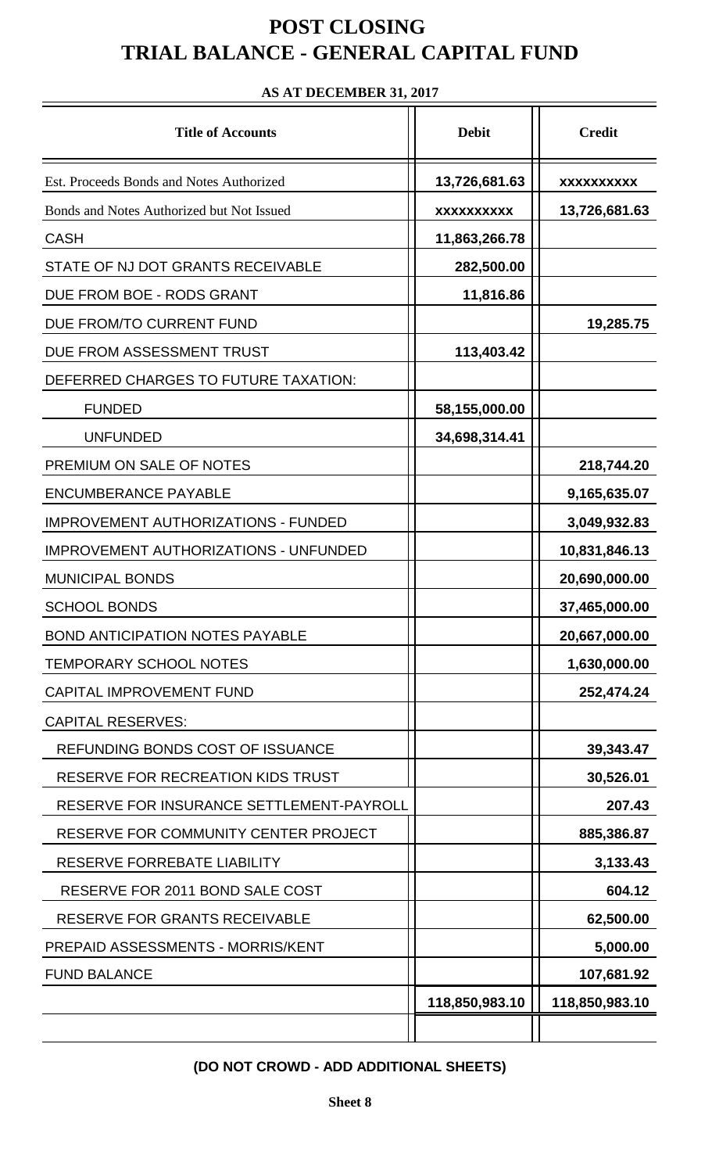## **POST CLOSING TRIAL BALANCE - GENERAL CAPITAL FUND**

# Title of Accounts **Debit Debit Credit** Est. Proceeds Bonds and Notes Authorized **13,726,681.63** | **xxxxxxxxx** Bonds and Notes Authorized but Not Issued **xxxxxxxxxx 13,726,681.63** CASH **11,863,266.78** STATE OF NJ DOT GRANTS RECEIVABLE **1998** | 282,500.00 DUE FROM BOE - RODS GRANT **11,816.86** DUE FROM/TO CURRENT FUND<br>
19,285.75 DUE FROM ASSESSMENT TRUST **113,403.42** DEFERRED CHARGES TO FUTURE TAXATION: FUNDED **58,155,000.00** UNFUNDED 10.4,698,314.41 PREMIUM ON SALE OF NOTES **1998 1998 120 1218,744.20** ENCUMBERANCE PAYABLE **9,165,635.07** IMPROVEMENT AUTHORIZATIONS - FUNDED **3,049,932.83** IMPROVEMENT AUTHORIZATIONS - UNFUNDED | | 10,831,846.13 MUNICIPAL BONDS **20,690,000.00** SCHOOL BONDS **37,465,000.00** BOND ANTICIPATION NOTES PAYABLE **20,667,000.00** TEMPORARY SCHOOL NOTES **1,630,000.00** CAPITAL IMPROVEMENT FUND **252,474.24** CAPITAL RESERVES: REFUNDING BONDS COST OF ISSUANCE  $\vert$  | 39,343.47 RESERVE FOR RECREATION KIDS TRUST  $||$  30,526.01 RESERVE FOR INSURANCE SETTLEMENT-PAYROLL |  $|$  207.43 RESERVE FOR COMMUNITY CENTER PROJECT | | 685,386.87 RESERVE FORREBATE LIABILITY **3,133.43** RESERVE FOR 2011 BOND SALE COST  $||$  604.12 RESERVE FOR GRANTS RECEIVABLE **1** 1 62,500.00 PREPAID ASSESSMENTS - MORRIS/KENT **5,000.00** FUND BALANCE **107,681.92 118,850,983.10 118,850,983.10**

#### **AS AT DECEMBER 31, 2017**

**(DO NOT CROWD - ADD ADDITIONAL SHEETS)**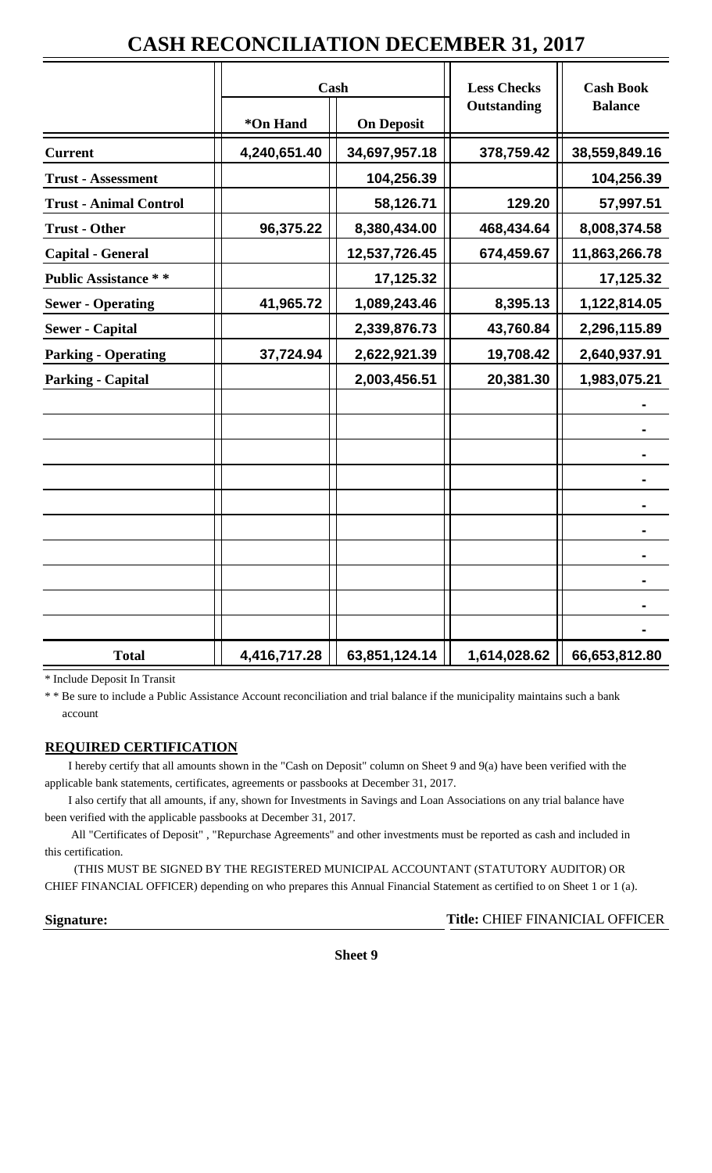## **CASH RECONCILIATION DECEMBER 31, 2017**

|                               | Cash         |                   | <b>Less Checks</b> | <b>Cash Book</b> |
|-------------------------------|--------------|-------------------|--------------------|------------------|
|                               | *On Hand     | <b>On Deposit</b> | Outstanding        | <b>Balance</b>   |
| <b>Current</b>                | 4,240,651.40 | 34,697,957.18     | 378,759.42         | 38,559,849.16    |
| <b>Trust - Assessment</b>     |              | 104,256.39        |                    | 104,256.39       |
| <b>Trust - Animal Control</b> |              | 58,126.71         | 129.20             | 57,997.51        |
| <b>Trust - Other</b>          | 96,375.22    | 8,380,434.00      | 468,434.64         | 8,008,374.58     |
| <b>Capital - General</b>      |              | 12,537,726.45     | 674,459.67         | 11,863,266.78    |
| <b>Public Assistance **</b>   |              | 17,125.32         |                    | 17,125.32        |
| <b>Sewer - Operating</b>      | 41,965.72    | 1,089,243.46      | 8,395.13           | 1,122,814.05     |
| <b>Sewer - Capital</b>        |              | 2,339,876.73      | 43,760.84          | 2,296,115.89     |
| <b>Parking - Operating</b>    | 37,724.94    | 2,622,921.39      | 19,708.42          | 2,640,937.91     |
| <b>Parking - Capital</b>      |              | 2,003,456.51      | 20,381.30          | 1,983,075.21     |
|                               |              |                   |                    |                  |
|                               |              |                   |                    |                  |
|                               |              |                   |                    |                  |
|                               |              |                   |                    |                  |
|                               |              |                   |                    |                  |
|                               |              |                   |                    |                  |
|                               |              |                   |                    |                  |
|                               |              |                   |                    |                  |
|                               |              |                   |                    |                  |
|                               |              |                   |                    |                  |
| <b>Total</b>                  | 4,416,717.28 | 63,851,124.14     | 1,614,028.62       | 66,653,812.80    |

\* Include Deposit In Transit

\* \* Be sure to include a Public Assistance Account reconciliation and trial balance if the municipality maintains such a bank account

#### **REQUIRED CERTIFICATION**

 I hereby certify that all amounts shown in the "Cash on Deposit" column on Sheet 9 and 9(a) have been verified with the applicable bank statements, certificates, agreements or passbooks at December 31, 2017.

 I also certify that all amounts, if any, shown for Investments in Savings and Loan Associations on any trial balance have been verified with the applicable passbooks at December 31, 2017.

 All "Certificates of Deposit" , "Repurchase Agreements" and other investments must be reported as cash and included in this certification.

 (THIS MUST BE SIGNED BY THE REGISTERED MUNICIPAL ACCOUNTANT (STATUTORY AUDITOR) OR CHIEF FINANCIAL OFFICER) depending on who prepares this Annual Financial Statement as certified to on Sheet 1 or 1 (a).

Signature: Title: CHIEF FINANICIAL OFFICER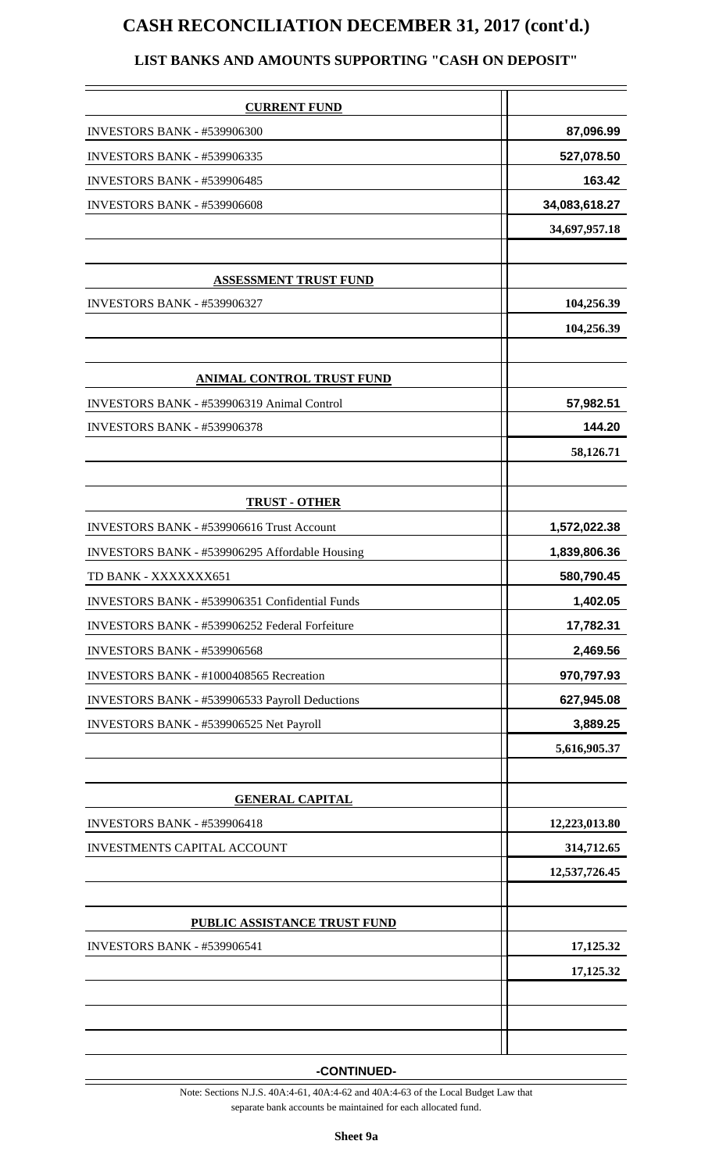## **CASH RECONCILIATION DECEMBER 31, 2017 (cont'd.)**

#### **LIST BANKS AND AMOUNTS SUPPORTING "CASH ON DEPOSIT"**

| <b>CURRENT FUND</b>                            |               |
|------------------------------------------------|---------------|
| <b>INVESTORS BANK - #539906300</b>             | 87,096.99     |
| INVESTORS BANK - #539906335                    | 527,078.50    |
| <b>INVESTORS BANK - #539906485</b>             | 163.42        |
| <b>INVESTORS BANK - #539906608</b>             | 34,083,618.27 |
|                                                | 34,697,957.18 |
|                                                |               |
| <b>ASSESSMENT TRUST FUND</b>                   |               |
| <b>INVESTORS BANK - #539906327</b>             | 104,256.39    |
|                                                | 104,256.39    |
|                                                |               |
| <b>ANIMAL CONTROL TRUST FUND</b>               |               |
| INVESTORS BANK - #539906319 Animal Control     | 57,982.51     |
| <b>INVESTORS BANK - #539906378</b>             | 144.20        |
|                                                | 58,126.71     |
|                                                |               |
| <b>TRUST - OTHER</b>                           |               |
| INVESTORS BANK - #539906616 Trust Account      | 1,572,022.38  |
| INVESTORS BANK - #539906295 Affordable Housing | 1,839,806.36  |
| TD BANK - XXXXXXX651                           | 580,790.45    |
| INVESTORS BANK - #539906351 Confidential Funds | 1,402.05      |
| INVESTORS BANK - #539906252 Federal Forfeiture | 17,782.31     |
| INVESTORS BANK - #539906568                    | 2,469.56      |
| INVESTORS BANK - #1000408565 Recreation        | 970,797.93    |
| INVESTORS BANK - #539906533 Payroll Deductions | 627,945.08    |
| INVESTORS BANK - #539906525 Net Payroll        | 3,889.25      |
|                                                | 5,616,905.37  |
|                                                |               |
| <b>GENERAL CAPITAL</b>                         |               |
| INVESTORS BANK - #539906418                    | 12,223,013.80 |
| <b>INVESTMENTS CAPITAL ACCOUNT</b>             | 314,712.65    |
|                                                | 12,537,726.45 |
|                                                |               |
| PUBLIC ASSISTANCE TRUST FUND                   |               |
| <b>INVESTORS BANK - #539906541</b>             | 17,125.32     |
|                                                | 17,125.32     |
|                                                |               |
|                                                |               |
|                                                |               |

**-CONTINUED-**

Note: Sections N.J.S. 40A:4-61, 40A:4-62 and 40A:4-63 of the Local Budget Law that separate bank accounts be maintained for each allocated fund.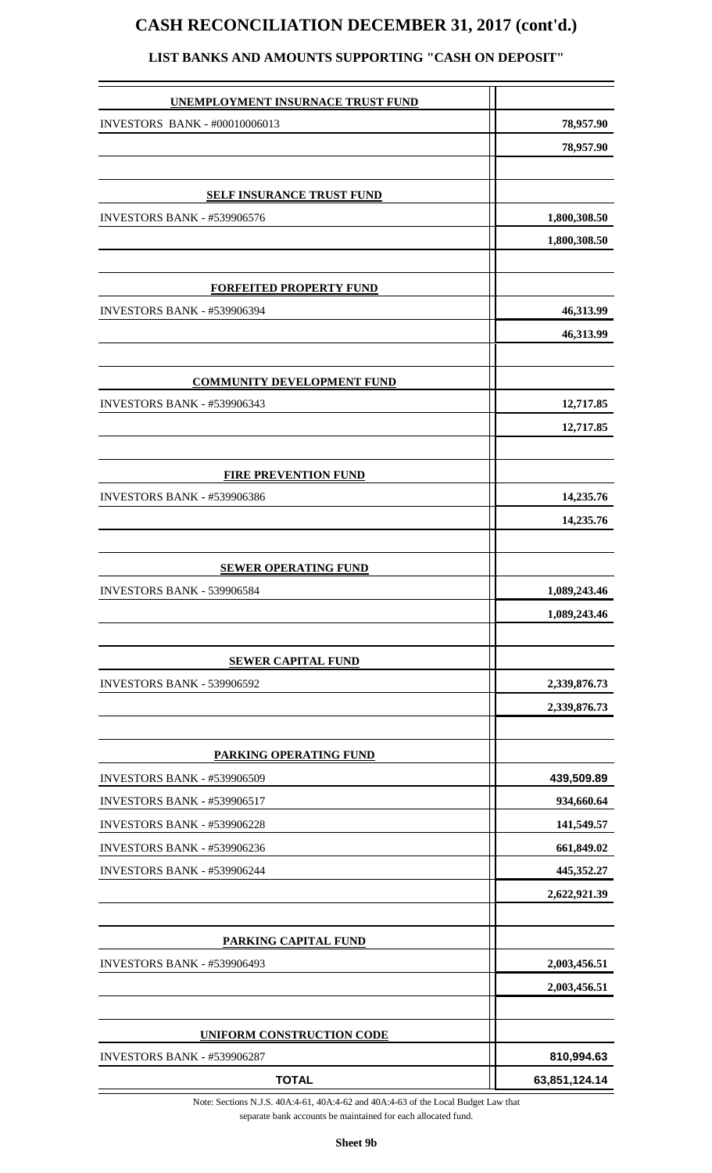## **CASH RECONCILIATION DECEMBER 31, 2017 (cont'd.)**

| <b>UNEMPLOYMENT INSURNACE TRUST FUND</b> |               |
|------------------------------------------|---------------|
| INVESTORS BANK - #00010006013            | 78,957.90     |
|                                          | 78,957.90     |
|                                          |               |
| <b>SELF INSURANCE TRUST FUND</b>         |               |
| <b>INVESTORS BANK - #539906576</b>       | 1,800,308.50  |
|                                          | 1,800,308.50  |
|                                          |               |
| <b>FORFEITED PROPERTY FUND</b>           |               |
| <b>INVESTORS BANK - #539906394</b>       | 46,313.99     |
|                                          | 46,313.99     |
|                                          |               |
| <b>COMMUNITY DEVELOPMENT FUND</b>        |               |
| INVESTORS BANK - #539906343              | 12,717.85     |
|                                          | 12,717.85     |
|                                          |               |
| <b>FIRE PREVENTION FUND</b>              |               |
| INVESTORS BANK - #539906386              | 14,235.76     |
|                                          | 14,235.76     |
| <b>SEWER OPERATING FUND</b>              |               |
| INVESTORS BANK - 539906584               | 1,089,243.46  |
|                                          | 1,089,243.46  |
|                                          |               |
| <b>SEWER CAPITAL FUND</b>                |               |
| INVESTORS BANK - 539906592               | 2,339,876.73  |
|                                          | 2,339,876.73  |
|                                          |               |
| <b>PARKING OPERATING FUND</b>            |               |
| <b>INVESTORS BANK - #539906509</b>       | 439,509.89    |
| <b>INVESTORS BANK - #539906517</b>       | 934,660.64    |
| <b>INVESTORS BANK - #539906228</b>       | 141,549.57    |
| <b>INVESTORS BANK - #539906236</b>       | 661,849.02    |
| INVESTORS BANK - #539906244              | 445,352.27    |
|                                          | 2,622,921.39  |
| <b>PARKING CAPITAL FUND</b>              |               |
| <b>INVESTORS BANK - #539906493</b>       | 2,003,456.51  |
|                                          | 2,003,456.51  |
|                                          |               |
| <b>UNIFORM CONSTRUCTION CODE</b>         |               |
| <b>INVESTORS BANK - #539906287</b>       | 810,994.63    |
| <b>TOTAL</b>                             | 63,851,124.14 |

#### **LIST BANKS AND AMOUNTS SUPPORTING "CASH ON DEPOSIT"**

Note: Sections N.J.S. 40A:4-61, 40A:4-62 and 40A:4-63 of the Local Budget Law that separate bank accounts be maintained for each allocated fund.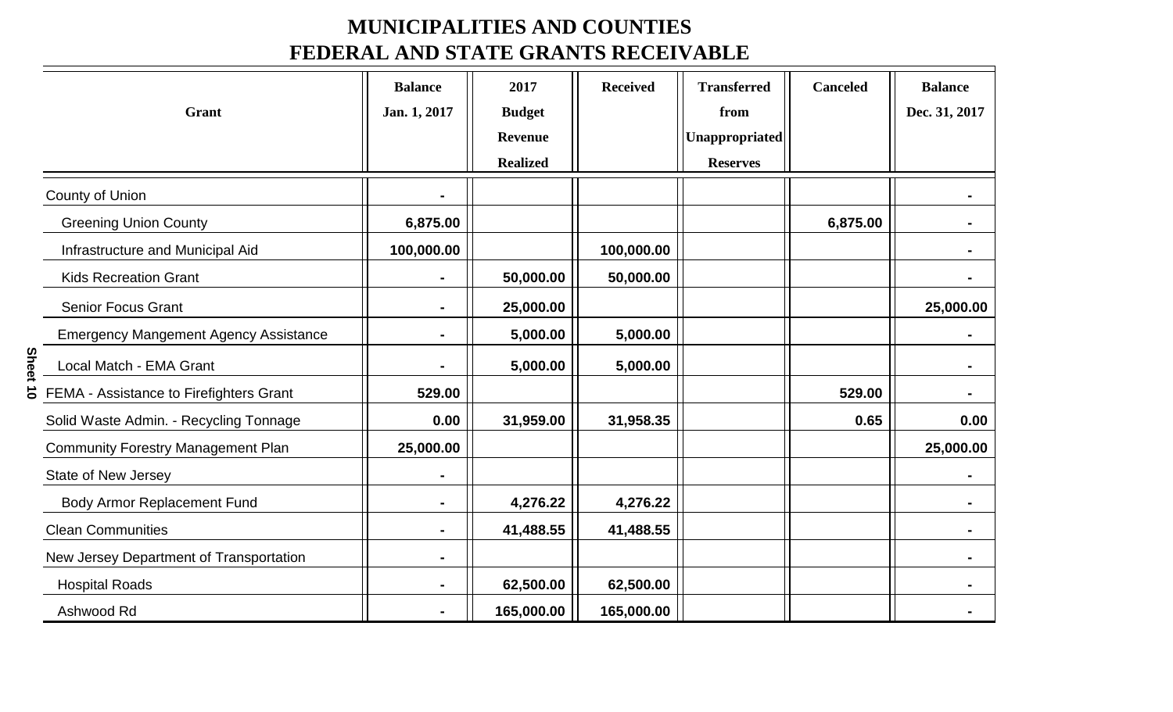## **MUNICIPALITIES AND COUNTIES FEDERAL AND STATE GRANTS RECEIVABLE**

|                                              | <b>Balance</b> | 2017            | <b>Received</b> | <b>Transferred</b> | <b>Canceled</b> | <b>Balance</b> |
|----------------------------------------------|----------------|-----------------|-----------------|--------------------|-----------------|----------------|
| <b>Grant</b>                                 | Jan. 1, 2017   | <b>Budget</b>   |                 | from               |                 | Dec. 31, 2017  |
|                                              |                | <b>Revenue</b>  |                 | Unappropriated     |                 |                |
|                                              |                | <b>Realized</b> |                 | <b>Reserves</b>    |                 |                |
| <b>County of Union</b>                       |                |                 |                 |                    |                 |                |
| <b>Greening Union County</b>                 | 6,875.00       |                 |                 |                    | 6,875.00        |                |
| Infrastructure and Municipal Aid             | 100,000.00     |                 | 100,000.00      |                    |                 |                |
| <b>Kids Recreation Grant</b>                 |                | 50,000.00       | 50,000.00       |                    |                 |                |
| <b>Senior Focus Grant</b>                    |                | 25,000.00       |                 |                    |                 | 25,000.00      |
| <b>Emergency Mangement Agency Assistance</b> |                | 5,000.00        | 5,000.00        |                    |                 |                |
| Local Match - EMA Grant                      |                | 5,000.00        | 5,000.00        |                    |                 |                |
| FEMA - Assistance to Firefighters Grant      | 529.00         |                 |                 |                    | 529.00          |                |
| Solid Waste Admin. - Recycling Tonnage       | 0.00           | 31,959.00       | 31,958.35       |                    | 0.65            | 0.00           |
| <b>Community Forestry Management Plan</b>    | 25,000.00      |                 |                 |                    |                 | 25,000.00      |
| <b>State of New Jersey</b>                   |                |                 |                 |                    |                 |                |
| <b>Body Armor Replacement Fund</b>           |                | 4,276.22        | 4,276.22        |                    |                 |                |
| <b>Clean Communities</b>                     |                | 41,488.55       | 41,488.55       |                    |                 |                |
| New Jersey Department of Transportation      |                |                 |                 |                    |                 |                |
| <b>Hospital Roads</b>                        |                | 62,500.00       | 62,500.00       |                    |                 |                |
| Ashwood Rd                                   |                | 165,000.00      | 165,000.00      |                    |                 |                |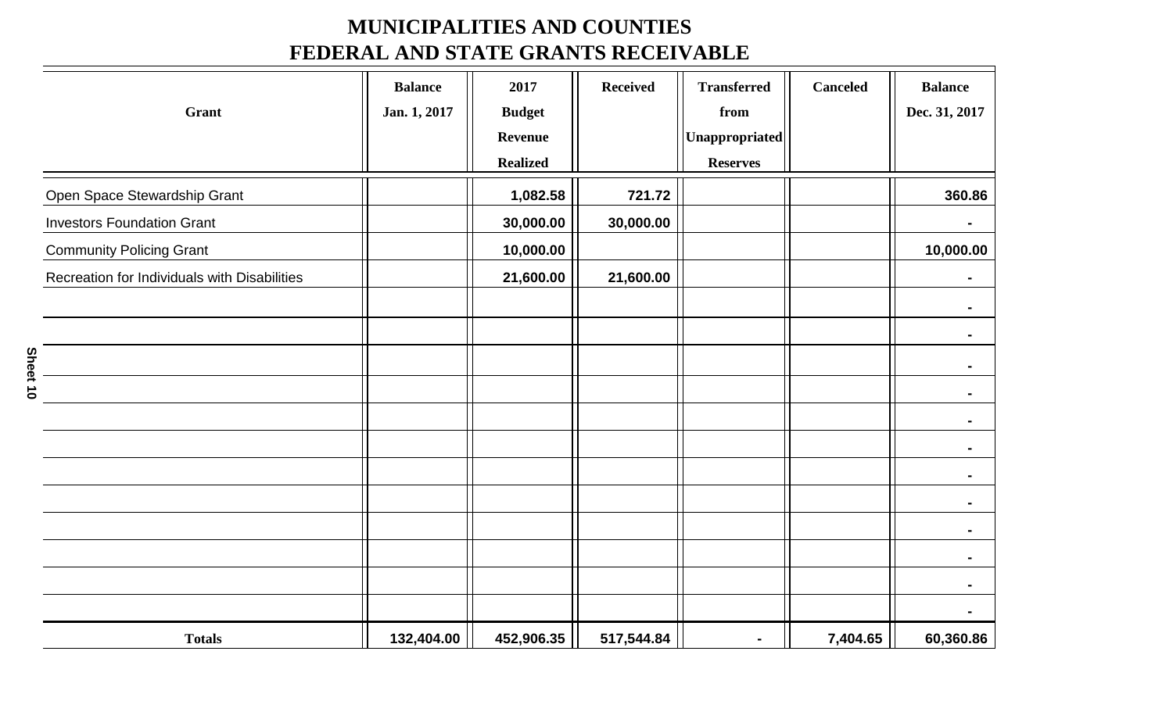## **MUNICIPALITIES AND COUNTIES FEDERAL AND STATE GRANTS RECEIVABLE**

|                                              | <b>Balance</b> | 2017            | <b>Received</b> | <b>Transferred</b>    | <b>Canceled</b> | <b>Balance</b> |
|----------------------------------------------|----------------|-----------------|-----------------|-----------------------|-----------------|----------------|
| Grant                                        | Jan. 1, 2017   | <b>Budget</b>   |                 | from                  |                 | Dec. 31, 2017  |
|                                              |                | <b>Revenue</b>  |                 | <b>Unappropriated</b> |                 |                |
|                                              |                | <b>Realized</b> |                 | <b>Reserves</b>       |                 |                |
| Open Space Stewardship Grant                 |                | 1,082.58        | 721.72          |                       |                 | 360.86         |
| <b>Investors Foundation Grant</b>            |                | 30,000.00       | 30,000.00       |                       |                 |                |
| <b>Community Policing Grant</b>              |                | 10,000.00       |                 |                       |                 | 10,000.00      |
| Recreation for Individuals with Disabilities |                | 21,600.00       | 21,600.00       |                       |                 |                |
|                                              |                |                 |                 |                       |                 |                |
|                                              |                |                 |                 |                       |                 | $\blacksquare$ |
|                                              |                |                 |                 |                       |                 |                |
|                                              |                |                 |                 |                       |                 |                |
|                                              |                |                 |                 |                       |                 |                |
|                                              |                |                 |                 |                       |                 |                |
|                                              |                |                 |                 |                       |                 |                |
|                                              |                |                 |                 |                       |                 |                |
|                                              |                |                 |                 |                       |                 |                |
|                                              |                |                 |                 |                       |                 |                |
|                                              |                |                 |                 |                       |                 |                |
|                                              |                |                 |                 |                       |                 |                |
| <b>Totals</b>                                | 132,404.00     | 452,906.35      | 517,544.84      | $\blacksquare$        | 7,404.65        | 60,360.86      |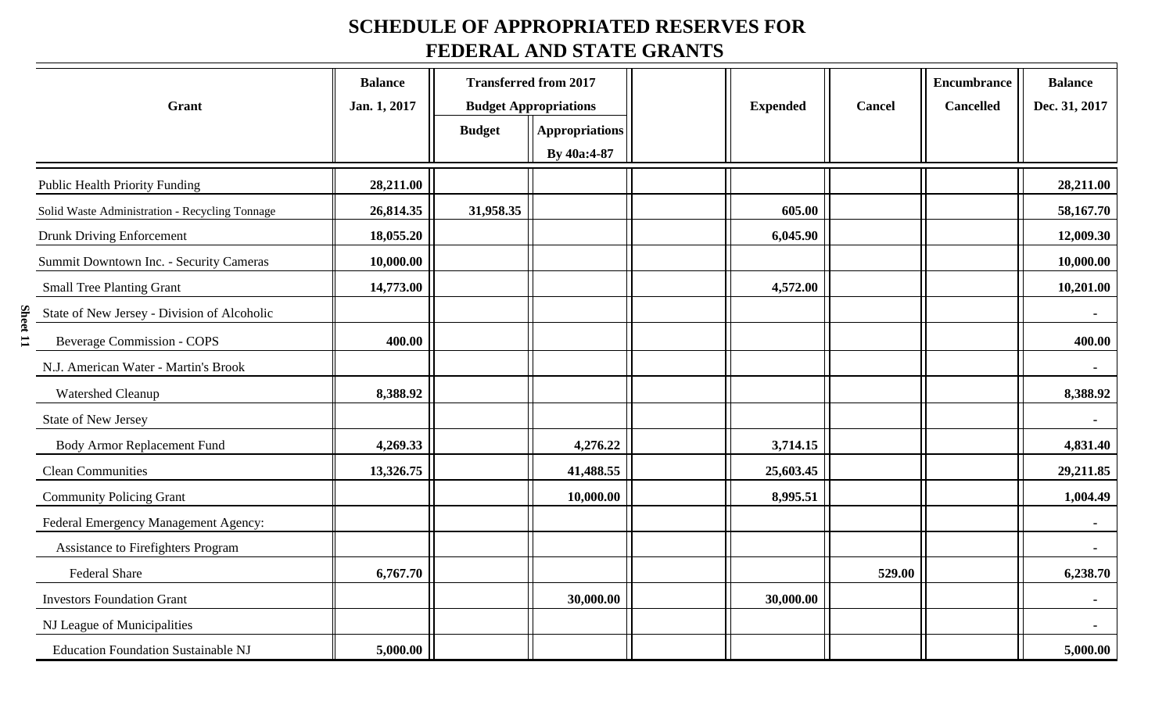## **SCHEDULE OF APPROPRIATED RESERVES FOR FEDERAL AND STATE GRANTS**

|          | Grant                                          | <b>Balance</b><br>Jan. 1, 2017 | <b>Budget</b> | <b>Transferred from 2017</b><br><b>Budget Appropriations</b><br><b>Appropriations</b><br>By 40a:4-87 | <b>Expended</b> | Cancel | <b>Encumbrance</b><br><b>Cancelled</b> | <b>Balance</b><br>Dec. 31, 2017 |
|----------|------------------------------------------------|--------------------------------|---------------|------------------------------------------------------------------------------------------------------|-----------------|--------|----------------------------------------|---------------------------------|
|          | <b>Public Health Priority Funding</b>          | 28,211.00                      |               |                                                                                                      |                 |        |                                        | 28,211.00                       |
|          | Solid Waste Administration - Recycling Tonnage | 26,814.35                      | 31,958.35     |                                                                                                      | 605.00          |        |                                        | 58,167.70                       |
|          | <b>Drunk Driving Enforcement</b>               | 18,055.20                      |               |                                                                                                      | 6,045.90        |        |                                        | 12,009.30                       |
|          | Summit Downtown Inc. - Security Cameras        | 10,000.00                      |               |                                                                                                      |                 |        |                                        | 10,000.00                       |
|          | <b>Small Tree Planting Grant</b>               | 14,773.00                      |               |                                                                                                      | 4,572.00        |        |                                        | 10,201.00                       |
|          | State of New Jersey - Division of Alcoholic    |                                |               |                                                                                                      |                 |        |                                        | $\sim$                          |
| Sheet 11 | <b>Beverage Commission - COPS</b>              | 400.00                         |               |                                                                                                      |                 |        |                                        | 400.00                          |
|          | N.J. American Water - Martin's Brook           |                                |               |                                                                                                      |                 |        |                                        |                                 |
|          | Watershed Cleanup                              | 8,388.92                       |               |                                                                                                      |                 |        |                                        | 8,388.92                        |
|          | State of New Jersey                            |                                |               |                                                                                                      |                 |        |                                        | $\blacksquare$                  |
|          | <b>Body Armor Replacement Fund</b>             | 4,269.33                       |               | 4,276.22                                                                                             | 3,714.15        |        |                                        | 4,831.40                        |
|          | <b>Clean Communities</b>                       | 13,326.75                      |               | 41,488.55                                                                                            | 25,603.45       |        |                                        | 29,211.85                       |
|          | <b>Community Policing Grant</b>                |                                |               | 10,000.00                                                                                            | 8,995.51        |        |                                        | 1,004.49                        |
|          | Federal Emergency Management Agency:           |                                |               |                                                                                                      |                 |        |                                        | $\sim$                          |
|          | Assistance to Firefighters Program             |                                |               |                                                                                                      |                 |        |                                        |                                 |
|          | Federal Share                                  | 6,767.70                       |               |                                                                                                      |                 | 529.00 |                                        | 6,238.70                        |
|          | <b>Investors Foundation Grant</b>              |                                |               | 30,000.00                                                                                            | 30,000.00       |        |                                        |                                 |
|          | NJ League of Municipalities                    |                                |               |                                                                                                      |                 |        |                                        |                                 |
|          | <b>Education Foundation Sustainable NJ</b>     | 5,000.00                       |               |                                                                                                      |                 |        |                                        | 5,000.00                        |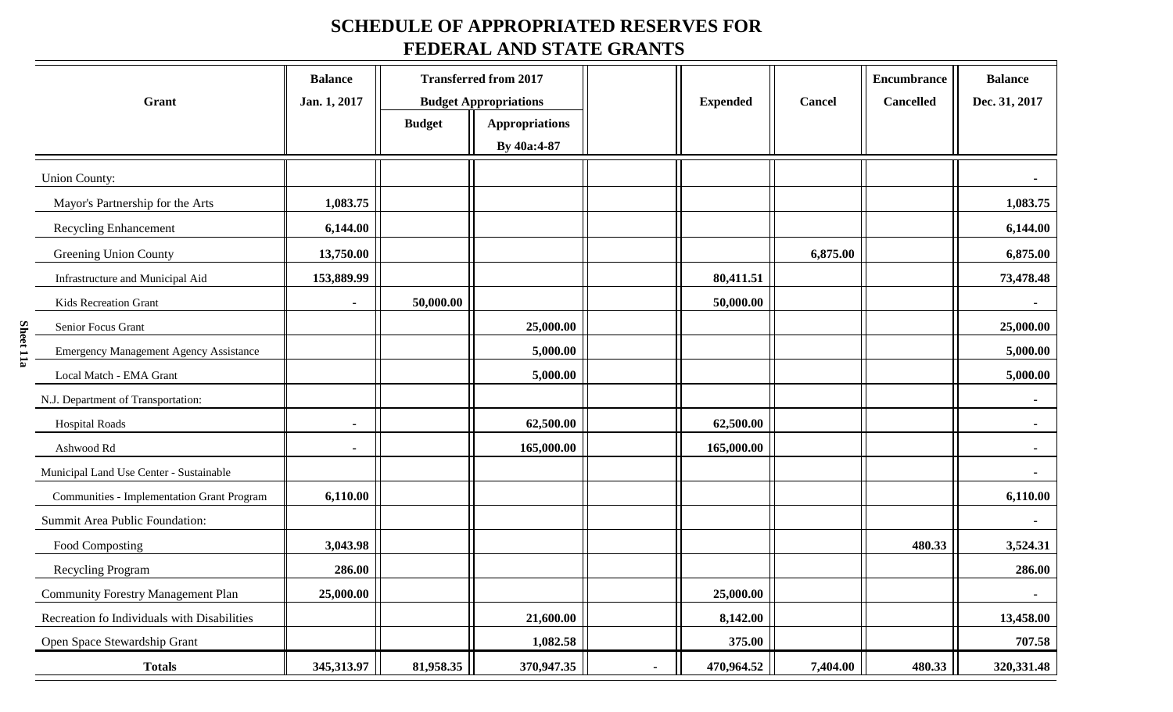### **SCHEDULE OF APPROPRIATED RESERVES FOR FEDERAL AND STATE GRANTS**

|                                                   | <b>Balance</b> |               | <b>Transferred from 2017</b> |                 |          | <b>Encumbrance</b> | <b>Balance</b> |
|---------------------------------------------------|----------------|---------------|------------------------------|-----------------|----------|--------------------|----------------|
| Grant                                             | Jan. 1, 2017   |               | <b>Budget Appropriations</b> | <b>Expended</b> | Cancel   | <b>Cancelled</b>   | Dec. 31, 2017  |
|                                                   |                | <b>Budget</b> | <b>Appropriations</b>        |                 |          |                    |                |
|                                                   |                |               | By 40a:4-87                  |                 |          |                    |                |
| <b>Union County:</b>                              |                |               |                              |                 |          |                    |                |
| Mayor's Partnership for the Arts                  | 1,083.75       |               |                              |                 |          |                    | 1,083.75       |
| <b>Recycling Enhancement</b>                      | 6,144.00       |               |                              |                 |          |                    | 6,144.00       |
| Greening Union County                             | 13,750.00      |               |                              |                 | 6,875.00 |                    | 6,875.00       |
| Infrastructure and Municipal Aid                  | 153,889.99     |               |                              | 80,411.51       |          |                    | 73,478.48      |
| Kids Recreation Grant                             | $\blacksquare$ | 50,000.00     |                              | 50,000.00       |          |                    |                |
| Senior Focus Grant                                |                |               | 25,000.00                    |                 |          |                    | 25,000.00      |
| <b>Emergency Management Agency Assistance</b>     |                |               | 5,000.00                     |                 |          |                    | 5,000.00       |
| Local Match - EMA Grant                           |                |               | 5,000.00                     |                 |          |                    | 5,000.00       |
| N.J. Department of Transportation:                |                |               |                              |                 |          |                    | Ξ.             |
| <b>Hospital Roads</b>                             | $\blacksquare$ |               | 62,500.00                    | 62,500.00       |          |                    |                |
| Ashwood Rd                                        | $\blacksquare$ |               | 165,000.00                   | 165,000.00      |          |                    | $\blacksquare$ |
| Municipal Land Use Center - Sustainable           |                |               |                              |                 |          |                    |                |
| <b>Communities - Implementation Grant Program</b> | 6,110.00       |               |                              |                 |          |                    | 6,110.00       |
| Summit Area Public Foundation:                    |                |               |                              |                 |          |                    |                |
| Food Composting                                   | 3,043.98       |               |                              |                 |          | 480.33             | 3,524.31       |
| Recycling Program                                 | 286.00         |               |                              |                 |          |                    | 286.00         |
| <b>Community Forestry Management Plan</b>         | 25,000.00      |               |                              | 25,000.00       |          |                    | $\blacksquare$ |
| Recreation fo Individuals with Disabilities       |                |               | 21,600.00                    | 8,142.00        |          |                    | 13,458.00      |
| Open Space Stewardship Grant                      |                |               | 1,082.58                     | 375.00          |          |                    | 707.58         |
| <b>Totals</b>                                     | 345,313.97     | 81,958.35     | 370,947.35                   | 470,964.52      | 7,404.00 | 480.33             | 320, 331. 48   |

Sheet 11a **Sheet 11a**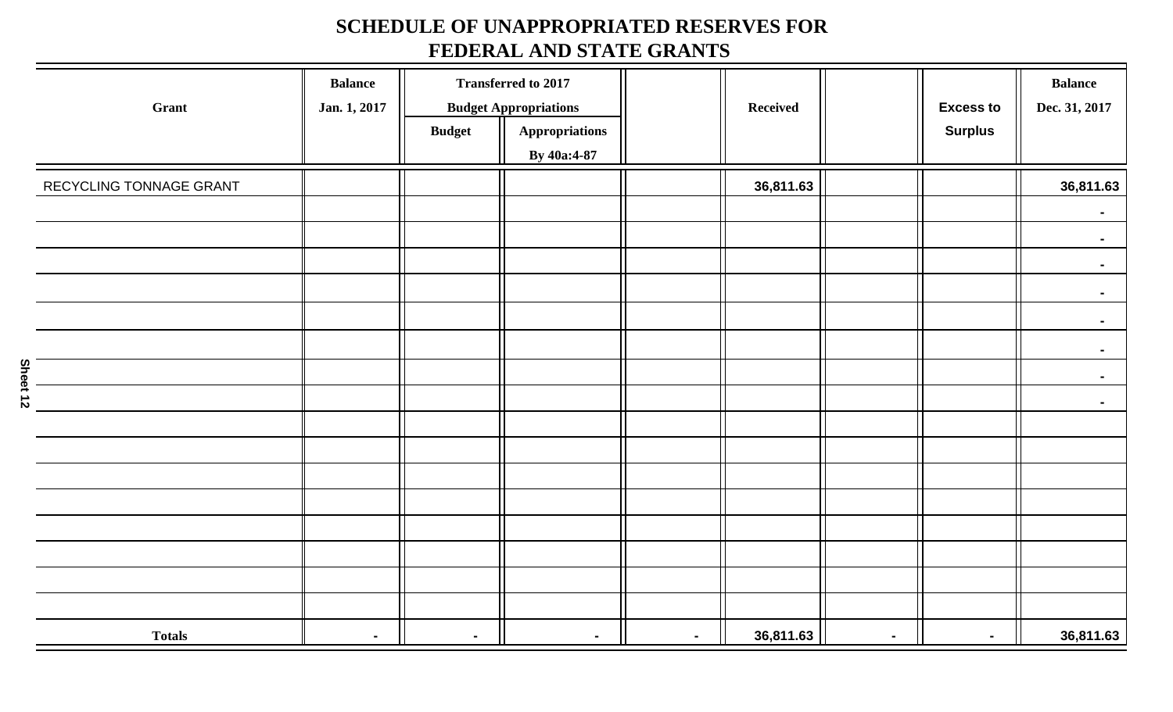## **SCHEDULE OF UNAPPROPRIATED RESERVES FOR FEDERAL AND STATE GRANTS**

| Grant                   | <b>Balance</b><br>Jan. 1, 2017 |                | <b>Transferred to 2017</b><br><b>Budget Appropriations</b> |                | <b>Received</b> |        | <b>Excess to</b> | <b>Balance</b><br>Dec. 31, 2017 |
|-------------------------|--------------------------------|----------------|------------------------------------------------------------|----------------|-----------------|--------|------------------|---------------------------------|
|                         |                                | <b>Budget</b>  | Appropriations<br>By 40a:4-87                              |                |                 |        | <b>Surplus</b>   |                                 |
| RECYCLING TONNAGE GRANT |                                |                |                                                            |                | 36,811.63       |        |                  | 36,811.63                       |
|                         |                                |                |                                                            |                |                 |        |                  | $\sim$                          |
|                         |                                |                |                                                            |                |                 |        |                  | $\sim$                          |
|                         |                                |                |                                                            |                |                 |        |                  | $\blacksquare$                  |
|                         |                                |                |                                                            |                |                 |        |                  | $\sim$                          |
|                         |                                |                |                                                            |                |                 |        |                  | $\blacksquare$                  |
|                         |                                |                |                                                            |                |                 |        |                  | $\sim$                          |
|                         |                                |                |                                                            |                |                 |        |                  | $\sim$                          |
|                         |                                |                |                                                            |                |                 |        |                  | $\sim$                          |
|                         |                                |                |                                                            |                |                 |        |                  |                                 |
|                         |                                |                |                                                            |                |                 |        |                  |                                 |
|                         |                                |                |                                                            |                |                 |        |                  |                                 |
|                         |                                |                |                                                            |                |                 |        |                  |                                 |
|                         |                                |                |                                                            |                |                 |        |                  |                                 |
|                         |                                |                |                                                            |                |                 |        |                  |                                 |
|                         |                                |                |                                                            |                |                 |        |                  |                                 |
|                         |                                |                |                                                            |                |                 |        |                  |                                 |
| <b>Totals</b>           | $\sim$                         | $\blacksquare$ | $\blacksquare$                                             | $\blacksquare$ | 36,811.63       | $\sim$ | $\blacksquare$   | 36,811.63                       |

Sheet 12 **Sheet 12**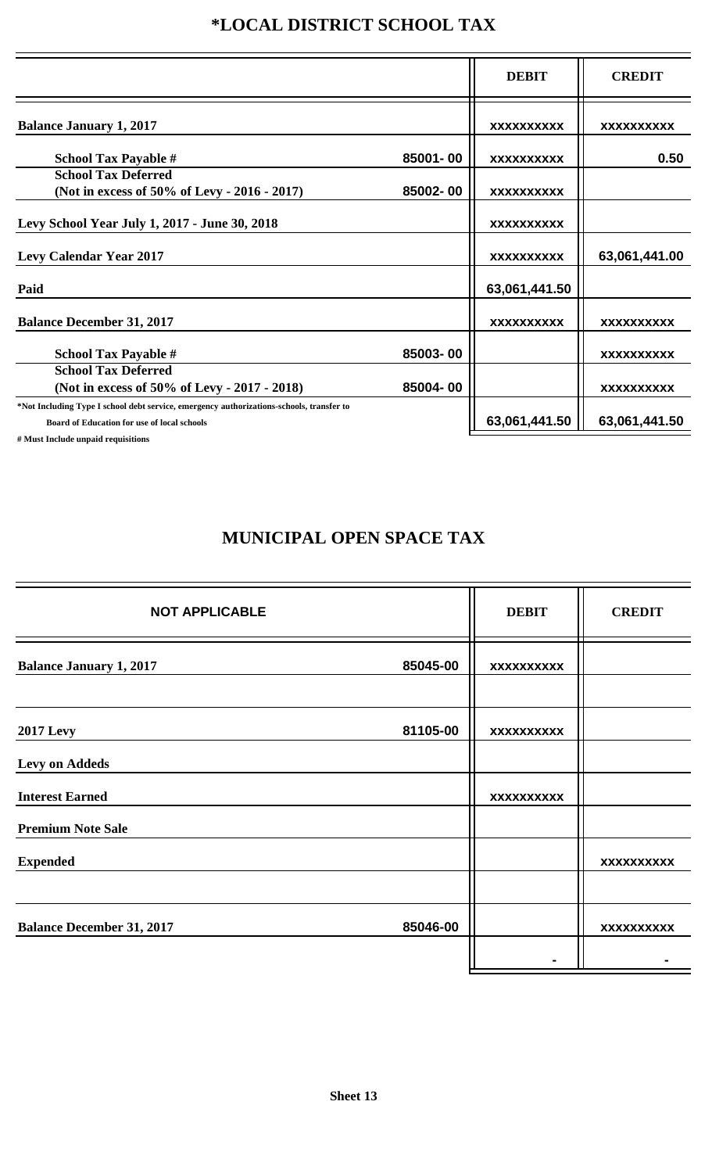## **\*LOCAL DISTRICT SCHOOL TAX**

|                                                                                                                                                |          | <b>DEBIT</b>      | <b>CREDIT</b>     |
|------------------------------------------------------------------------------------------------------------------------------------------------|----------|-------------------|-------------------|
| <b>Balance January 1, 2017</b>                                                                                                                 |          | <b>XXXXXXXXXX</b> | <b>XXXXXXXXXX</b> |
| <b>School Tax Payable #</b>                                                                                                                    | 85001-00 | <b>XXXXXXXXXX</b> | 0.50              |
| <b>School Tax Deferred</b><br>(Not in excess of 50% of Levy - 2016 - 2017)                                                                     | 85002-00 | <b>XXXXXXXXXX</b> |                   |
| Levy School Year July 1, 2017 - June 30, 2018                                                                                                  |          | <b>XXXXXXXXXX</b> |                   |
| <b>Levy Calendar Year 2017</b>                                                                                                                 |          | <b>XXXXXXXXXX</b> | 63,061,441.00     |
| Paid                                                                                                                                           |          | 63,061,441.50     |                   |
| <b>Balance December 31, 2017</b>                                                                                                               |          | <b>XXXXXXXXXX</b> | <b>XXXXXXXXXX</b> |
| <b>School Tax Payable #</b>                                                                                                                    | 85003-00 |                   | <b>XXXXXXXXXX</b> |
| <b>School Tax Deferred</b><br>(Not in excess of 50% of Levy - 2017 - 2018)                                                                     | 85004-00 |                   | <b>XXXXXXXXXX</b> |
| *Not Including Type I school debt service, emergency authorizations-schools, transfer to<br><b>Board of Education for use of local schools</b> |          | 63,061,441.50     | 63,061,441.50     |
| # Must Include unpaid requisitions                                                                                                             |          |                   |                   |

## **MUNICIPAL OPEN SPACE TAX**

| <b>NOT APPLICABLE</b>            |          | <b>DEBIT</b>      | <b>CREDIT</b>     |
|----------------------------------|----------|-------------------|-------------------|
| <b>Balance January 1, 2017</b>   | 85045-00 | <b>XXXXXXXXXX</b> |                   |
|                                  |          |                   |                   |
| <b>2017 Levy</b>                 | 81105-00 | <b>XXXXXXXXXX</b> |                   |
| <b>Levy on Addeds</b>            |          |                   |                   |
| <b>Interest Earned</b>           |          | <b>XXXXXXXXXX</b> |                   |
| <b>Premium Note Sale</b>         |          |                   |                   |
| <b>Expended</b>                  |          |                   | <b>XXXXXXXXXX</b> |
|                                  |          |                   |                   |
| <b>Balance December 31, 2017</b> | 85046-00 |                   | <b>XXXXXXXXXX</b> |
|                                  |          |                   |                   |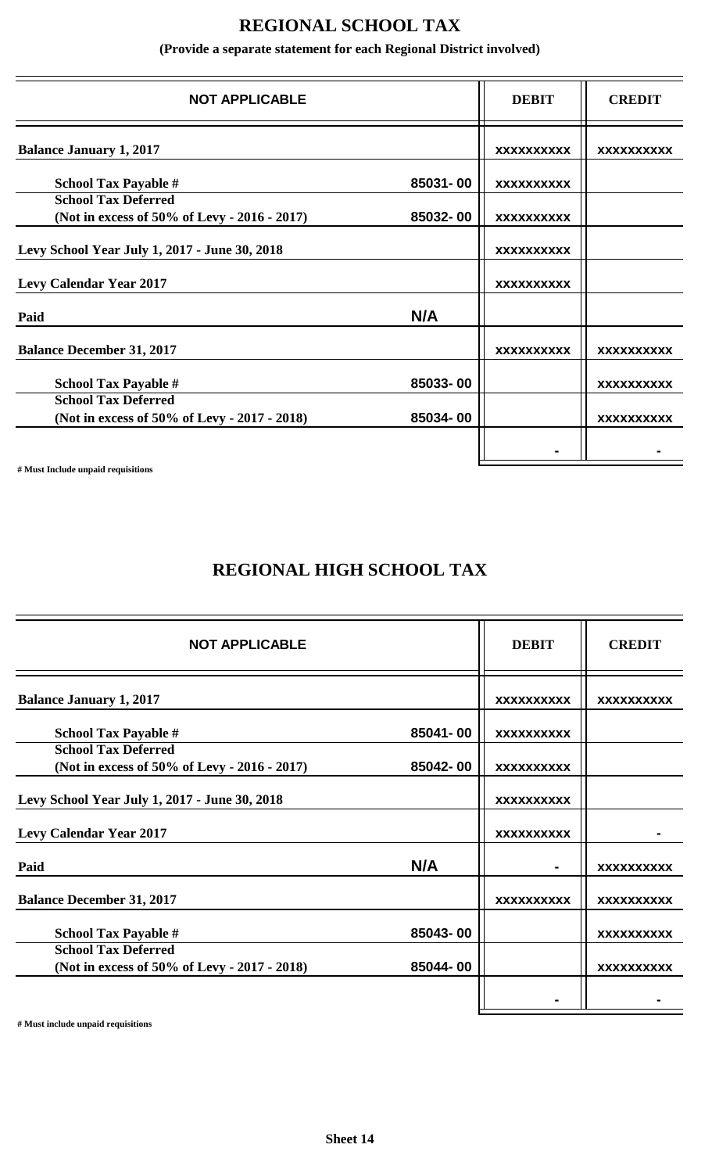### **REGIONAL SCHOOL TAX**

**(Provide a separate statement for each Regional District involved)**

| <b>NOT APPLICABLE</b>                                                      |          | <b>DEBIT</b>      | <b>CREDIT</b>     |
|----------------------------------------------------------------------------|----------|-------------------|-------------------|
| <b>Balance January 1, 2017</b>                                             |          | <b>XXXXXXXXXX</b> | <b>XXXXXXXXXX</b> |
| <b>School Tax Payable #</b>                                                | 85031-00 | <b>XXXXXXXXXX</b> |                   |
| <b>School Tax Deferred</b><br>(Not in excess of 50% of Levy - 2016 - 2017) | 85032-00 | <b>XXXXXXXXXX</b> |                   |
| Levy School Year July 1, 2017 - June 30, 2018                              |          | <b>XXXXXXXXXX</b> |                   |
| <b>Levy Calendar Year 2017</b>                                             |          | <b>XXXXXXXXXX</b> |                   |
| Paid                                                                       | N/A      |                   |                   |
| <b>Balance December 31, 2017</b>                                           |          | <b>XXXXXXXXXX</b> | <b>XXXXXXXXXX</b> |
| <b>School Tax Payable #</b>                                                | 85033-00 |                   | <b>XXXXXXXXXX</b> |
| <b>School Tax Deferred</b><br>(Not in excess of 50% of Levy - 2017 - 2018) | 85034-00 |                   | <b>XXXXXXXXXX</b> |
|                                                                            |          |                   |                   |

**# Must Include unpaid requisitions**

### **REGIONAL HIGH SCHOOL TAX**

| <b>NOT APPLICABLE</b>                         |          | <b>DEBIT</b>      | <b>CREDIT</b>     |
|-----------------------------------------------|----------|-------------------|-------------------|
| <b>Balance January 1, 2017</b>                |          | <b>XXXXXXXXXX</b> | <b>XXXXXXXXXX</b> |
| <b>School Tax Payable #</b>                   | 85041-00 | <b>XXXXXXXXXX</b> |                   |
| <b>School Tax Deferred</b>                    | 85042-00 |                   |                   |
| (Not in excess of 50% of Levy - 2016 - 2017)  |          | <b>XXXXXXXXXX</b> |                   |
| Levy School Year July 1, 2017 - June 30, 2018 |          | <b>XXXXXXXXXX</b> |                   |
| <b>Levy Calendar Year 2017</b>                |          | <b>XXXXXXXXXX</b> |                   |
| Paid                                          | N/A      |                   | <b>XXXXXXXXXX</b> |
| <b>Balance December 31, 2017</b>              |          | <b>XXXXXXXXXX</b> | <b>XXXXXXXXXX</b> |
| <b>School Tax Payable #</b>                   | 85043-00 |                   | <b>XXXXXXXXXX</b> |
| <b>School Tax Deferred</b>                    |          |                   |                   |
| (Not in excess of 50% of Levy - 2017 - 2018)  | 85044-00 |                   | <b>XXXXXXXXXX</b> |
|                                               |          |                   |                   |
|                                               |          |                   |                   |

**# Must include unpaid requisitions**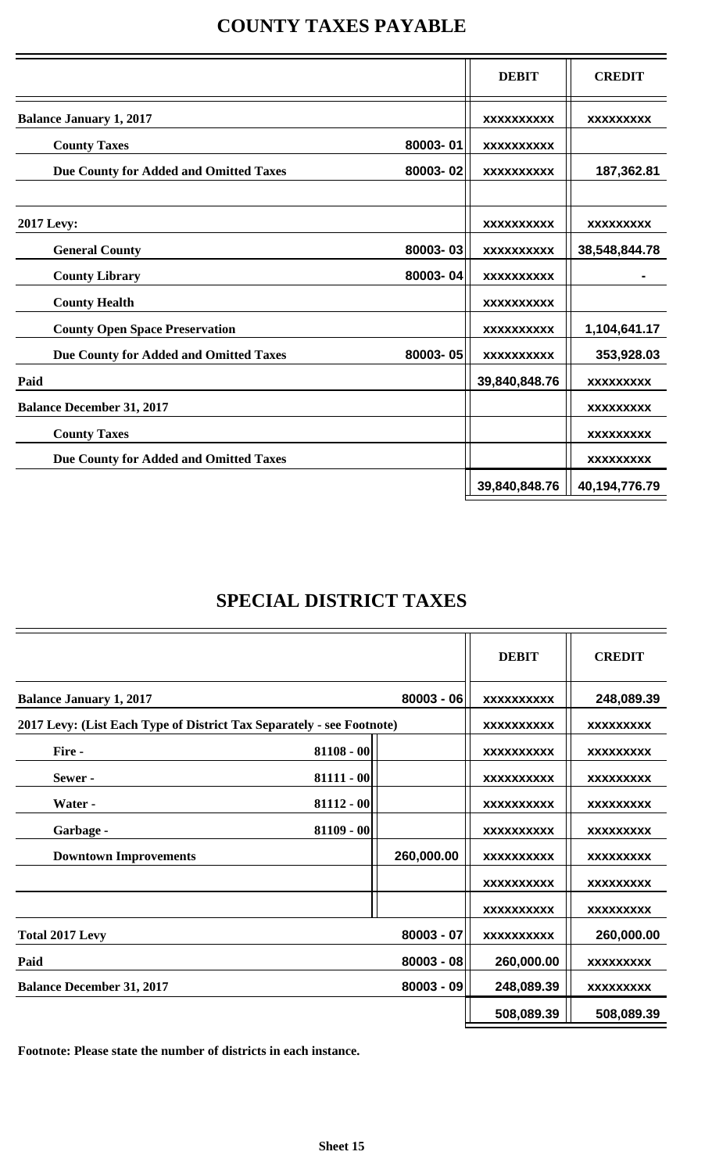|  | <b>COUNTY TAXES PAYABLE</b> |  |  |
|--|-----------------------------|--|--|
|--|-----------------------------|--|--|

|                                        |          | <b>DEBIT</b>      | <b>CREDIT</b>    |
|----------------------------------------|----------|-------------------|------------------|
| <b>Balance January 1, 2017</b>         |          | <b>XXXXXXXXXX</b> | <b>XXXXXXXXX</b> |
| <b>County Taxes</b>                    | 80003-01 | <b>XXXXXXXXXX</b> |                  |
| Due County for Added and Omitted Taxes | 80003-02 | <b>XXXXXXXXXX</b> | 187,362.81       |
| <b>2017 Levy:</b>                      |          | <b>XXXXXXXXXX</b> | <b>XXXXXXXXX</b> |
| <b>General County</b>                  | 80003-03 | <b>XXXXXXXXXX</b> | 38,548,844.78    |
| <b>County Library</b>                  | 80003-04 | <b>XXXXXXXXXX</b> |                  |
| <b>County Health</b>                   |          | <b>XXXXXXXXXX</b> |                  |
| <b>County Open Space Preservation</b>  |          | <b>XXXXXXXXXX</b> | 1,104,641.17     |
| Due County for Added and Omitted Taxes | 80003-05 | <b>XXXXXXXXXX</b> | 353,928.03       |
| Paid                                   |          | 39,840,848.76     | <b>XXXXXXXXX</b> |
| <b>Balance December 31, 2017</b>       |          |                   | <b>XXXXXXXXX</b> |
| <b>County Taxes</b>                    |          |                   | <b>XXXXXXXXX</b> |
| Due County for Added and Omitted Taxes |          |                   | <b>XXXXXXXXX</b> |
|                                        |          | 39,840,848.76     | 40,194,776.79    |

## **SPECIAL DISTRICT TAXES**

|                                                                       |              |              | <b>DEBIT</b>      | <b>CREDIT</b>    |
|-----------------------------------------------------------------------|--------------|--------------|-------------------|------------------|
| <b>Balance January 1, 2017</b>                                        |              | $80003 - 06$ | <b>XXXXXXXXXX</b> | 248,089.39       |
| 2017 Levy: (List Each Type of District Tax Separately - see Footnote) |              |              | <b>XXXXXXXXXX</b> | <b>XXXXXXXXX</b> |
| Fire -                                                                | $81108 - 00$ |              | <b>XXXXXXXXXX</b> | <b>XXXXXXXXX</b> |
| Sewer-                                                                | $81111 - 00$ |              | <b>XXXXXXXXXX</b> | <b>XXXXXXXXX</b> |
| Water -                                                               | $81112 - 00$ |              | <b>XXXXXXXXXX</b> | <b>XXXXXXXXX</b> |
| Garbage -                                                             | $81109 - 00$ |              | <b>XXXXXXXXXX</b> | <b>XXXXXXXXX</b> |
| <b>Downtown Improvements</b>                                          |              | 260,000.00   | <b>XXXXXXXXXX</b> | <b>XXXXXXXXX</b> |
|                                                                       |              |              | <b>XXXXXXXXXX</b> | <b>XXXXXXXXX</b> |
|                                                                       |              |              | <b>XXXXXXXXXX</b> | <b>XXXXXXXXX</b> |
| <b>Total 2017 Levy</b>                                                |              | $80003 - 07$ | <b>XXXXXXXXXX</b> | 260,000.00       |
| Paid                                                                  |              | $80003 - 08$ | 260,000.00        | <b>XXXXXXXXX</b> |
| <b>Balance December 31, 2017</b>                                      |              | $80003 - 09$ | 248,089.39        | <b>XXXXXXXXX</b> |
|                                                                       |              |              | 508,089.39        | 508,089.39       |
|                                                                       |              |              |                   |                  |

**Footnote: Please state the number of districts in each instance.**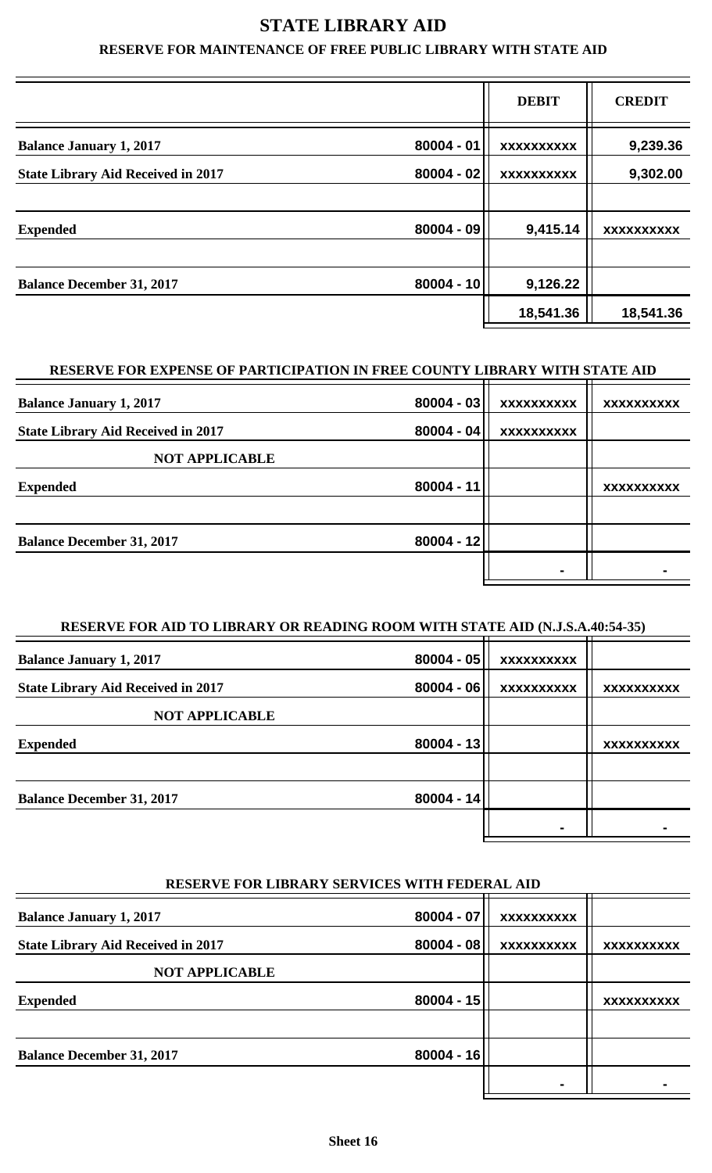### **STATE LIBRARY AID**

#### **RESERVE FOR MAINTENANCE OF FREE PUBLIC LIBRARY WITH STATE AID**

|                                           |              | <b>DEBIT</b>           | <b>CREDIT</b>     |
|-------------------------------------------|--------------|------------------------|-------------------|
| <b>Balance January 1, 2017</b>            | $80004 - 01$ | П<br><b>XXXXXXXXXX</b> | 9,239.36          |
| <b>State Library Aid Received in 2017</b> | $80004 - 02$ | <b>XXXXXXXXXX</b>      | 9,302.00          |
|                                           |              |                        |                   |
| <b>Expended</b>                           | $80004 - 09$ | 9,415.14               | <b>XXXXXXXXXX</b> |
|                                           |              |                        |                   |
| <b>Balance December 31, 2017</b>          | $80004 - 10$ | 9,126.22               |                   |
|                                           |              | 18,541.36              | 18,541.36         |

#### **RESERVE FOR EXPENSE OF PARTICIPATION IN FREE COUNTY LIBRARY WITH STATE AID**

| <b>Balance January 1, 2017</b>            | $80004 - 03$ | <b>XXXXXXXXXX</b> | <b>XXXXXXXXXX</b> |
|-------------------------------------------|--------------|-------------------|-------------------|
| <b>State Library Aid Received in 2017</b> | $80004 - 04$ | <b>XXXXXXXXXX</b> |                   |
| <b>NOT APPLICABLE</b>                     |              |                   |                   |
| <b>Expended</b>                           | $80004 - 11$ |                   | <b>XXXXXXXXXX</b> |
|                                           |              |                   |                   |
| <b>Balance December 31, 2017</b>          | $80004 - 12$ |                   |                   |
|                                           |              |                   |                   |
|                                           |              |                   |                   |

#### **RESERVE FOR AID TO LIBRARY OR READING ROOM WITH STATE AID (N.J.S.A.40:54-35)**

| <b>Balance January 1, 2017</b>            | $80004 - 05$ | <b>XXXXXXXXXX</b> |                   |
|-------------------------------------------|--------------|-------------------|-------------------|
| <b>State Library Aid Received in 2017</b> | $80004 - 06$ | <b>XXXXXXXXXX</b> | <b>XXXXXXXXXX</b> |
| <b>NOT APPLICABLE</b>                     |              |                   |                   |
| <b>Expended</b>                           | $80004 - 13$ |                   | <b>XXXXXXXXXX</b> |
|                                           |              |                   |                   |
| <b>Balance December 31, 2017</b>          | $80004 - 14$ |                   |                   |
|                                           |              |                   |                   |
|                                           |              |                   |                   |

#### **RESERVE FOR LIBRARY SERVICES WITH FEDERAL AID**

| <b>Balance January 1, 2017</b>            | $80004 - 07$ | <b>XXXXXXXXXX</b> |                   |
|-------------------------------------------|--------------|-------------------|-------------------|
| <b>State Library Aid Received in 2017</b> | $80004 - 08$ | <b>XXXXXXXXXX</b> | <b>XXXXXXXXXX</b> |
| <b>NOT APPLICABLE</b>                     |              |                   |                   |
| <b>Expended</b>                           | $80004 - 15$ |                   | <b>XXXXXXXXXX</b> |
|                                           |              |                   |                   |
| <b>Balance December 31, 2017</b>          | $80004 - 16$ |                   |                   |
|                                           |              |                   |                   |
|                                           |              |                   |                   |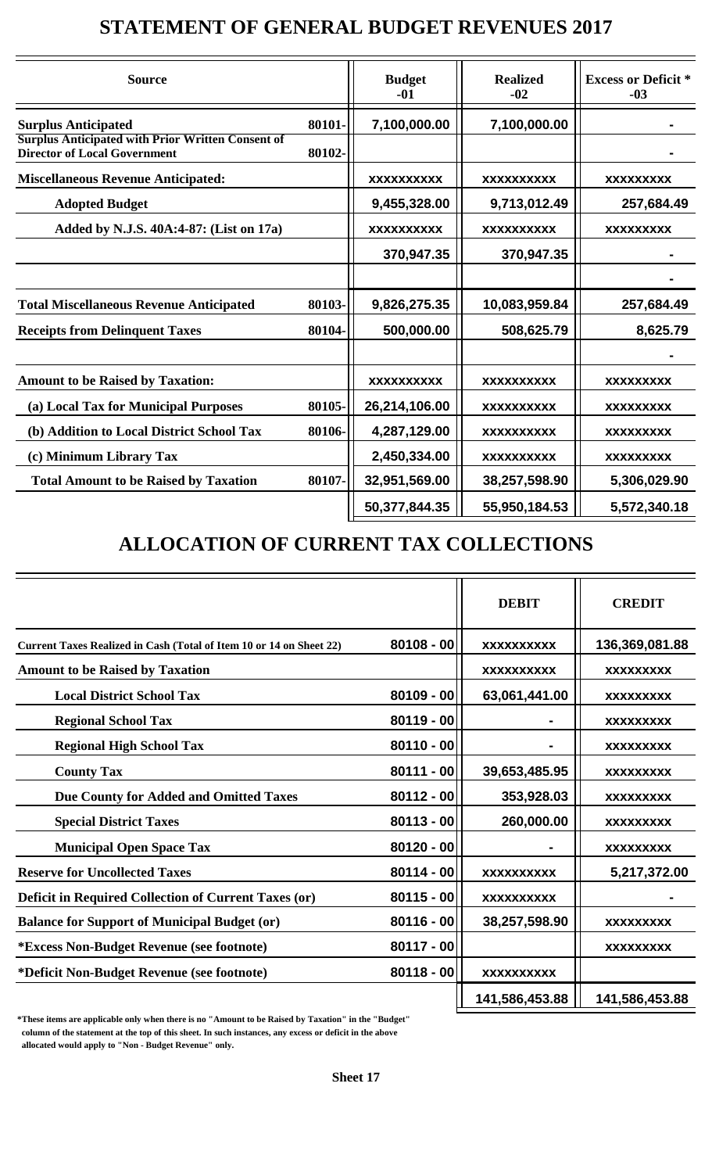## **STATEMENT OF GENERAL BUDGET REVENUES 2017**

| <b>Source</b>                                                                                   |        | <b>Budget</b><br>$-01$ | <b>Realized</b><br>$-02$ | <b>Excess or Deficit *</b><br>$-03$ |
|-------------------------------------------------------------------------------------------------|--------|------------------------|--------------------------|-------------------------------------|
| <b>Surplus Anticipated</b>                                                                      | 80101- | 7,100,000.00           | 7,100,000.00             |                                     |
| <b>Surplus Anticipated with Prior Written Consent of</b><br><b>Director of Local Government</b> | 80102- |                        |                          |                                     |
| <b>Miscellaneous Revenue Anticipated:</b>                                                       |        | <b>XXXXXXXXXX</b>      | <b>XXXXXXXXXX</b>        | <b>XXXXXXXXX</b>                    |
| <b>Adopted Budget</b>                                                                           |        | 9,455,328.00           | 9,713,012.49             | 257,684.49                          |
| Added by N.J.S. 40A:4-87: (List on 17a)                                                         |        | <b>XXXXXXXXXX</b>      | <b>XXXXXXXXXX</b>        | <b>XXXXXXXXX</b>                    |
|                                                                                                 |        | 370,947.35             | 370,947.35               |                                     |
|                                                                                                 |        |                        |                          |                                     |
| <b>Total Miscellaneous Revenue Anticipated</b>                                                  | 80103- | 9,826,275.35           | 10,083,959.84            | 257,684.49                          |
| <b>Receipts from Delinquent Taxes</b>                                                           | 80104- | 500,000.00             | 508,625.79               | 8,625.79                            |
|                                                                                                 |        |                        |                          |                                     |
| <b>Amount to be Raised by Taxation:</b>                                                         |        | <b>XXXXXXXXXX</b>      | <b>XXXXXXXXXX</b>        | <b>XXXXXXXXX</b>                    |
| (a) Local Tax for Municipal Purposes                                                            | 80105- | 26,214,106.00          | <b>XXXXXXXXXX</b>        | <b>XXXXXXXXX</b>                    |
| (b) Addition to Local District School Tax                                                       | 80106- | 4,287,129.00           | <b>XXXXXXXXXX</b>        | <b>XXXXXXXXX</b>                    |
| (c) Minimum Library Tax                                                                         |        | 2,450,334.00           | <b>XXXXXXXXXX</b>        | <b>XXXXXXXXX</b>                    |
| <b>Total Amount to be Raised by Taxation</b>                                                    | 80107- | 32,951,569.00          | 38,257,598.90            | 5,306,029.90                        |
|                                                                                                 |        | 50,377,844.35          | 55,950,184.53            | 5,572,340.18                        |

## **ALLOCATION OF CURRENT TAX COLLECTIONS**

|                                                                     |              | <b>DEBIT</b>      | <b>CREDIT</b>    |
|---------------------------------------------------------------------|--------------|-------------------|------------------|
| Current Taxes Realized in Cash (Total of Item 10 or 14 on Sheet 22) | $80108 - 00$ | <b>XXXXXXXXXX</b> | 136,369,081.88   |
| <b>Amount to be Raised by Taxation</b>                              |              | <b>XXXXXXXXXX</b> | <b>XXXXXXXXX</b> |
| <b>Local District School Tax</b>                                    | $80109 - 00$ | 63,061,441.00     | <b>XXXXXXXXX</b> |
| <b>Regional School Tax</b>                                          | $80119 - 00$ |                   | <b>XXXXXXXXX</b> |
| <b>Regional High School Tax</b>                                     | $80110 - 00$ |                   | <b>XXXXXXXXX</b> |
| <b>County Tax</b>                                                   | $80111 - 00$ | 39,653,485.95     | <b>XXXXXXXXX</b> |
| Due County for Added and Omitted Taxes                              | $80112 - 00$ | 353,928.03        | <b>XXXXXXXXX</b> |
| <b>Special District Taxes</b>                                       | $80113 - 00$ | 260,000.00        | <b>XXXXXXXXX</b> |
| <b>Municipal Open Space Tax</b>                                     | $80120 - 00$ |                   | <b>XXXXXXXXX</b> |
| <b>Reserve for Uncollected Taxes</b>                                | $80114 - 00$ | <b>XXXXXXXXXX</b> | 5,217,372.00     |
| <b>Deficit in Required Collection of Current Taxes (or)</b>         | $80115 - 00$ | <b>XXXXXXXXXX</b> |                  |
| <b>Balance for Support of Municipal Budget (or)</b>                 | $80116 - 00$ | 38,257,598.90     | <b>XXXXXXXXX</b> |
| <i>*Excess Non-Budget Revenue (see footnote)</i>                    | $80117 - 00$ |                   | <b>XXXXXXXXX</b> |
| *Deficit Non-Budget Revenue (see footnote)                          | $80118 - 00$ | <b>XXXXXXXXXX</b> |                  |
|                                                                     |              | 141,586,453.88    | 141,586,453.88   |

**\*These items are applicable only when there is no "Amount to be Raised by Taxation" in the "Budget" column of the statement at the top of this sheet. In such instances, any excess or deficit in the above allocated would apply to "Non - Budget Revenue" only.**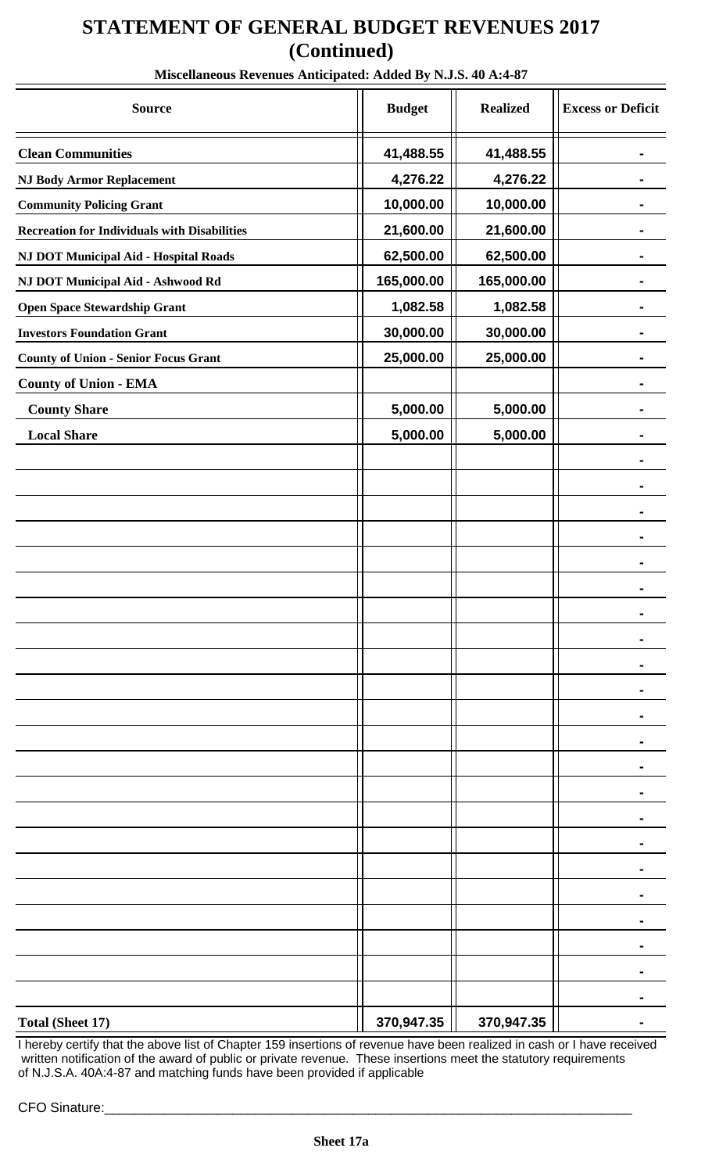## **STATEMENT OF GENERAL BUDGET REVENUES 2017 (Continued)**

| Miscenancous Kevenues Anticipateu. Autreu Dy 15350. 40 A.4-07 |               |                 |                          |
|---------------------------------------------------------------|---------------|-----------------|--------------------------|
| <b>Source</b>                                                 | <b>Budget</b> | <b>Realized</b> | <b>Excess or Deficit</b> |
| <b>Clean Communities</b>                                      | 41,488.55     | 41,488.55       |                          |
| <b>NJ Body Armor Replacement</b>                              | 4,276.22      | 4,276.22        |                          |
| <b>Community Policing Grant</b>                               | 10,000.00     | 10,000.00       |                          |
| <b>Recreation for Individuals with Disabilities</b>           | 21,600.00     | 21,600.00       |                          |
| <b>NJ DOT Municipal Aid - Hospital Roads</b>                  | 62,500.00     | 62,500.00       |                          |
| NJ DOT Municipal Aid - Ashwood Rd                             | 165,000.00    | 165,000.00      |                          |
| <b>Open Space Stewardship Grant</b>                           | 1,082.58      | 1,082.58        |                          |
| <b>Investors Foundation Grant</b>                             | 30,000.00     | 30,000.00       |                          |
| <b>County of Union - Senior Focus Grant</b>                   | 25,000.00     | 25,000.00       |                          |
| <b>County of Union - EMA</b>                                  |               |                 |                          |
| <b>County Share</b>                                           | 5,000.00      | 5,000.00        |                          |
| <b>Local Share</b>                                            | 5,000.00      | 5,000.00        |                          |
|                                                               |               |                 |                          |
|                                                               |               |                 |                          |
|                                                               |               |                 |                          |
|                                                               |               |                 |                          |
|                                                               |               |                 |                          |
|                                                               |               |                 |                          |
|                                                               |               |                 |                          |
|                                                               |               |                 |                          |
|                                                               |               |                 |                          |
|                                                               |               |                 |                          |
|                                                               |               |                 |                          |
|                                                               |               |                 |                          |
|                                                               |               |                 |                          |
|                                                               |               |                 |                          |
|                                                               |               |                 |                          |
|                                                               |               |                 |                          |
|                                                               |               |                 |                          |
|                                                               |               |                 |                          |
|                                                               |               |                 |                          |
|                                                               |               |                 |                          |
|                                                               |               |                 |                          |
|                                                               |               |                 |                          |
| <b>Total (Sheet 17)</b>                                       | 370,947.35    | 370,947.35      |                          |

**Miscellaneous Revenues Anticipated: Added By N.J.S. 40 A:4-87**

I hereby certify that the above list of Chapter 159 insertions of revenue have been realized in cash or I have received written notification of the award of public or private revenue. These insertions meet the statutory requirements of N.J.S.A. 40A:4-87 and matching funds have been provided if applicable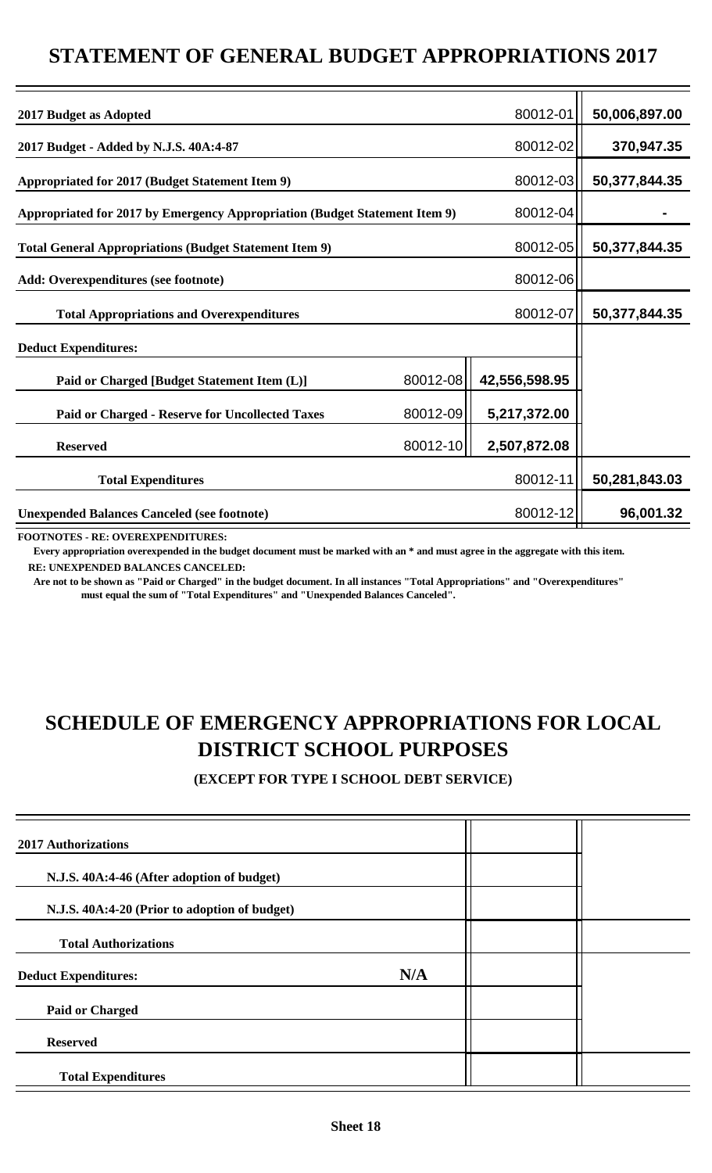### **STATEMENT OF GENERAL BUDGET APPROPRIATIONS 2017**

| 2017 Budget as Adopted                                                     |          | 80012-01      | 50,006,897.00 |
|----------------------------------------------------------------------------|----------|---------------|---------------|
| 2017 Budget - Added by N.J.S. 40A:4-87                                     |          | 80012-02      | 370,947.35    |
| Appropriated for 2017 (Budget Statement Item 9)                            |          | 80012-03      | 50,377,844.35 |
| Appropriated for 2017 by Emergency Appropriation (Budget Statement Item 9) |          | 80012-04      |               |
| <b>Total General Appropriations (Budget Statement Item 9)</b>              |          | 80012-05      | 50,377,844.35 |
| <b>Add: Overexpenditures (see footnote)</b>                                |          | 80012-06      |               |
| <b>Total Appropriations and Overexpenditures</b>                           |          | 80012-07      | 50,377,844.35 |
| <b>Deduct Expenditures:</b>                                                |          |               |               |
| Paid or Charged [Budget Statement Item (L)]                                | 80012-08 | 42,556,598.95 |               |
| <b>Paid or Charged - Reserve for Uncollected Taxes</b>                     | 80012-09 | 5,217,372.00  |               |
| <b>Reserved</b>                                                            | 80012-10 | 2,507,872.08  |               |
| <b>Total Expenditures</b>                                                  |          | 80012-11      | 50,281,843.03 |
| <b>Unexpended Balances Canceled (see footnote)</b>                         |          | 80012-12      | 96,001.32     |
|                                                                            |          |               |               |

**FOOTNOTES - RE: OVEREXPENDITURES:**

 **Every appropriation overexpended in the budget document must be marked with an \* and must agree in the aggregate with this item. RE: UNEXPENDED BALANCES CANCELED:**

 **Are not to be shown as "Paid or Charged" in the budget document. In all instances "Total Appropriations" and "Overexpenditures" must equal the sum of "Total Expenditures" and "Unexpended Balances Canceled".**

## **SCHEDULE OF EMERGENCY APPROPRIATIONS FOR LOCAL DISTRICT SCHOOL PURPOSES**

**(EXCEPT FOR TYPE I SCHOOL DEBT SERVICE)**

| <b>2017 Authorizations</b>                    |     |  |
|-----------------------------------------------|-----|--|
| N.J.S. 40A:4-46 (After adoption of budget)    |     |  |
| N.J.S. 40A:4-20 (Prior to adoption of budget) |     |  |
| <b>Total Authorizations</b>                   |     |  |
| <b>Deduct Expenditures:</b>                   | N/A |  |
| <b>Paid or Charged</b>                        |     |  |
| <b>Reserved</b>                               |     |  |
| <b>Total Expenditures</b>                     |     |  |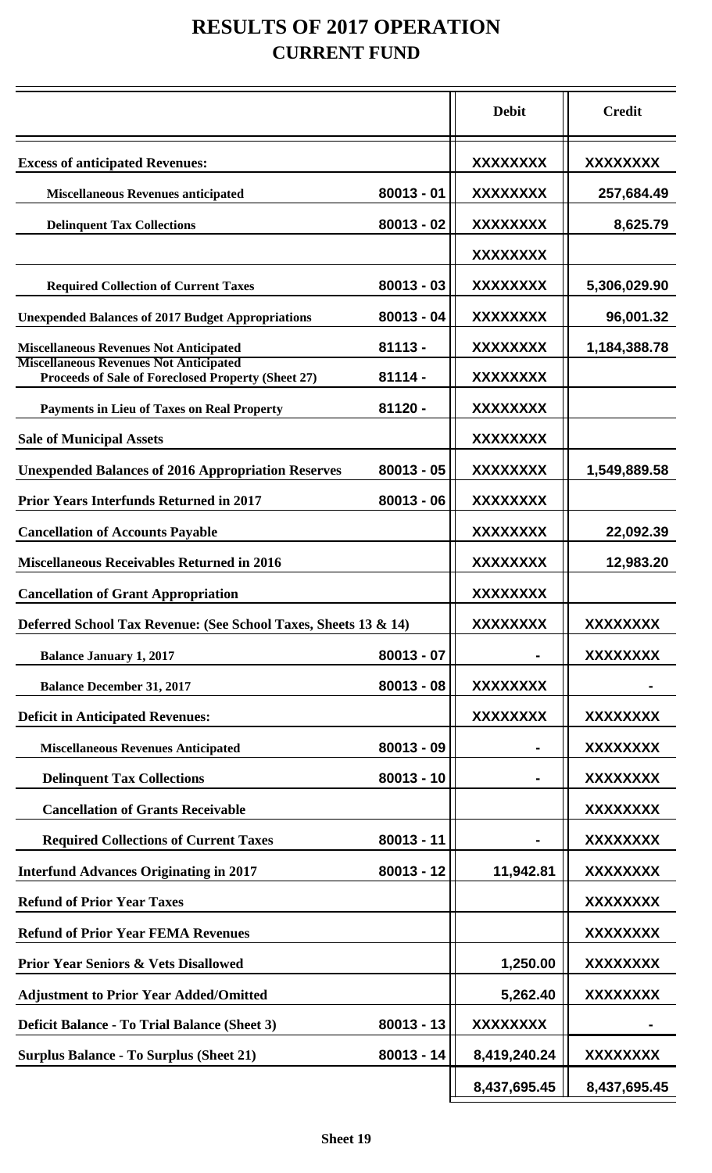## **RESULTS OF 2017 OPERATION CURRENT FUND**

|                                                                                                     |              | <b>Debit</b>    | <b>Credit</b>   |
|-----------------------------------------------------------------------------------------------------|--------------|-----------------|-----------------|
| <b>Excess of anticipated Revenues:</b>                                                              |              | XXXXXXXX        | XXXXXXXX        |
| <b>Miscellaneous Revenues anticipated</b>                                                           | $80013 - 01$ | XXXXXXXX        | 257,684.49      |
| <b>Delinquent Tax Collections</b>                                                                   | $80013 - 02$ | <b>XXXXXXXX</b> | 8,625.79        |
|                                                                                                     |              | XXXXXXXX        |                 |
| <b>Required Collection of Current Taxes</b>                                                         | $80013 - 03$ | XXXXXXXX        | 5,306,029.90    |
| <b>Unexpended Balances of 2017 Budget Appropriations</b>                                            | $80013 - 04$ | <b>XXXXXXXX</b> | 96,001.32       |
| <b>Miscellaneous Revenues Not Anticipated</b>                                                       | $81113 -$    | XXXXXXXX        | 1,184,388.78    |
| <b>Miscellaneous Revenues Not Anticipated</b><br>Proceeds of Sale of Foreclosed Property (Sheet 27) | $81114 -$    | <b>XXXXXXXX</b> |                 |
| <b>Payments in Lieu of Taxes on Real Property</b>                                                   | 81120 -      | XXXXXXXX        |                 |
| <b>Sale of Municipal Assets</b>                                                                     |              | <b>XXXXXXXX</b> |                 |
| <b>Unexpended Balances of 2016 Appropriation Reserves</b>                                           | $80013 - 05$ | XXXXXXXX        | 1,549,889.58    |
| <b>Prior Years Interfunds Returned in 2017</b>                                                      | $80013 - 06$ | XXXXXXXX        |                 |
| <b>Cancellation of Accounts Payable</b>                                                             |              | XXXXXXXX        | 22,092.39       |
| <b>Miscellaneous Receivables Returned in 2016</b>                                                   |              | <b>XXXXXXXX</b> | 12,983.20       |
| <b>Cancellation of Grant Appropriation</b>                                                          |              | <b>XXXXXXXX</b> |                 |
| Deferred School Tax Revenue: (See School Taxes, Sheets 13 & 14)                                     |              | <b>XXXXXXXX</b> | <b>XXXXXXXX</b> |
| <b>Balance January 1, 2017</b>                                                                      | $80013 - 07$ |                 | <b>XXXXXXXX</b> |
| <b>Balance December 31, 2017</b>                                                                    | $80013 - 08$ | <b>XXXXXXXX</b> |                 |
| <b>Deficit in Anticipated Revenues:</b>                                                             |              | <b>XXXXXXXX</b> | XXXXXXXX        |
| <b>Miscellaneous Revenues Anticipated</b>                                                           | $80013 - 09$ |                 | XXXXXXXX        |
| <b>Delinquent Tax Collections</b>                                                                   | $80013 - 10$ |                 | XXXXXXXX        |
| <b>Cancellation of Grants Receivable</b>                                                            |              |                 | <b>XXXXXXXX</b> |
| <b>Required Collections of Current Taxes</b>                                                        | $80013 - 11$ |                 | <b>XXXXXXXX</b> |
| <b>Interfund Advances Originating in 2017</b>                                                       | $80013 - 12$ | 11,942.81       | XXXXXXXX        |
| <b>Refund of Prior Year Taxes</b>                                                                   |              |                 | XXXXXXXX        |
| <b>Refund of Prior Year FEMA Revenues</b>                                                           |              |                 | <b>XXXXXXXX</b> |
| <b>Prior Year Seniors &amp; Vets Disallowed</b>                                                     |              | 1,250.00        | <b>XXXXXXXX</b> |
| <b>Adjustment to Prior Year Added/Omitted</b>                                                       |              | 5,262.40        | <b>XXXXXXXX</b> |
| <b>Deficit Balance - To Trial Balance (Sheet 3)</b>                                                 | $80013 - 13$ | XXXXXXXX        |                 |
| <b>Surplus Balance - To Surplus (Sheet 21)</b>                                                      | $80013 - 14$ | 8,419,240.24    | XXXXXXXX        |
|                                                                                                     |              | 8,437,695.45    | 8,437,695.45    |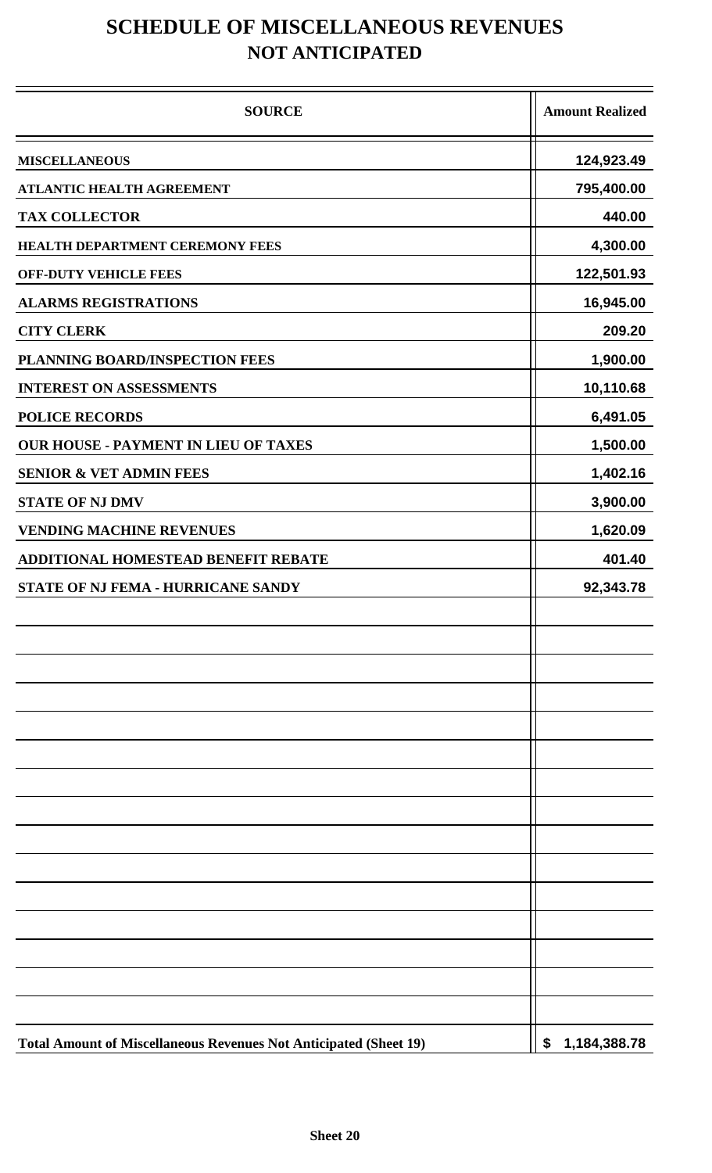## **SCHEDULE OF MISCELLANEOUS REVENUES NOT ANTICIPATED**

| <b>SOURCE</b>                                                            | <b>Amount Realized</b> |
|--------------------------------------------------------------------------|------------------------|
| <b>MISCELLANEOUS</b>                                                     | 124,923.49             |
| ATLANTIC HEALTH AGREEMENT                                                | 795,400.00             |
| <b>TAX COLLECTOR</b>                                                     | 440.00                 |
| <b>HEALTH DEPARTMENT CEREMONY FEES</b>                                   | 4,300.00               |
| <b>OFF-DUTY VEHICLE FEES</b>                                             | 122,501.93             |
| <b>ALARMS REGISTRATIONS</b>                                              | 16,945.00              |
| <b>CITY CLERK</b>                                                        | 209.20                 |
| PLANNING BOARD/INSPECTION FEES                                           | 1,900.00               |
| <b>INTEREST ON ASSESSMENTS</b>                                           | 10,110.68              |
| <b>POLICE RECORDS</b>                                                    | 6,491.05               |
| <b>OUR HOUSE - PAYMENT IN LIEU OF TAXES</b>                              | 1,500.00               |
| <b>SENIOR &amp; VET ADMIN FEES</b>                                       | 1,402.16               |
| <b>STATE OF NJ DMV</b>                                                   | 3,900.00               |
| <b>VENDING MACHINE REVENUES</b>                                          | 1,620.09               |
| <b>ADDITIONAL HOMESTEAD BENEFIT REBATE</b>                               | 401.40                 |
| STATE OF NJ FEMA - HURRICANE SANDY                                       | 92,343.78              |
|                                                                          |                        |
|                                                                          |                        |
|                                                                          |                        |
|                                                                          |                        |
|                                                                          |                        |
|                                                                          |                        |
|                                                                          |                        |
|                                                                          |                        |
|                                                                          |                        |
| <b>Total Amount of Miscellaneous Revenues Not Anticipated (Sheet 19)</b> | \$1,184,388.78         |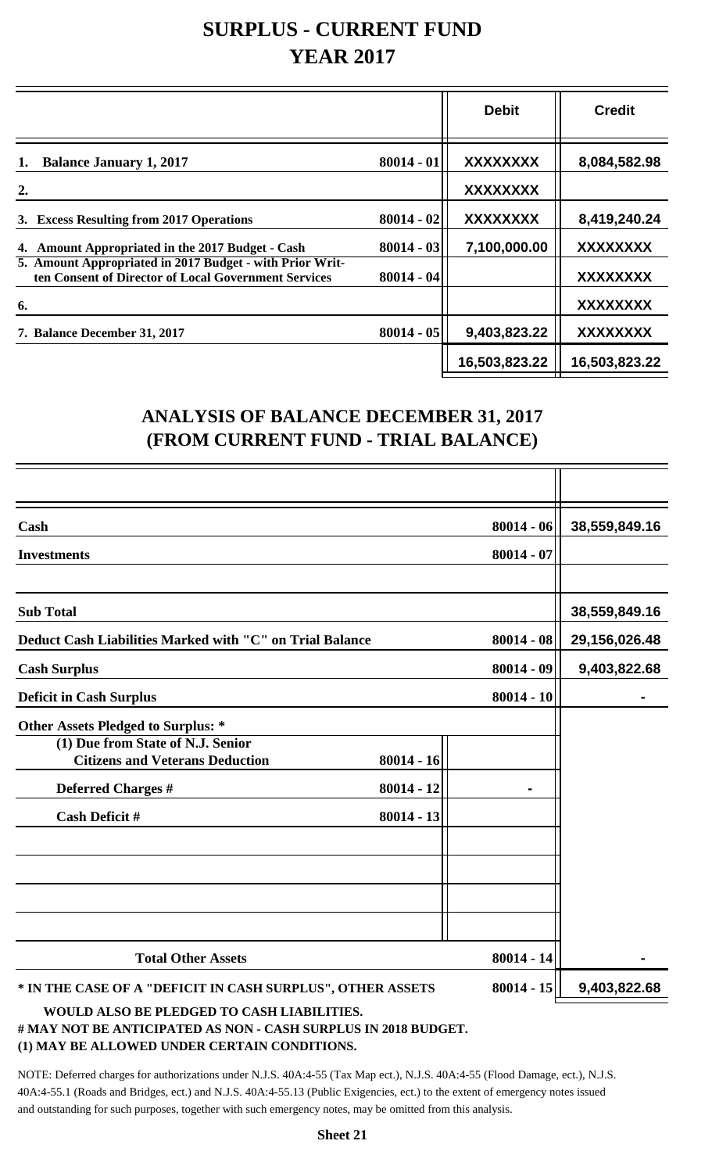## **SURPLUS - CURRENT FUND YEAR 2017**

|                                                                                                                  |              | <b>Debit</b>    | <b>Credit</b>   |
|------------------------------------------------------------------------------------------------------------------|--------------|-----------------|-----------------|
| <b>Balance January 1, 2017</b><br>1.                                                                             | $80014 - 01$ | <b>XXXXXXXX</b> | 8,084,582.98    |
| 2.                                                                                                               |              | <b>XXXXXXXX</b> |                 |
| 3. Excess Resulting from 2017 Operations                                                                         | $80014 - 02$ | <b>XXXXXXXX</b> | 8,419,240.24    |
| 4. Amount Appropriated in the 2017 Budget - Cash                                                                 | $80014 - 03$ | 7,100,000.00    | <b>XXXXXXXX</b> |
| 5. Amount Appropriated in 2017 Budget - with Prior Writ-<br>ten Consent of Director of Local Government Services | $80014 - 04$ |                 | <b>XXXXXXXX</b> |
| 6.                                                                                                               |              |                 | <b>XXXXXXXX</b> |
| 7. Balance December 31, 2017                                                                                     | $80014 - 05$ | 9,403,823.22    | <b>XXXXXXXX</b> |
|                                                                                                                  |              | 16,503,823.22   | 16,503,823.22   |

### **ANALYSIS OF BALANCE DECEMBER 31, 2017 (FROM CURRENT FUND - TRIAL BALANCE)**

| Cash                                                                        |              | $80014 - 06$ | 38,559,849.16 |
|-----------------------------------------------------------------------------|--------------|--------------|---------------|
| <b>Investments</b>                                                          |              | $80014 - 07$ |               |
|                                                                             |              |              |               |
| <b>Sub Total</b>                                                            |              |              | 38,559,849.16 |
| Deduct Cash Liabilities Marked with "C" on Trial Balance                    |              | $80014 - 08$ | 29,156,026.48 |
| <b>Cash Surplus</b>                                                         |              | $80014 - 09$ | 9,403,822.68  |
| <b>Deficit in Cash Surplus</b>                                              |              | $80014 - 10$ |               |
| <b>Other Assets Pledged to Surplus: *</b>                                   |              |              |               |
| (1) Due from State of N.J. Senior<br><b>Citizens and Veterans Deduction</b> | $80014 - 16$ |              |               |
| <b>Deferred Charges #</b>                                                   | $80014 - 12$ |              |               |
| <b>Cash Deficit #</b>                                                       | $80014 - 13$ |              |               |
|                                                                             |              |              |               |
|                                                                             |              |              |               |
|                                                                             |              |              |               |
|                                                                             |              |              |               |
| <b>Total Other Assets</b>                                                   |              | $80014 - 14$ |               |
| * IN THE CASE OF A "DEFICIT IN CASH SURPLUS", OTHER ASSETS                  |              | $80014 - 15$ | 9,403,822.68  |
| WAITER AT GO BE BEED GED GO CAGILLIABIE WIEG                                |              |              |               |

#### **WOULD ALSO BE PLEDGED TO CASH LIABILITIES.**

#### **# MAY NOT BE ANTICIPATED AS NON - CASH SURPLUS IN 2018 BUDGET. (1) MAY BE ALLOWED UNDER CERTAIN CONDITIONS.**

NOTE: Deferred charges for authorizations under N.J.S. 40A:4-55 (Tax Map ect.), N.J.S. 40A:4-55 (Flood Damage, ect.), N.J.S. 40A:4-55.1 (Roads and Bridges, ect.) and N.J.S. 40A:4-55.13 (Public Exigencies, ect.) to the extent of emergency notes issued and outstanding for such purposes, together with such emergency notes, may be omitted from this analysis.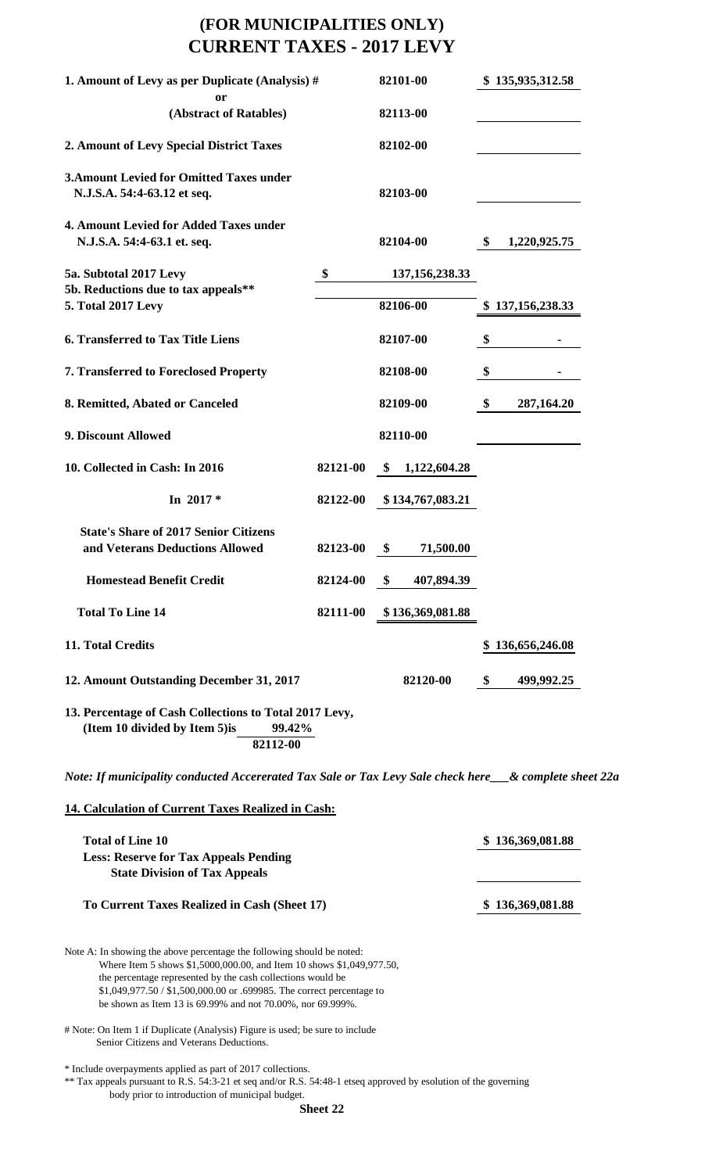### **(FOR MUNICIPALITIES ONLY) CURRENT TAXES - 2017 LEVY**

| 1. Amount of Levy as per Duplicate (Analysis) #                                                                                                                                                                                                                                                                                                       |          |    | 82101-00                      |               | \$135,935,312.58 |  |
|-------------------------------------------------------------------------------------------------------------------------------------------------------------------------------------------------------------------------------------------------------------------------------------------------------------------------------------------------------|----------|----|-------------------------------|---------------|------------------|--|
| <b>or</b><br>(Abstract of Ratables)                                                                                                                                                                                                                                                                                                                   |          |    | 82113-00                      |               |                  |  |
| 2. Amount of Levy Special District Taxes                                                                                                                                                                                                                                                                                                              |          |    | 82102-00                      |               |                  |  |
| <b>3. Amount Levied for Omitted Taxes under</b><br>N.J.S.A. 54:4-63.12 et seq.                                                                                                                                                                                                                                                                        |          |    | 82103-00                      |               |                  |  |
| 4. Amount Levied for Added Taxes under<br>N.J.S.A. 54:4-63.1 et. seq.                                                                                                                                                                                                                                                                                 |          |    | 82104-00                      | \$            | 1,220,925.75     |  |
| 5a. Subtotal 2017 Levy<br>5b. Reductions due to tax appeals**<br>5. Total 2017 Levy                                                                                                                                                                                                                                                                   | \$       |    | 137, 156, 238. 33<br>82106-00 |               | \$137,156,238.33 |  |
|                                                                                                                                                                                                                                                                                                                                                       |          |    |                               |               |                  |  |
| <b>6. Transferred to Tax Title Liens</b>                                                                                                                                                                                                                                                                                                              |          |    | 82107-00                      | \$            |                  |  |
| 7. Transferred to Foreclosed Property                                                                                                                                                                                                                                                                                                                 |          |    | 82108-00                      | \$            |                  |  |
| 8. Remitted, Abated or Canceled                                                                                                                                                                                                                                                                                                                       |          |    | 82109-00                      | \$            | 287,164.20       |  |
| 9. Discount Allowed                                                                                                                                                                                                                                                                                                                                   |          |    | 82110-00                      |               |                  |  |
| 10. Collected in Cash: In 2016                                                                                                                                                                                                                                                                                                                        | 82121-00 | S. | 1,122,604.28                  |               |                  |  |
| In $2017*$                                                                                                                                                                                                                                                                                                                                            | 82122-00 |    | \$134,767,083.21              |               |                  |  |
| <b>State's Share of 2017 Senior Citizens</b><br>and Veterans Deductions Allowed                                                                                                                                                                                                                                                                       | 82123-00 | \$ | 71,500.00                     |               |                  |  |
| <b>Homestead Benefit Credit</b>                                                                                                                                                                                                                                                                                                                       | 82124-00 | \$ | 407,894.39                    |               |                  |  |
| <b>Total To Line 14</b>                                                                                                                                                                                                                                                                                                                               | 82111-00 |    | \$136,369,081.88              |               |                  |  |
| 11. Total Credits                                                                                                                                                                                                                                                                                                                                     |          |    |                               |               | \$136,656,246.08 |  |
| 12. Amount Outstanding December 31, 2017                                                                                                                                                                                                                                                                                                              |          |    | 82120-00                      | $\mathbf{\$}$ | 499,992.25       |  |
| 13. Percentage of Cash Collections to Total 2017 Levy,<br>(Item 10 divided by Item 5) is<br>99.42%<br>82112-00                                                                                                                                                                                                                                        |          |    |                               |               |                  |  |
| Note: If municipality conducted Accererated Tax Sale or Tax Levy Sale check here__& complete sheet 22a                                                                                                                                                                                                                                                |          |    |                               |               |                  |  |
| 14. Calculation of Current Taxes Realized in Cash:                                                                                                                                                                                                                                                                                                    |          |    |                               |               |                  |  |
| <b>Total of Line 10</b><br><b>Less: Reserve for Tax Appeals Pending</b><br><b>State Division of Tax Appeals</b>                                                                                                                                                                                                                                       |          |    |                               |               | \$136,369,081.88 |  |
| To Current Taxes Realized in Cash (Sheet 17)                                                                                                                                                                                                                                                                                                          |          |    |                               |               | \$136,369,081.88 |  |
| Note A: In showing the above percentage the following should be noted:<br>Where Item 5 shows \$1,5000,000.00, and Item 10 shows \$1,049,977.50,<br>the percentage represented by the cash collections would be<br>\$1,049,977.50 / \$1,500,000.00 or .699985. The correct percentage to<br>be shown as Item 13 is 69.99% and not 70.00%, nor 69.999%. |          |    |                               |               |                  |  |
| # Note: On Item 1 if Duplicate (Analysis) Figure is used; be sure to include<br>Senior Citizens and Veterans Deductions.                                                                                                                                                                                                                              |          |    |                               |               |                  |  |

\* Include overpayments applied as part of 2017 collections.

\*\* Tax appeals pursuant to R.S. 54:3-21 et seq and/or R.S. 54:48-1 etseq approved by esolution of the governing body prior to introduction of municipal budget.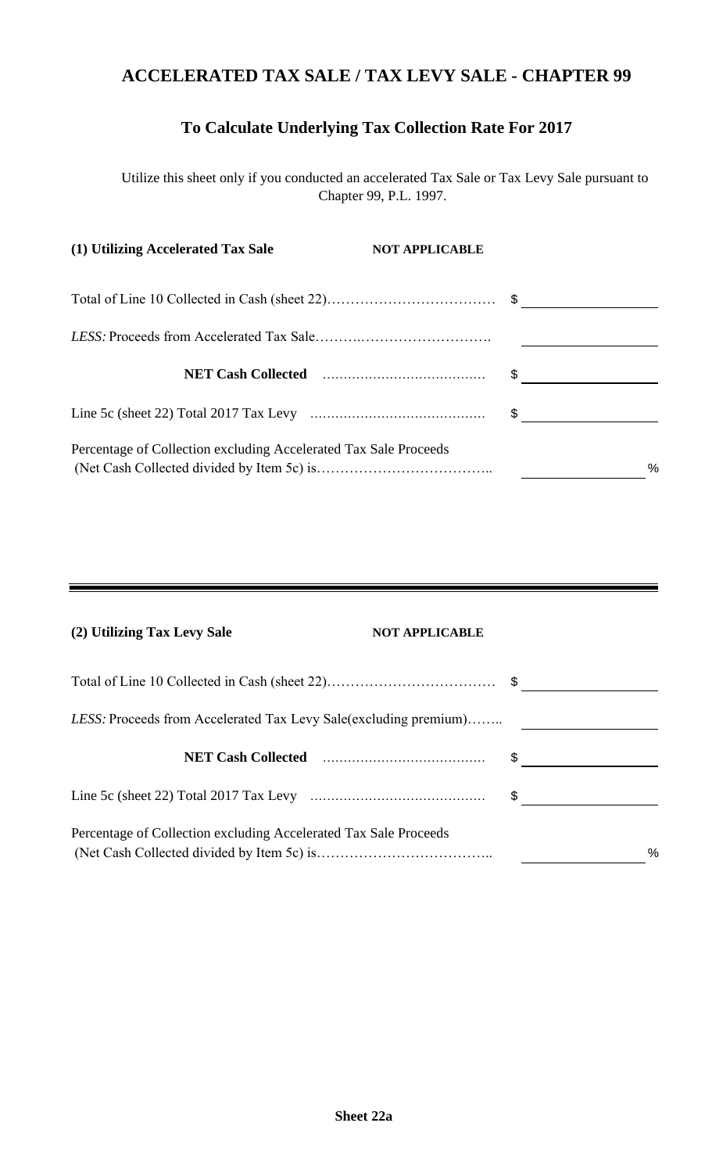### **ACCELERATED TAX SALE / TAX LEVY SALE - CHAPTER 99**

### **To Calculate Underlying Tax Collection Rate For 2017**

Utilize this sheet only if you conducted an accelerated Tax Sale or Tax Levy Sale pursuant to Chapter 99, P.L. 1997.

| (1) Utilizing Accelerated Tax Sale                               | <b>NOT APPLICABLE</b> |
|------------------------------------------------------------------|-----------------------|
|                                                                  |                       |
|                                                                  |                       |
|                                                                  |                       |
|                                                                  |                       |
| Percentage of Collection excluding Accelerated Tax Sale Proceeds | $\%$                  |

| (2) Utilizing Tax Levy Sale                                      | <b>NOT APPLICABLE</b> |      |
|------------------------------------------------------------------|-----------------------|------|
|                                                                  |                       |      |
| LESS: Proceeds from Accelerated Tax Levy Sale(excluding premium) |                       |      |
|                                                                  | \$                    |      |
|                                                                  | \$                    |      |
| Percentage of Collection excluding Accelerated Tax Sale Proceeds |                       | $\%$ |

 $\overline{\phantom{0}}$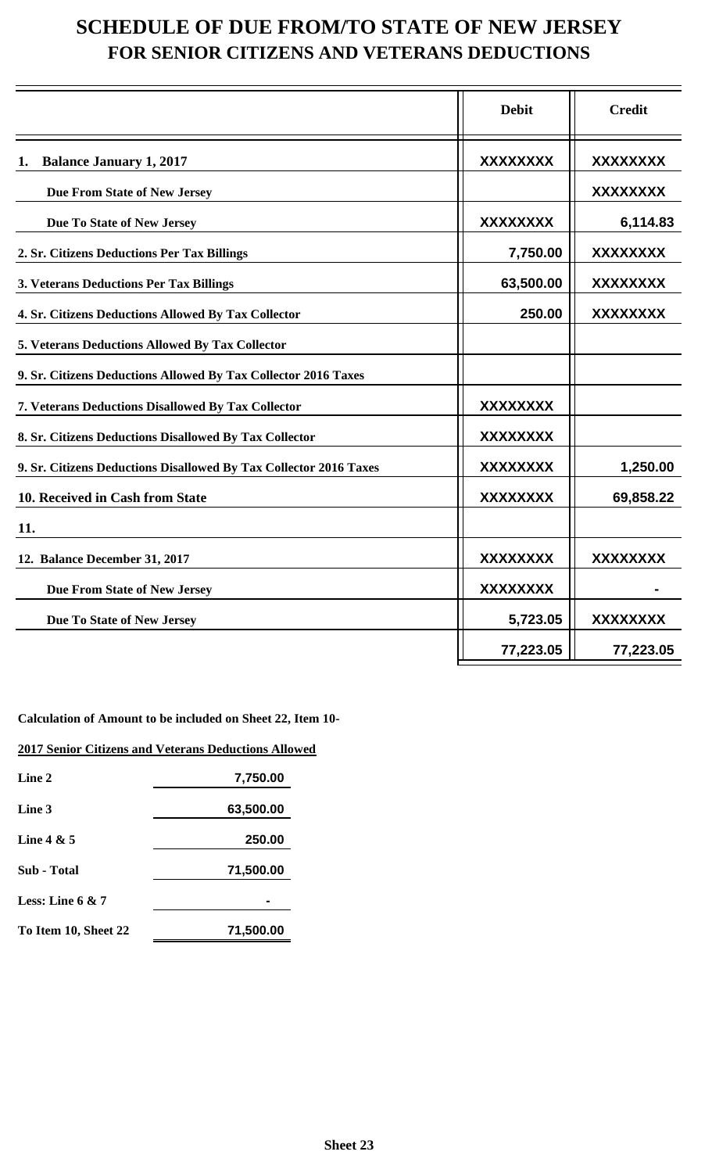## **SCHEDULE OF DUE FROM/TO STATE OF NEW JERSEY FOR SENIOR CITIZENS AND VETERANS DEDUCTIONS**

|                                                                   | <b>Debit</b>    | <b>Credit</b>   |
|-------------------------------------------------------------------|-----------------|-----------------|
| <b>Balance January 1, 2017</b><br>1.                              | <b>XXXXXXXX</b> | <b>XXXXXXXX</b> |
| Due From State of New Jersey                                      |                 | <b>XXXXXXXX</b> |
| Due To State of New Jersey                                        | <b>XXXXXXXX</b> | 6,114.83        |
| 2. Sr. Citizens Deductions Per Tax Billings                       | 7,750.00        | <b>XXXXXXXX</b> |
| 3. Veterans Deductions Per Tax Billings                           | 63,500.00       | <b>XXXXXXXX</b> |
| 4. Sr. Citizens Deductions Allowed By Tax Collector               | 250.00          | <b>XXXXXXXX</b> |
| 5. Veterans Deductions Allowed By Tax Collector                   |                 |                 |
| 9. Sr. Citizens Deductions Allowed By Tax Collector 2016 Taxes    |                 |                 |
| 7. Veterans Deductions Disallowed By Tax Collector                | <b>XXXXXXXX</b> |                 |
| 8. Sr. Citizens Deductions Disallowed By Tax Collector            | <b>XXXXXXXX</b> |                 |
| 9. Sr. Citizens Deductions Disallowed By Tax Collector 2016 Taxes | <b>XXXXXXXX</b> | 1,250.00        |
| 10. Received in Cash from State                                   | <b>XXXXXXXX</b> | 69,858.22       |
| 11.                                                               |                 |                 |
| 12. Balance December 31, 2017                                     | <b>XXXXXXXX</b> | <b>XXXXXXXX</b> |
| Due From State of New Jersey                                      | <b>XXXXXXXX</b> |                 |
| Due To State of New Jersey                                        | 5,723.05        | <b>XXXXXXXX</b> |
|                                                                   | 77,223.05       | 77,223.05       |

**Calculation of Amount to be included on Sheet 22, Item 10-**

**2017 Senior Citizens and Veterans Deductions Allowed**

| Line 2               | 7,750.00  |
|----------------------|-----------|
| Line 3               | 63,500.00 |
| Line $4 & 5$         | 250.00    |
| Sub - Total          | 71,500.00 |
| Less: Line 6 $& 7$   |           |
| To Item 10, Sheet 22 | 71,500.00 |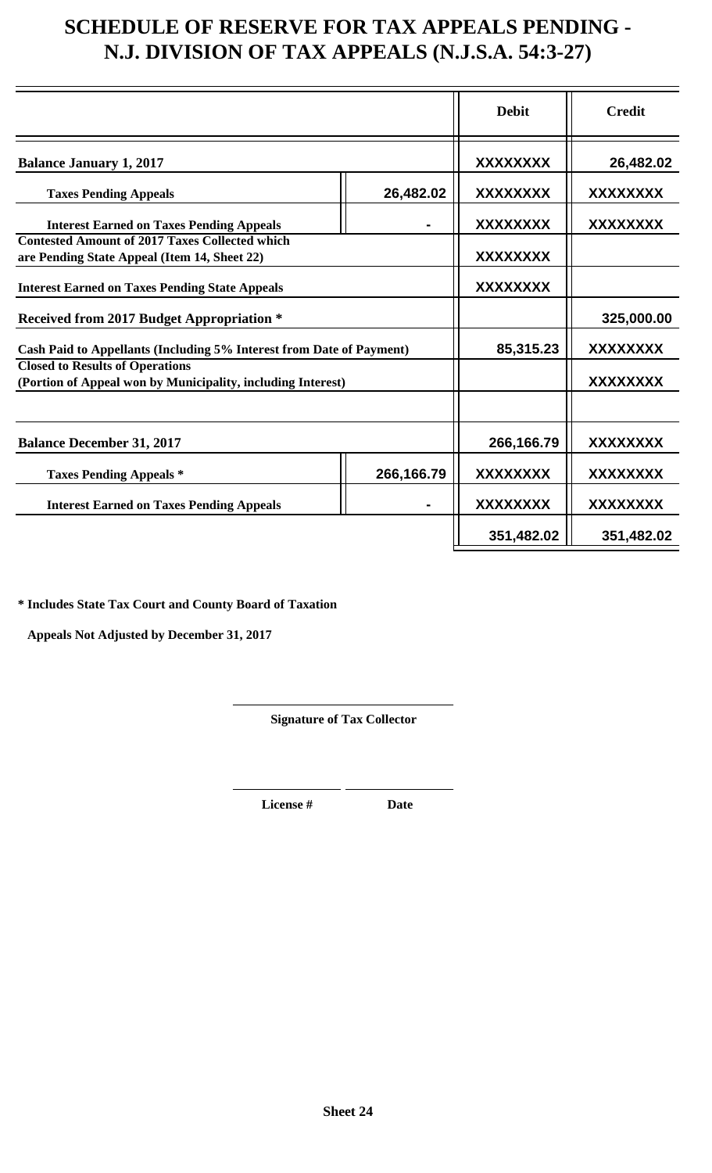## **SCHEDULE OF RESERVE FOR TAX APPEALS PENDING - N.J. DIVISION OF TAX APPEALS (N.J.S.A. 54:3-27)**

|                                                                      |                 | <b>Debit</b>    | <b>Credit</b>   |  |
|----------------------------------------------------------------------|-----------------|-----------------|-----------------|--|
| <b>Balance January 1, 2017</b>                                       | <b>XXXXXXXX</b> | 26,482.02       |                 |  |
| <b>Taxes Pending Appeals</b>                                         | 26,482.02       | <b>XXXXXXXX</b> | <b>XXXXXXXX</b> |  |
| <b>Interest Earned on Taxes Pending Appeals</b>                      |                 | <b>XXXXXXXX</b> | XXXXXXXX        |  |
| <b>Contested Amount of 2017 Taxes Collected which</b>                |                 |                 |                 |  |
| are Pending State Appeal (Item 14, Sheet 22)                         |                 | XXXXXXXX        |                 |  |
| <b>Interest Earned on Taxes Pending State Appeals</b>                | <b>XXXXXXXX</b> |                 |                 |  |
| <b>Received from 2017 Budget Appropriation *</b>                     |                 |                 | 325,000.00      |  |
| Cash Paid to Appellants (Including 5% Interest from Date of Payment) |                 | 85,315.23       | XXXXXXXX        |  |
| <b>Closed to Results of Operations</b>                               |                 |                 |                 |  |
| (Portion of Appeal won by Municipality, including Interest)          |                 |                 | XXXXXXXX        |  |
|                                                                      |                 |                 |                 |  |
| <b>Balance December 31, 2017</b>                                     |                 | 266,166.79      | XXXXXXXX        |  |
| 266,166.79<br><b>Taxes Pending Appeals *</b>                         |                 | XXXXXXXX        | XXXXXXXX        |  |
| <b>Interest Earned on Taxes Pending Appeals</b>                      |                 | XXXXXXXX        | <b>XXXXXXXX</b> |  |
|                                                                      |                 | 351,482.02      | 351,482.02      |  |

**\* Includes State Tax Court and County Board of Taxation**

 **Appeals Not Adjusted by December 31, 2017**

**Signature of Tax Collector**

**License # Date**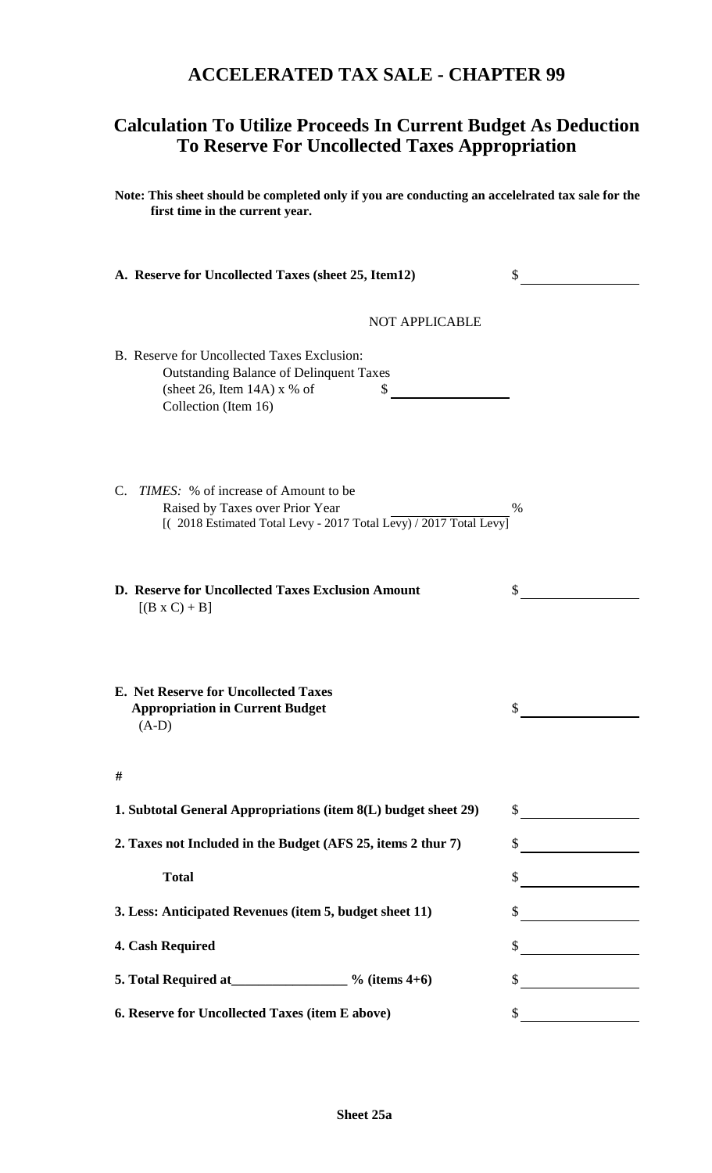### **ACCELERATED TAX SALE - CHAPTER 99**

### **Calculation To Utilize Proceeds In Current Budget As Deduction To Reserve For Uncollected Taxes Appropriation**

**Note: This sheet should be completed only if you are conducting an accelelrated tax sale for the first time in the current year.**

|    | A. Reserve for Uncollected Taxes (sheet 25, Item12)                                                                                                                                               | S    |
|----|---------------------------------------------------------------------------------------------------------------------------------------------------------------------------------------------------|------|
|    | <b>NOT APPLICABLE</b>                                                                                                                                                                             |      |
|    | B. Reserve for Uncollected Taxes Exclusion:<br><b>Outstanding Balance of Delinquent Taxes</b><br>(sheet 26, Item 14A) $x$ % of<br>\$<br>Collection (Item 16)                                      |      |
| C. | <i>TIMES</i> : % of increase of Amount to be<br>Raised by Taxes over Prior Year<br>$\left[ \frac{(2018 \text{ Estimated Total Levy} - 2017 \text{ Total Levy})}{2017 \text{ Total Levy}} \right]$ | $\%$ |
|    | D. Reserve for Uncollected Taxes Exclusion Amount<br>$[(B \times C) + B]$                                                                                                                         | S    |
|    | E. Net Reserve for Uncollected Taxes<br><b>Appropriation in Current Budget</b><br>$(A-D)$                                                                                                         |      |
| #  |                                                                                                                                                                                                   |      |
|    | 1. Subtotal General Appropriations (item 8(L) budget sheet 29)                                                                                                                                    | \$   |
|    | 2. Taxes not Included in the Budget (AFS 25, items 2 thur 7)                                                                                                                                      | \$   |
|    | <b>Total</b>                                                                                                                                                                                      | \$   |
|    | 3. Less: Anticipated Revenues (item 5, budget sheet 11)                                                                                                                                           | S.   |
|    | 4. Cash Required                                                                                                                                                                                  |      |
|    | 5. Total Required at $\frac{9}{6}$ (items 4+6)                                                                                                                                                    |      |
|    | 6. Reserve for Uncollected Taxes (item E above)                                                                                                                                                   | \$   |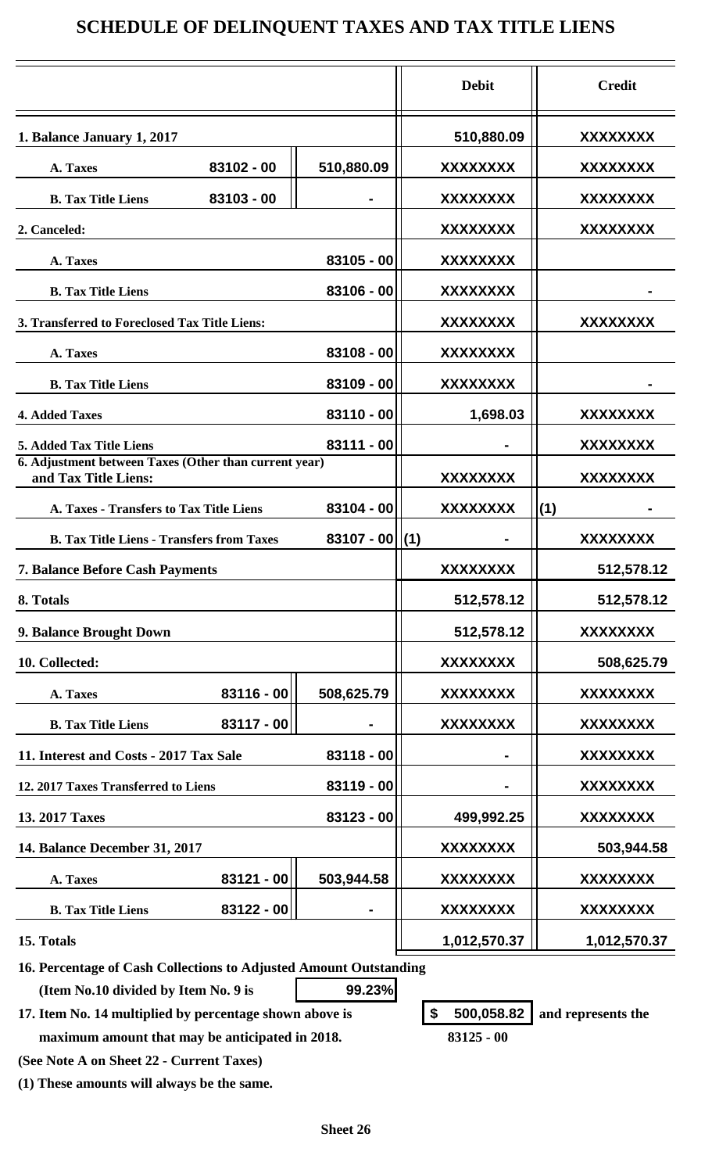### **SCHEDULE OF DELINQUENT TAXES AND TAX TITLE LIENS**

|                                                                               |                     | <b>Debit</b>    | <b>Credit</b>   |  |
|-------------------------------------------------------------------------------|---------------------|-----------------|-----------------|--|
| 1. Balance January 1, 2017                                                    |                     | 510,880.09      | XXXXXXXX        |  |
| 83102 - 00<br>A. Taxes                                                        | 510,880.09          | XXXXXXXX        | XXXXXXXX        |  |
| 83103 - 00<br><b>B.</b> Tax Title Liens                                       |                     | XXXXXXXX        | XXXXXXXX        |  |
| 2. Canceled:                                                                  |                     | <b>XXXXXXXX</b> | XXXXXXXX        |  |
| A. Taxes                                                                      | $83105 - 00$        | <b>XXXXXXXX</b> |                 |  |
| <b>B. Tax Title Liens</b>                                                     | 83106 - 00          | XXXXXXXX        |                 |  |
| 3. Transferred to Foreclosed Tax Title Liens:                                 |                     | XXXXXXXX        | XXXXXXXX        |  |
| A. Taxes                                                                      | 83108 - 00          | XXXXXXXX        |                 |  |
| <b>B. Tax Title Liens</b>                                                     | 83109 - 00          | <b>XXXXXXXX</b> |                 |  |
| <b>4. Added Taxes</b>                                                         | $83110 - 00$        | 1,698.03        | <b>XXXXXXXX</b> |  |
| <b>5. Added Tax Title Liens</b>                                               | $83111 - 00$        |                 | XXXXXXXX        |  |
| 6. Adjustment between Taxes (Other than current year)<br>and Tax Title Liens: |                     | XXXXXXXX        | XXXXXXXX        |  |
| A. Taxes - Transfers to Tax Title Liens                                       | $83104 - 00$        | <b>XXXXXXXX</b> | (1)             |  |
| <b>B. Tax Title Liens - Transfers from Taxes</b>                              | $83107 - 00$ $ (1)$ |                 | <b>XXXXXXXX</b> |  |
| <b>7. Balance Before Cash Payments</b>                                        |                     | <b>XXXXXXXX</b> | 512,578.12      |  |
| 8. Totals                                                                     |                     | 512,578.12      | 512,578.12      |  |
| 9. Balance Brought Down                                                       |                     | 512,578.12      | <b>XXXXXXXX</b> |  |
| 10. Collected:                                                                |                     | <b>XXXXXXXX</b> | 508,625.79      |  |
| 83116 - 00<br>A. Taxes                                                        | 508,625.79          | <b>XXXXXXXX</b> | <b>XXXXXXXX</b> |  |
| 83117 - 00<br><b>B.</b> Tax Title Liens                                       |                     | <b>XXXXXXXX</b> | <b>XXXXXXXX</b> |  |
| 11. Interest and Costs - 2017 Tax Sale                                        | $83118 - 00$        |                 | <b>XXXXXXXX</b> |  |
| 12. 2017 Taxes Transferred to Liens                                           | $83119 - 00$        |                 | XXXXXXXX        |  |
| 13. 2017 Taxes                                                                | $83123 - 00$        | 499,992.25      | XXXXXXXX        |  |
| 14. Balance December 31, 2017                                                 |                     | <b>XXXXXXXX</b> | 503,944.58      |  |
| $83121 - 00$<br>A. Taxes                                                      | 503,944.58          | <b>XXXXXXXX</b> | <b>XXXXXXXX</b> |  |
| $83122 - 00$<br><b>B.</b> Tax Title Liens                                     |                     | <b>XXXXXXXX</b> | <b>XXXXXXXX</b> |  |
| 15. Totals                                                                    |                     | 1,012,570.37    | 1,012,570.37    |  |

**16. Percentage of Cash Collections to Adjusted Amount Outstanding (Item No.10 divided by Item No. 9 is 99.23%**

**17. Item No. 14 multiplied by percentage shown above is \$ 500,058.82 and represents the**

**(See Note A on Sheet 22 - Current Taxes)**

**(1) These amounts will always be the same.**

 **maximum amount that may be anticipated in 2018. 83125 - 00**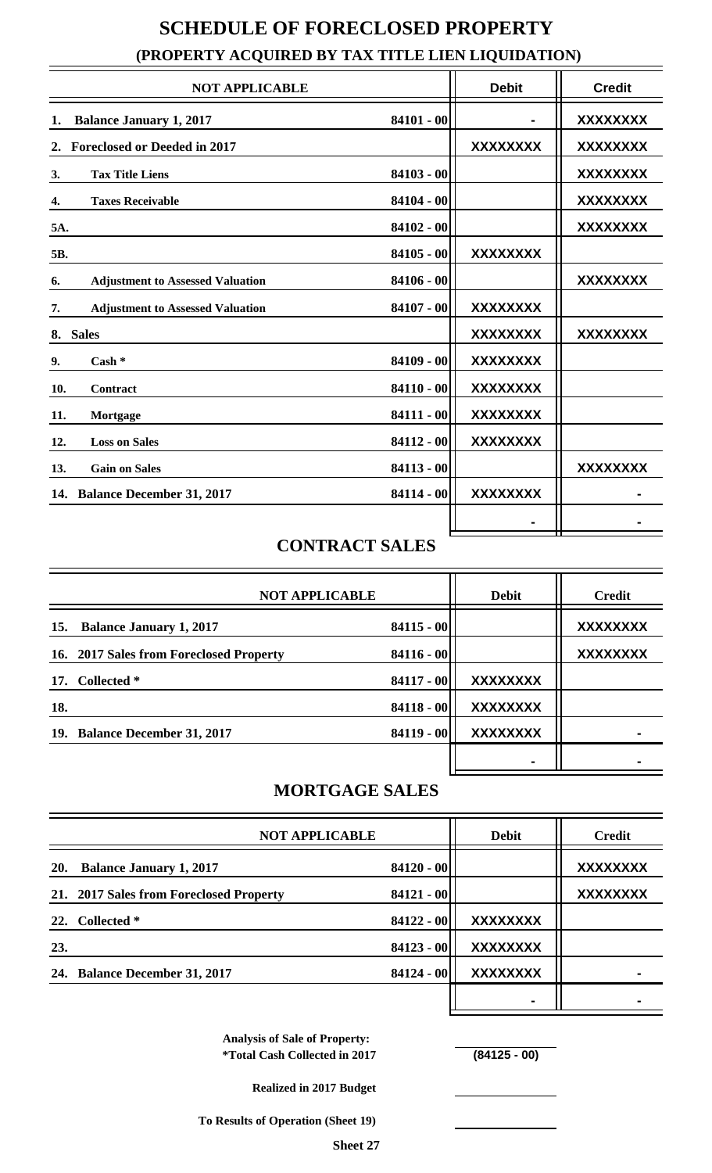|     | (PROPERTY ACQUIRED BY TAX TITLE LIEN LIQUIDATION) |              |                 |                 |  |  |  |
|-----|---------------------------------------------------|--------------|-----------------|-----------------|--|--|--|
|     | <b>NOT APPLICABLE</b>                             |              | <b>Debit</b>    | <b>Credit</b>   |  |  |  |
| 1.  | <b>Balance January 1, 2017</b>                    | $84101 - 00$ |                 | <b>XXXXXXXX</b> |  |  |  |
| 2.  | <b>Foreclosed or Deeded in 2017</b>               |              | <b>XXXXXXXX</b> | <b>XXXXXXXX</b> |  |  |  |
| 3.  | <b>Tax Title Liens</b>                            | $84103 - 00$ |                 | <b>XXXXXXXX</b> |  |  |  |
| 4.  | <b>Taxes Receivable</b>                           | $84104 - 00$ |                 | <b>XXXXXXXX</b> |  |  |  |
| 5A. |                                                   | $84102 - 00$ |                 | <b>XXXXXXXX</b> |  |  |  |
| 5B. |                                                   | $84105 - 00$ | <b>XXXXXXXX</b> |                 |  |  |  |
| 6.  | <b>Adjustment to Assessed Valuation</b>           | $84106 - 00$ |                 | <b>XXXXXXXX</b> |  |  |  |
| 7.  | <b>Adjustment to Assessed Valuation</b>           | $84107 - 00$ | <b>XXXXXXXX</b> |                 |  |  |  |
|     | 8. Sales                                          |              | <b>XXXXXXXX</b> | <b>XXXXXXXX</b> |  |  |  |
| 9.  | $Cash *$                                          | $84109 - 00$ | <b>XXXXXXXX</b> |                 |  |  |  |
| 10. | Contract                                          | $84110 - 00$ | <b>XXXXXXXX</b> |                 |  |  |  |
| 11. | Mortgage                                          | $84111 - 00$ | <b>XXXXXXXX</b> |                 |  |  |  |
| 12. | <b>Loss on Sales</b>                              | $84112 - 00$ | <b>XXXXXXXX</b> |                 |  |  |  |
| 13. | <b>Gain on Sales</b>                              | $84113 - 00$ |                 | <b>XXXXXXXX</b> |  |  |  |
|     | 14. Balance December 31, 2017                     | $84114 - 00$ | <b>XXXXXXXX</b> |                 |  |  |  |
|     |                                                   |              |                 |                 |  |  |  |
|     |                                                   |              |                 |                 |  |  |  |

### **SCHEDULE OF FORECLOSED PROPERTY (PROPERTY ACQUIRED BY TAX TITLE LIEN LIQUIDATION)**

## **CONTRACT SALES**

| <b>NOT APPLICABLE</b>                   |              | <b>Debit</b>    | <b>Credit</b>   |
|-----------------------------------------|--------------|-----------------|-----------------|
| <b>Balance January 1, 2017</b><br>15.   | $84115 - 00$ |                 | <b>XXXXXXXX</b> |
| 16. 2017 Sales from Foreclosed Property | $84116 - 00$ |                 | <b>XXXXXXXX</b> |
| 17. Collected *                         | 84117 - 00   | <b>XXXXXXXX</b> |                 |
| 18.                                     | $84118 - 00$ | <b>XXXXXXXX</b> |                 |
| 19. Balance December 31, 2017           | 84119 - 00   | <b>XXXXXXXX</b> |                 |
|                                         |              |                 |                 |

## **MORTGAGE SALES**

|            | <b>NOT APPLICABLE</b>                   |              | <b>Debit</b>    | <b>Credit</b>   |  |
|------------|-----------------------------------------|--------------|-----------------|-----------------|--|
| <b>20.</b> | <b>Balance January 1, 2017</b>          | $84120 - 00$ |                 | <b>XXXXXXXX</b> |  |
|            | 21. 2017 Sales from Foreclosed Property | $84121 - 00$ |                 | <b>XXXXXXXX</b> |  |
|            | 22. Collected *                         | $84122 - 00$ | <b>XXXXXXXX</b> |                 |  |
| 23.        |                                         | $84123 - 00$ | <b>XXXXXXXX</b> |                 |  |
|            | 24. Balance December 31, 2017           | $84124 - 00$ | <b>XXXXXXXX</b> |                 |  |
|            |                                         |              |                 |                 |  |

**Analysis of Sale of Property: \*Total Cash Collected in 2017 (84125 - 00)**

**Realized in 2017 Budget**

**To Results of Operation (Sheet 19)**

**Sheet 27**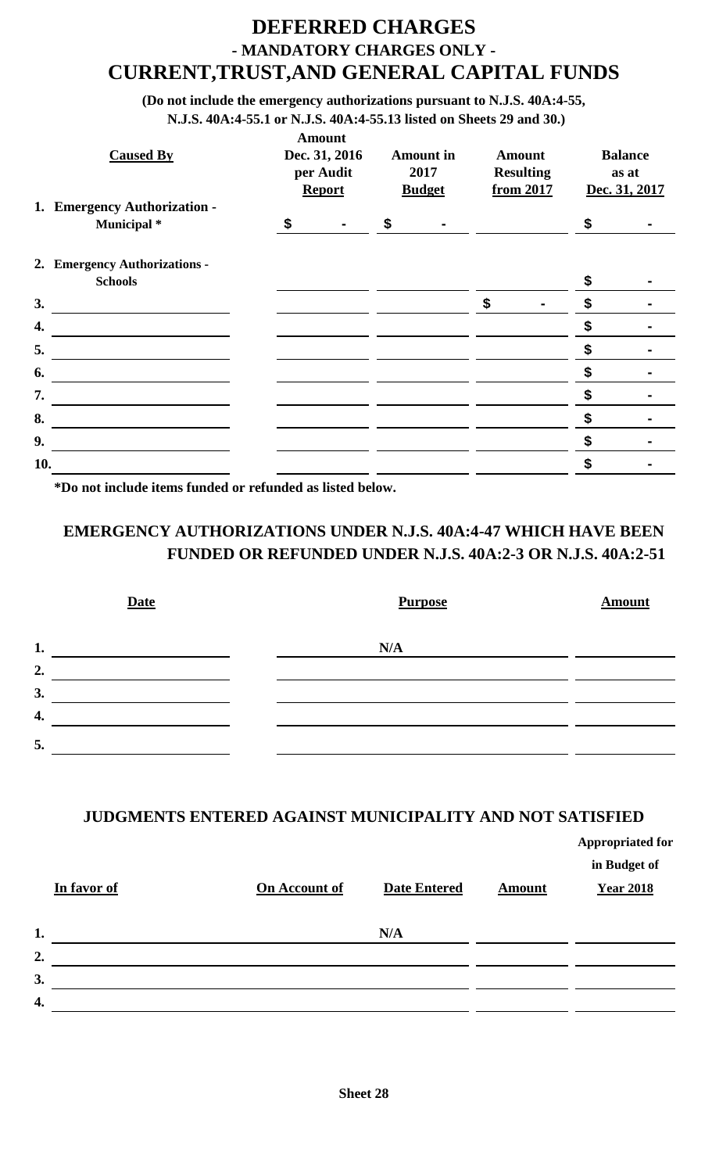### **DEFERRED CHARGES - MANDATORY CHARGES ONLY - CURRENT,TRUST,AND GENERAL CAPITAL FUNDS**

**(Do not include the emergency authorizations pursuant to N.J.S. 40A:4-55,**

**N.J.S. 40A:4-55.1 or N.J.S. 40A:4-55.13 listed on Sheets 29 and 30.)**

| <b>Caused By</b>                            | <b>Amount</b><br>Dec. 31, 2016<br>per Audit<br><b>Report</b> |    | <b>Amount</b> in<br>2017<br><b>Budget</b> |    | <b>Amount</b><br><b>Resulting</b><br>from 2017 |    | <b>Balance</b><br>as at<br>Dec. 31, 2017 |  |
|---------------------------------------------|--------------------------------------------------------------|----|-------------------------------------------|----|------------------------------------------------|----|------------------------------------------|--|
| 1. Emergency Authorization -<br>Municipal * | \$<br>$\blacksquare$                                         | \$ |                                           |    |                                                | \$ |                                          |  |
|                                             |                                                              |    |                                           |    |                                                |    |                                          |  |
| 2. Emergency Authorizations -               |                                                              |    |                                           |    |                                                |    |                                          |  |
| <b>Schools</b>                              |                                                              |    |                                           |    |                                                | \$ |                                          |  |
| 3.                                          |                                                              |    |                                           | \$ | $\blacksquare$                                 | S  |                                          |  |
| 4.                                          |                                                              |    |                                           |    |                                                | \$ |                                          |  |
| 5.                                          |                                                              |    |                                           |    |                                                | S  |                                          |  |
| 6.                                          |                                                              |    |                                           |    |                                                | \$ |                                          |  |
| 7.                                          |                                                              |    |                                           |    |                                                | \$ |                                          |  |
| 8.                                          |                                                              |    |                                           |    |                                                | \$ |                                          |  |
| 9.                                          |                                                              |    |                                           |    |                                                | \$ |                                          |  |
| 10.                                         |                                                              |    |                                           |    |                                                | \$ |                                          |  |
|                                             |                                                              |    |                                           |    |                                                |    |                                          |  |

**\*Do not include items funded or refunded as listed below.**

### **EMERGENCY AUTHORIZATIONS UNDER N.J.S. 40A:4-47 WHICH HAVE BEEN FUNDED OR REFUNDED UNDER N.J.S. 40A:2-3 OR N.J.S. 40A:2-51**

| <b>Date</b> | <b>Purpose</b> | <b>Amount</b> |
|-------------|----------------|---------------|
| 1.          | N/A            |               |
| 2.          |                |               |
| 3.          |                |               |
| 4.          |                |               |
| 5.          |                |               |

#### **JUDGMENTS ENTERED AGAINST MUNICIPALITY AND NOT SATISFIED**

**Appropriated for in Budget of In favor of On Account of Date Entered Amount Year 2018 1. N/A 2. 3.**  $\overline{a}$  $\overline{a}$ **4.**  $\overline{\phantom{a}}$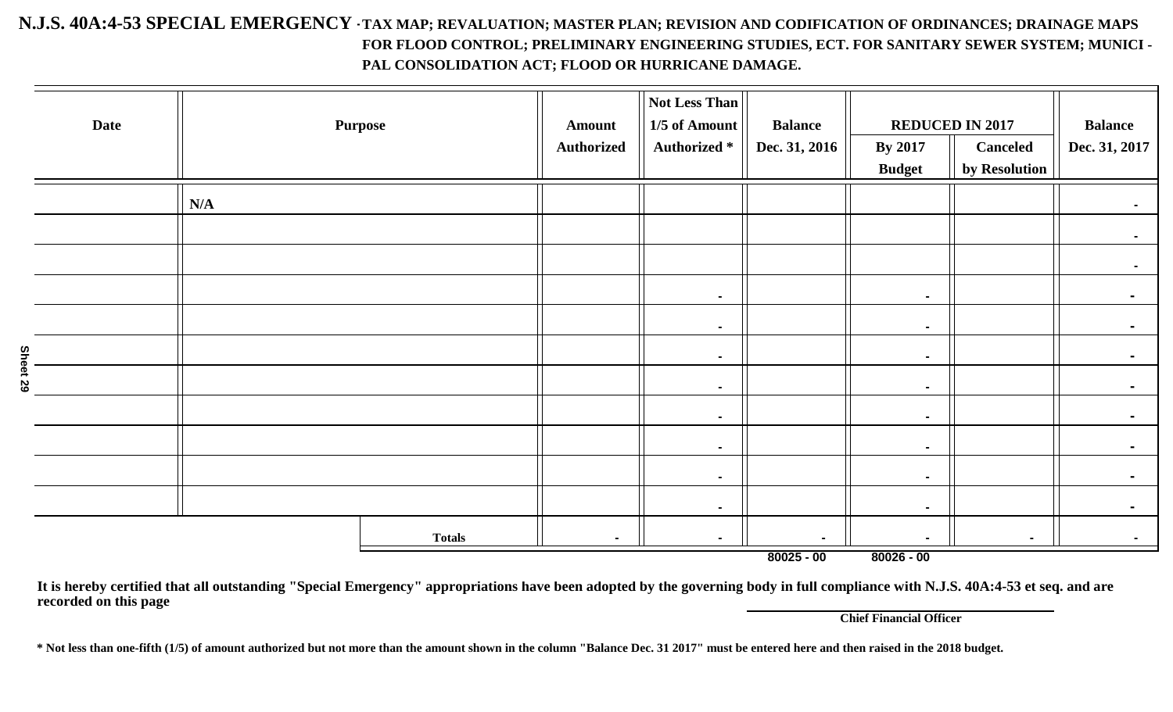#### **N.J.S. 40A:4-53 SPECIAL EMERGENCY -TAX MAP; REVALUATION; MASTER PLAN; REVISION AND CODIFICATION OF ORDINANCES; DRAINAGE MAPS FOR FLOOD CONTROL; PRELIMINARY ENGINEERING STUDIES, ECT. FOR SANITARY SEWER SYSTEM; MUNICI - PAL CONSOLIDATION ACT; FLOOD OR HURRICANE DAMAGE.**

| <b>Date</b> |     | <b>Purpose</b> | <b>Amount</b><br><b>Authorized</b> | Not Less Than<br>1/5 of Amount<br><b>Authorized</b> * | <b>Balance</b><br>Dec. 31, 2016 | <b>By 2017</b><br><b>Budget</b> | <b>REDUCED IN 2017</b><br><b>Canceled</b><br>by Resolution | <b>Balance</b><br>Dec. 31, 2017 |
|-------------|-----|----------------|------------------------------------|-------------------------------------------------------|---------------------------------|---------------------------------|------------------------------------------------------------|---------------------------------|
|             | N/A |                |                                    |                                                       |                                 |                                 |                                                            | $\sim$                          |
|             |     |                |                                    |                                                       |                                 |                                 |                                                            | $\sim$                          |
|             |     |                |                                    |                                                       |                                 |                                 |                                                            | $\sim$                          |
|             |     |                |                                    | $\blacksquare$                                        |                                 | $\blacksquare$                  |                                                            | $\blacksquare$                  |
|             |     |                |                                    | $\blacksquare$                                        |                                 | $\blacksquare$                  |                                                            | $\blacksquare$                  |
| ŜΑ          |     |                |                                    | $\sim$                                                |                                 | $\blacksquare$                  |                                                            |                                 |
| 29          |     |                |                                    | $\sim$                                                |                                 | $\sim$                          |                                                            | ٠                               |
|             |     |                |                                    | $\blacksquare$                                        |                                 | $\blacksquare$                  |                                                            |                                 |
|             |     |                |                                    | $\sim$                                                |                                 | $\blacksquare$                  |                                                            | $\blacksquare$                  |
|             |     |                |                                    | $\sim$                                                |                                 | $\sim$                          |                                                            | $\blacksquare$                  |
|             |     |                |                                    | $\sim$                                                |                                 | $\sim$                          |                                                            |                                 |
|             |     | <b>Totals</b>  |                                    | $\sim$                                                |                                 | $\blacksquare$                  | ٠                                                          | $\sim$                          |

**80025 - 00 80026 - 00**

**It is hereby certified that all outstanding "Special Emergency" appropriations have been adopted by the governing body in full compliance with N.J.S. 40A:4-53 et seq. and are recorded on this page**

**Chief Financial Officer**

**\* Not less than one-fifth (1/5) of amount authorized but not more than the amount shown in the column "Balance Dec. 31 2017" must be entered here and then raised in the 2018 budget.**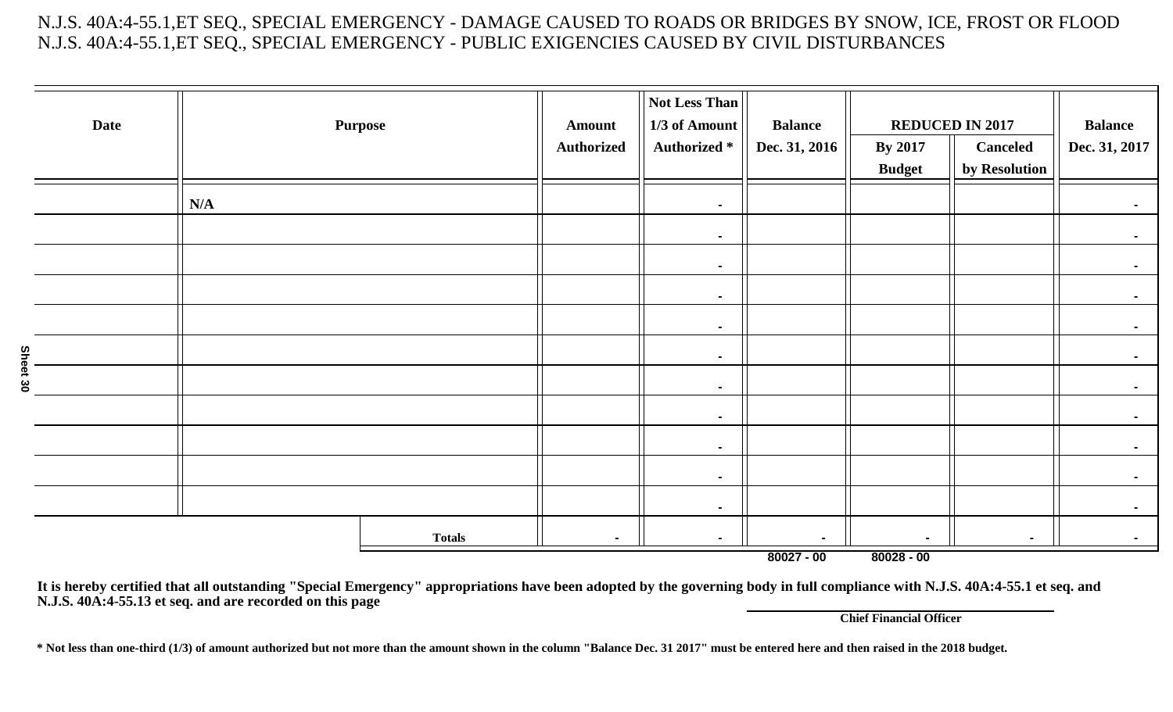N.J.S. 40A:4-55.1,ET SEQ., SPECIAL EMERGENCY - DAMAGE CAUSED TO ROADS OR BRIDGES BY SNOW, ICE, FROST OR FLOOD N.J.S. 40A:4-55.1,ET SEQ., SPECIAL EMERGENCY - PUBLIC EXIGENCIES CAUSED BY CIVIL DISTURBANCES

| <b>Date</b> |     | <b>Purpose</b> | <b>Amount</b>     | Not Less Than<br>1/3 of Amount | <b>Balance</b> | <b>REDUCED IN 2017</b> |                 | <b>Balance</b> |
|-------------|-----|----------------|-------------------|--------------------------------|----------------|------------------------|-----------------|----------------|
|             |     |                | <b>Authorized</b> | Authorized *                   | Dec. 31, 2016  | <b>By 2017</b>         | <b>Canceled</b> | Dec. 31, 2017  |
|             |     |                |                   |                                |                | <b>Budget</b>          | by Resolution   |                |
|             | N/A |                |                   | ٠                              |                |                        |                 |                |
|             |     |                |                   | $\blacksquare$                 |                |                        |                 |                |
|             |     |                |                   | $\blacksquare$                 |                |                        |                 |                |
|             |     |                |                   | $\blacksquare$                 |                |                        |                 |                |
|             |     |                |                   | $\blacksquare$                 |                |                        |                 |                |
| She         |     |                |                   | $\blacksquare$                 |                |                        |                 |                |
| et 30       |     |                |                   | $\blacksquare$                 |                |                        |                 |                |
|             |     |                |                   | $\sim$                         |                |                        |                 |                |
|             |     |                |                   | ٠                              |                |                        |                 |                |
|             |     |                |                   | $\blacksquare$                 |                |                        |                 |                |
|             |     |                |                   | $\sim$                         |                |                        |                 | $\blacksquare$ |
|             |     | <b>Totals</b>  | $\blacksquare$    | ٠                              | $\blacksquare$ |                        | $\sim$          |                |

**It is hereby certified that all outstanding "Special Emergency" appropriations have been adopted by the governing body in full compliance with N.J.S. 40A:4-55.1 et seq. and N.J.S. 40A:4-55.13 et seq. and are recorded on this page**

**Chief Financial Officer**

**\* Not less than one-third (1/3) of amount authorized but not more than the amount shown in the column "Balance Dec. 31 2017" must be entered here and then raised in the 2018 budget.**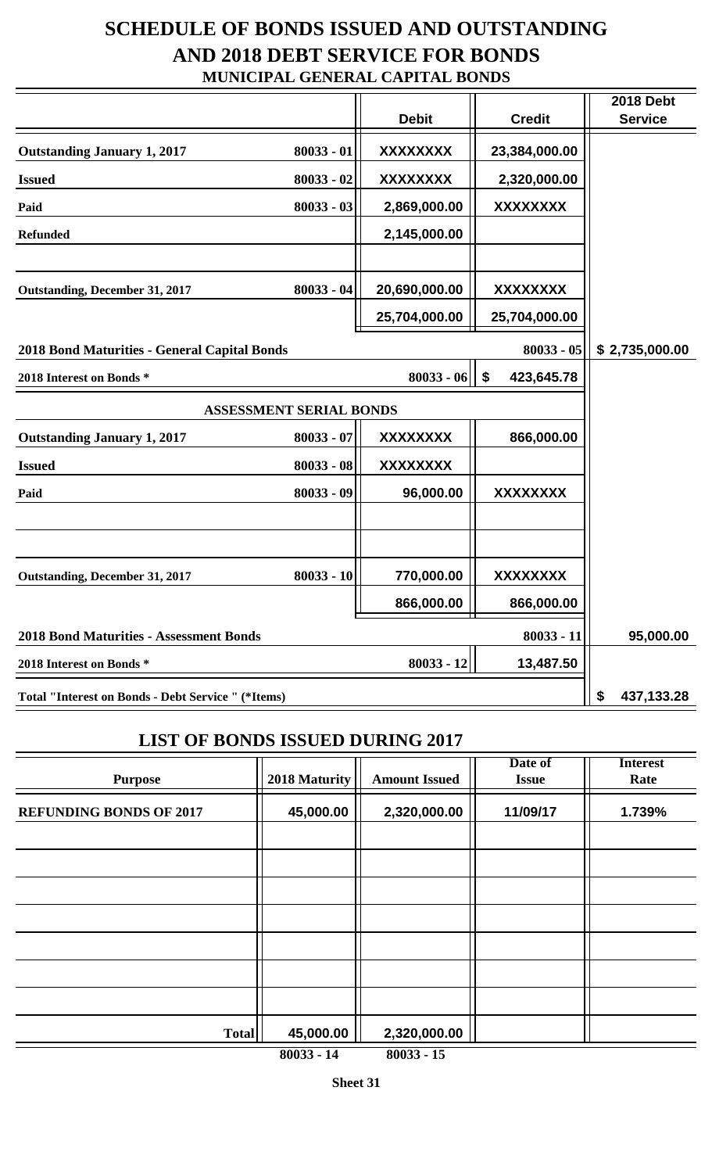### **SCHEDULE OF BONDS ISSUED AND OUTSTANDING AND 2018 DEBT SERVICE FOR BONDS MUNICIPAL GENERAL CAPITAL BONDS**

|                                                           |              | <b>Debit</b>    | <b>Credit</b>                           | <b>2018 Debt</b><br><b>Service</b> |
|-----------------------------------------------------------|--------------|-----------------|-----------------------------------------|------------------------------------|
| <b>Outstanding January 1, 2017</b>                        | $80033 - 01$ | <b>XXXXXXXX</b> | 23,384,000.00                           |                                    |
| <b>Issued</b>                                             | $80033 - 02$ | <b>XXXXXXXX</b> | 2,320,000.00                            |                                    |
| Paid                                                      | $80033 - 03$ | 2,869,000.00    | <b>XXXXXXXX</b>                         |                                    |
| <b>Refunded</b>                                           |              | 2,145,000.00    |                                         |                                    |
|                                                           |              |                 |                                         |                                    |
| <b>Outstanding, December 31, 2017</b>                     | $80033 - 04$ | 20,690,000.00   | XXXXXXXX                                |                                    |
|                                                           |              | 25,704,000.00   | 25,704,000.00                           |                                    |
| 2018 Bond Maturities - General Capital Bonds              |              |                 | $80033 - 05$                            | \$2,735,000.00                     |
| 2018 Interest on Bonds *                                  |              | $80033 - 06$    | $\boldsymbol{\mathsf{s}}$<br>423,645.78 |                                    |
| <b>ASSESSMENT SERIAL BONDS</b>                            |              |                 |                                         |                                    |
| <b>Outstanding January 1, 2017</b>                        | $80033 - 07$ | <b>XXXXXXXX</b> | 866,000.00                              |                                    |
| <b>Issued</b>                                             | $80033 - 08$ | <b>XXXXXXXX</b> |                                         |                                    |
| Paid                                                      | 80033 - 09   | 96,000.00       | <b>XXXXXXXX</b>                         |                                    |
|                                                           |              |                 |                                         |                                    |
|                                                           |              |                 |                                         |                                    |
| <b>Outstanding, December 31, 2017</b>                     | $80033 - 10$ | 770,000.00      | <b>XXXXXXXX</b>                         |                                    |
|                                                           |              | 866.000.00      | 866.000.00                              |                                    |
| <b>2018 Bond Maturities - Assessment Bonds</b>            |              |                 | $80033 - 11$                            | 95,000.00                          |
| 2018 Interest on Bonds *                                  |              | $80033 - 12$    | 13,487.50                               |                                    |
| <b>Total "Interest on Bonds - Debt Service " (*Items)</b> |              |                 |                                         | \$<br>437,133.28                   |

#### **LIST OF BONDS ISSUED DURING 2017**

| <b>Purpose</b>                 | 2018 Maturity | <b>Amount Issued</b> | Date of<br><b>Issue</b> | <b>Interest</b><br>Rate |
|--------------------------------|---------------|----------------------|-------------------------|-------------------------|
| <b>REFUNDING BONDS OF 2017</b> | 45,000.00     | 2,320,000.00         | 11/09/17                | 1.739%                  |
|                                |               |                      |                         |                         |
|                                |               |                      |                         |                         |
|                                |               |                      |                         |                         |
|                                |               |                      |                         |                         |
|                                |               |                      |                         |                         |
| <b>Total</b>                   | 45,000.00     | 2,320,000.00         |                         |                         |

**80033 - 14 80033 - 15**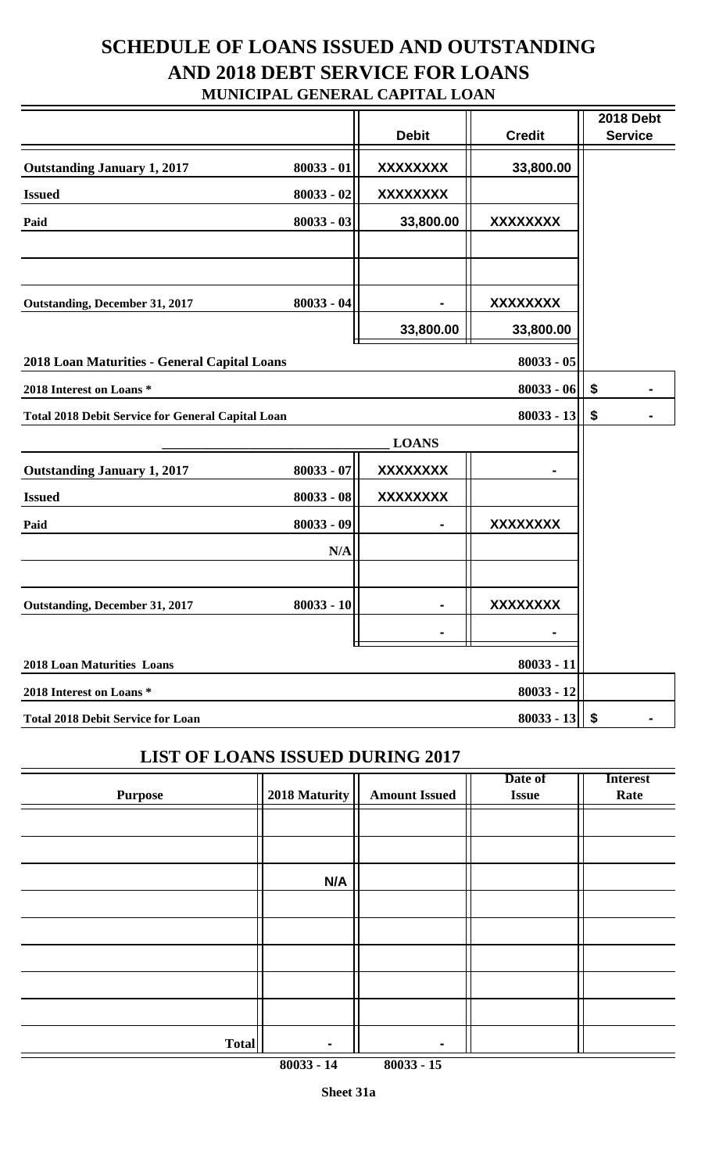### **SCHEDULE OF LOANS ISSUED AND OUTSTANDING AND 2018 DEBT SERVICE FOR LOANS MUNICIPAL GENERAL CAPITAL LOAN**

|                                                          |              | <b>Debit</b>    | <b>Credit</b>   | <b>2018 Debt</b><br><b>Service</b> |
|----------------------------------------------------------|--------------|-----------------|-----------------|------------------------------------|
| <b>Outstanding January 1, 2017</b>                       | $80033 - 01$ | <b>XXXXXXXX</b> | 33,800.00       |                                    |
| <b>Issued</b>                                            | $80033 - 02$ | <b>XXXXXXXX</b> |                 |                                    |
| Paid                                                     | $80033 - 03$ | 33,800.00       | XXXXXXXX        |                                    |
|                                                          |              |                 |                 |                                    |
|                                                          |              |                 |                 |                                    |
| <b>Outstanding, December 31, 2017</b>                    | $80033 - 04$ |                 | XXXXXXXX        |                                    |
|                                                          |              | 33,800.00       | 33,800.00       |                                    |
| 2018 Loan Maturities - General Capital Loans             |              |                 | $80033 - 05$    |                                    |
| 2018 Interest on Loans *                                 |              |                 | $80033 - 06$    | \$                                 |
| <b>Total 2018 Debit Service for General Capital Loan</b> |              |                 | $80033 - 13$    | \$                                 |
|                                                          |              | <b>LOANS</b>    |                 |                                    |
| <b>Outstanding January 1, 2017</b>                       | $80033 - 07$ | <b>XXXXXXXX</b> |                 |                                    |
| <b>Issued</b>                                            | $80033 - 08$ | <b>XXXXXXXX</b> |                 |                                    |
| Paid                                                     | $80033 - 09$ |                 | <b>XXXXXXXX</b> |                                    |
|                                                          | N/A          |                 |                 |                                    |
|                                                          |              |                 |                 |                                    |
| <b>Outstanding, December 31, 2017</b>                    | $80033 - 10$ |                 | <b>XXXXXXXX</b> |                                    |
|                                                          |              |                 |                 |                                    |
| <b>2018 Loan Maturities Loans</b>                        |              |                 | $80033 - 11$    |                                    |
| 2018 Interest on Loans *                                 |              |                 | 80033 - 12      |                                    |
| <b>Total 2018 Debit Service for Loan</b>                 |              |                 | $80033 - 13$    | \$                                 |

### **LIST OF LOANS ISSUED DURING 2017**

| <b>Purpose</b> | 2018 Maturity | <b>Amount Issued</b> | Date of<br><b>Issue</b> | <b>Interest</b><br>Rate |
|----------------|---------------|----------------------|-------------------------|-------------------------|
|                |               |                      |                         |                         |
|                |               |                      |                         |                         |
|                | N/A           |                      |                         |                         |
|                |               |                      |                         |                         |
|                |               |                      |                         |                         |
|                |               |                      |                         |                         |
|                |               |                      |                         |                         |
|                |               |                      |                         |                         |
| <b>Total</b>   |               |                      |                         |                         |

**80033 - 14 80033 - 15**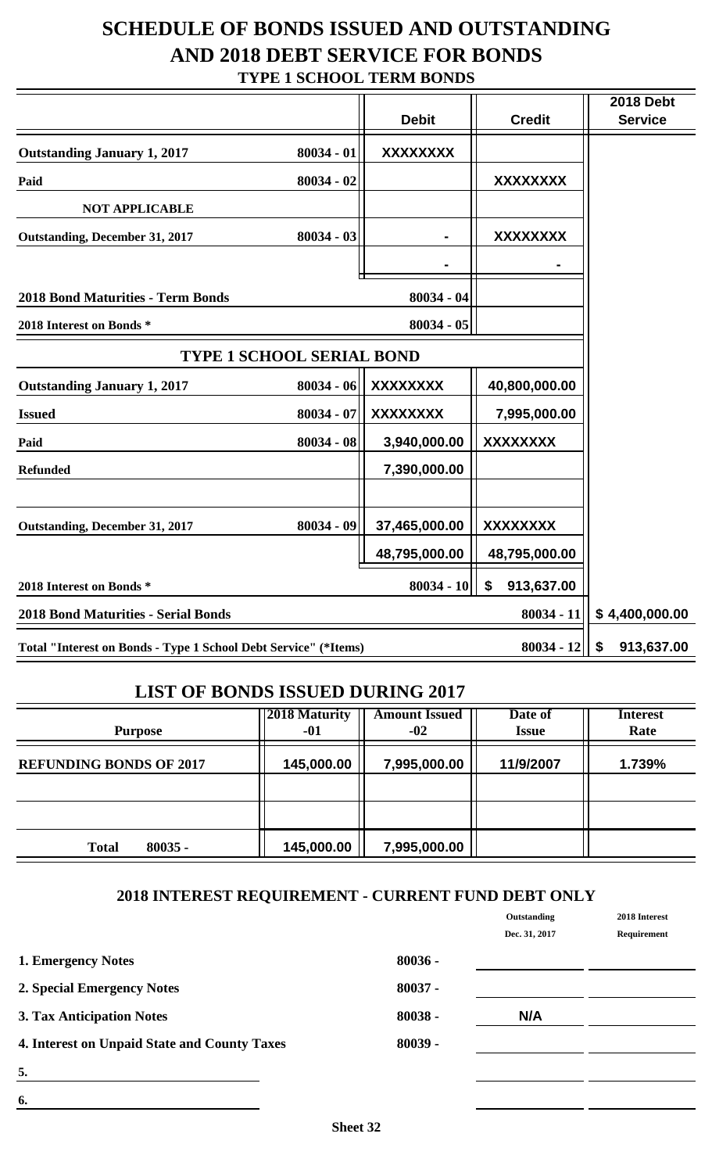### **SCHEDULE OF BONDS ISSUED AND OUTSTANDING AND 2018 DEBT SERVICE FOR BONDS TYPE 1 SCHOOL TERM BONDS**

|                                                                 |                  | <b>Debit</b>    | <b>Credit</b>    | <b>2018 Debt</b><br><b>Service</b> |
|-----------------------------------------------------------------|------------------|-----------------|------------------|------------------------------------|
| <b>Outstanding January 1, 2017</b>                              | $80034 - 01$     | <b>XXXXXXXX</b> |                  |                                    |
| Paid                                                            | $80034 - 02$     |                 | <b>XXXXXXXX</b>  |                                    |
| <b>NOT APPLICABLE</b>                                           |                  |                 |                  |                                    |
| <b>Outstanding, December 31, 2017</b>                           | $80034 - 03$     |                 | <b>XXXXXXXX</b>  |                                    |
|                                                                 |                  |                 |                  |                                    |
| <b>2018 Bond Maturities - Term Bonds</b>                        |                  | 80034 - 04      |                  |                                    |
| 2018 Interest on Bonds *                                        |                  | $80034 - 05$    |                  |                                    |
| <b>TYPE 1 SCHOOL SERIAL BOND</b>                                |                  |                 |                  |                                    |
| <b>Outstanding January 1, 2017</b>                              | $80034 - 06$     | <b>XXXXXXXX</b> | 40,800,000.00    |                                    |
| <b>Issued</b>                                                   | 80034 - 07       | <b>XXXXXXXX</b> | 7,995,000.00     |                                    |
| Paid                                                            | $80034 - 08$     | 3,940,000.00    | <b>XXXXXXXX</b>  |                                    |
| <b>Refunded</b>                                                 |                  | 7,390,000.00    |                  |                                    |
|                                                                 |                  |                 |                  |                                    |
| <b>Outstanding, December 31, 2017</b>                           | 80034 - 09       | 37,465,000.00   | <b>XXXXXXXX</b>  |                                    |
|                                                                 |                  | 48,795,000.00   | 48,795,000.00    |                                    |
| 2018 Interest on Bonds *                                        |                  | $80034 - 10$    | 913,637.00<br>\$ |                                    |
| <b>2018 Bond Maturities - Serial Bonds</b>                      |                  |                 | $80034 - 11$     | \$4,400,000.00                     |
| Total "Interest on Bonds - Type 1 School Debt Service" (*Items) | 913,637.00<br>\$ |                 |                  |                                    |

#### **LIST OF BONDS ISSUED DURING 2017**

| <b>Purpose</b>                 | <b>2018 Maturity</b><br>-01 | <b>Amount Issued</b><br>$-02$ | Date of<br><b>Issue</b> | <b>Interest</b><br>Rate |
|--------------------------------|-----------------------------|-------------------------------|-------------------------|-------------------------|
| <b>REFUNDING BONDS OF 2017</b> | 145,000.00                  | 7,995,000.00                  | 11/9/2007               | 1.739%                  |
|                                |                             |                               |                         |                         |
| <b>Total</b><br>$80035 -$      | 145,000.00                  | 7,995,000.00                  |                         |                         |

#### **2018 INTEREST REQUIREMENT - CURRENT FUND DEBT ONLY**

|                                              |           | Outstanding   | 2018 Interest |
|----------------------------------------------|-----------|---------------|---------------|
|                                              |           | Dec. 31, 2017 | Requirement   |
| 1. Emergency Notes                           | $80036 -$ |               |               |
| 2. Special Emergency Notes                   | $80037 -$ |               |               |
| 3. Tax Anticipation Notes                    | $80038 -$ | N/A           |               |
| 4. Interest on Unpaid State and County Taxes | $80039 -$ |               |               |
| 5.                                           |           |               |               |
| 6.                                           |           |               |               |
|                                              |           |               |               |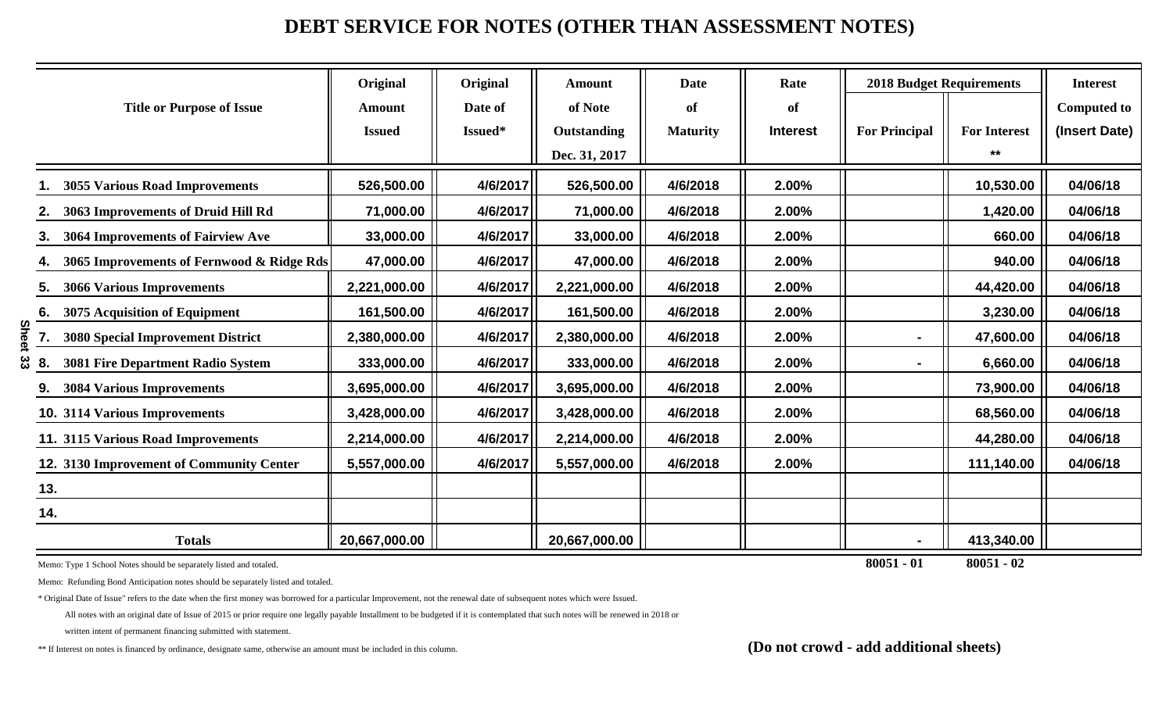### **DEBT SERVICE FOR NOTES (OTHER THAN ASSESSMENT NOTES)**

|                                                 | Original      | Original | <b>Amount</b> | <b>Date</b>     | Rate            | <b>2018 Budget Requirements</b> |                     | <b>Interest</b>    |
|-------------------------------------------------|---------------|----------|---------------|-----------------|-----------------|---------------------------------|---------------------|--------------------|
| <b>Title or Purpose of Issue</b>                | <b>Amount</b> | Date of  | of Note       | of              | of              |                                 |                     | <b>Computed to</b> |
|                                                 | <b>Issued</b> | Issued*  | Outstanding   | <b>Maturity</b> | <b>Interest</b> | <b>For Principal</b>            | <b>For Interest</b> | (Insert Date)      |
|                                                 |               |          | Dec. 31, 2017 |                 |                 |                                 | $***$               |                    |
| <b>3055 Various Road Improvements</b>           | 526,500.00    | 4/6/2017 | 526,500.00    | 4/6/2018        | 2.00%           |                                 | 10,530.00           | 04/06/18           |
| 3063 Improvements of Druid Hill Rd              | 71,000.00     | 4/6/2017 | 71,000.00     | 4/6/2018        | 2.00%           |                                 | 1,420.00            | 04/06/18           |
| 3064 Improvements of Fairview Ave<br>3.         | 33,000.00     | 4/6/2017 | 33,000.00     | 4/6/2018        | 2.00%           |                                 | 660.00              | 04/06/18           |
| 3065 Improvements of Fernwood & Ridge Rds<br>4. | 47,000.00     | 4/6/2017 | 47,000.00     | 4/6/2018        | 2.00%           |                                 | 940.00              | 04/06/18           |
| <b>3066 Various Improvements</b><br>5.          | 2,221,000.00  | 4/6/2017 | 2,221,000.00  | 4/6/2018        | 2.00%           |                                 | 44,420.00           | 04/06/18           |
| 3075 Acquisition of Equipment<br>6.             | 161,500.00    | 4/6/2017 | 161,500.00    | 4/6/2018        | 2.00%           |                                 | 3,230.00            | 04/06/18           |
| ທ<br><b>3080 Special Improvement District</b>   | 2,380,000.00  | 4/6/2017 | 2,380,000.00  | 4/6/2018        | 2.00%           |                                 | 47,600.00           | 04/06/18           |
| 3081 Fire Department Radio System<br>8.         | 333,000.00    | 4/6/2017 | 333,000.00    | 4/6/2018        | 2.00%           |                                 | 6,660.00            | 04/06/18           |
| <b>3084 Various Improvements</b>                | 3,695,000.00  | 4/6/2017 | 3,695,000.00  | 4/6/2018        | 2.00%           |                                 | 73,900.00           | 04/06/18           |
| 10. 3114 Various Improvements                   | 3,428,000.00  | 4/6/2017 | 3,428,000.00  | 4/6/2018        | 2.00%           |                                 | 68,560.00           | 04/06/18           |
| 11. 3115 Various Road Improvements              | 2,214,000.00  | 4/6/2017 | 2,214,000.00  | 4/6/2018        | 2.00%           |                                 | 44,280.00           | 04/06/18           |
| 12. 3130 Improvement of Community Center        | 5,557,000.00  | 4/6/2017 | 5,557,000.00  | 4/6/2018        | 2.00%           |                                 | 111,140.00          | 04/06/18           |
| 13.                                             |               |          |               |                 |                 |                                 |                     |                    |
| 14.                                             |               |          |               |                 |                 |                                 |                     |                    |
| <b>Totals</b>                                   | 20,667,000.00 |          | 20,667,000.00 |                 |                 |                                 | 413,340.00          |                    |

Memo: Type 1 School Notes should be separately listed and totaled. **80051 - 01 80051 - 02**

Memo: Refunding Bond Anticipation notes should be separately listed and totaled.

\* Original Date of Issue" refers to the date when the first money was borrowed for a particular Improvement, not the renewal date of subsequent notes which were Issued.

All notes with an original date of Issue of 2015 or prior require one legally payable Installment to be budgeted if it is contemplated that such notes will be renewed in 2018 or

written intent of permanent financing submitted with statement.

\*\* If Interest on notes is financed by ordinance, designate same, otherwise an amount must be included in this column. **(Do not crowd - add additional sheets)**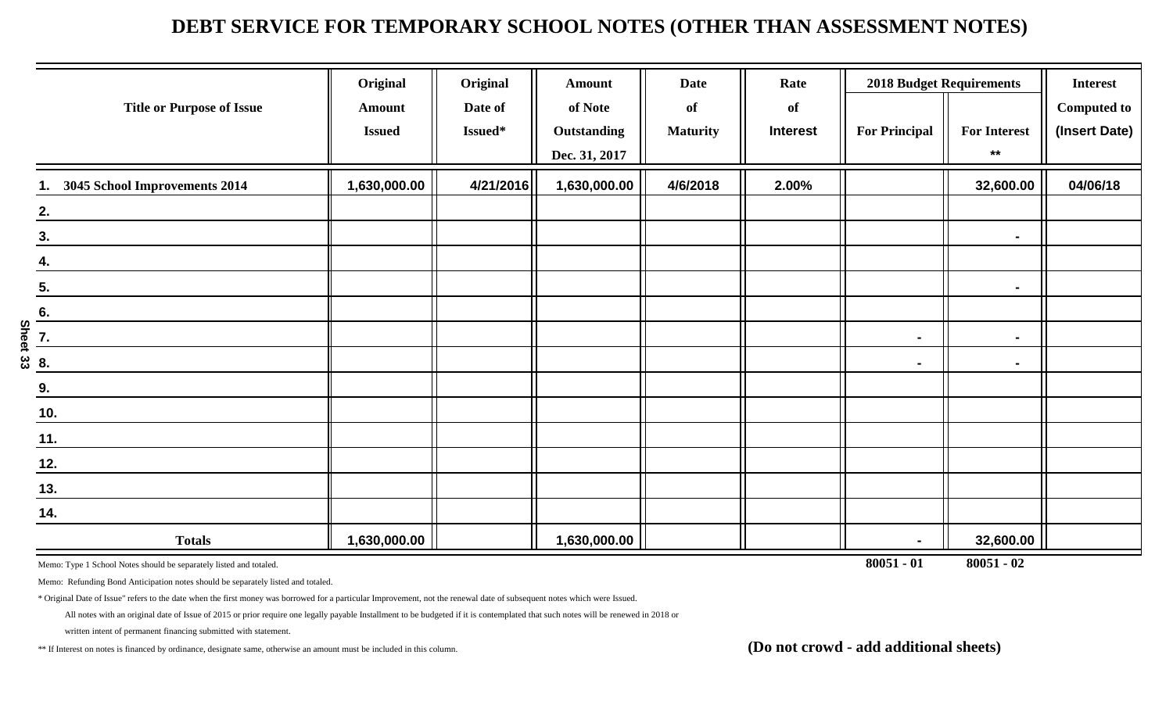### **DEBT SERVICE FOR TEMPORARY SCHOOL NOTES (OTHER THAN ASSESSMENT NOTES)**

| <b>Title or Purpose of Issue</b> | Original<br><b>Amount</b><br><b>Issued</b> | Original<br>Date of<br>Issued* | <b>Amount</b><br>of Note<br><b>Outstanding</b><br>Dec. 31, 2017 | <b>Date</b><br>of<br><b>Maturity</b> | Rate<br>of<br><b>Interest</b> | <b>2018 Budget Requirements</b><br><b>For Principal</b> | <b>For Interest</b><br>$***$ | <b>Interest</b><br><b>Computed to</b><br>(Insert Date) |
|----------------------------------|--------------------------------------------|--------------------------------|-----------------------------------------------------------------|--------------------------------------|-------------------------------|---------------------------------------------------------|------------------------------|--------------------------------------------------------|
| 3045 School Improvements 2014    | 1,630,000.00                               | 4/21/2016                      | 1,630,000.00                                                    | 4/6/2018                             | 2.00%                         |                                                         | 32,600.00                    | 04/06/18                                               |
| 2.                               |                                            |                                |                                                                 |                                      |                               |                                                         |                              |                                                        |
| 3.                               |                                            |                                |                                                                 |                                      |                               |                                                         | $\blacksquare$               |                                                        |
| 4.                               |                                            |                                |                                                                 |                                      |                               |                                                         |                              |                                                        |
| 5.                               |                                            |                                |                                                                 |                                      |                               |                                                         | $\blacksquare$               |                                                        |
| 6.                               |                                            |                                |                                                                 |                                      |                               |                                                         |                              |                                                        |
| <b>Sheet</b><br>7.               |                                            |                                |                                                                 |                                      |                               | $\blacksquare$                                          | $\blacksquare$               |                                                        |
| ပ္ပ<br>8.                        |                                            |                                |                                                                 |                                      |                               | ۰                                                       | $\blacksquare$               |                                                        |
| 9.                               |                                            |                                |                                                                 |                                      |                               |                                                         |                              |                                                        |
| 10.                              |                                            |                                |                                                                 |                                      |                               |                                                         |                              |                                                        |
| 11.                              |                                            |                                |                                                                 |                                      |                               |                                                         |                              |                                                        |
| 12.                              |                                            |                                |                                                                 |                                      |                               |                                                         |                              |                                                        |
| 13.                              |                                            |                                |                                                                 |                                      |                               |                                                         |                              |                                                        |
| 14.                              |                                            |                                |                                                                 |                                      |                               |                                                         |                              |                                                        |
| <b>Totals</b>                    | 1,630,000.00                               |                                | 1,630,000.00                                                    |                                      |                               |                                                         | 32,600.00                    |                                                        |

Memo: Type 1 School Notes should be separately listed and totaled. **80051 - 01 80051 - 02**

Memo: Refunding Bond Anticipation notes should be separately listed and totaled.

\* Original Date of Issue" refers to the date when the first money was borrowed for a particular Improvement, not the renewal date of subsequent notes which were Issued.

All notes with an original date of Issue of 2015 or prior require one legally payable Installment to be budgeted if it is contemplated that such notes will be renewed in 2018 or

written intent of permanent financing submitted with statement.

\*\* If Interest on notes is financed by ordinance, designate same, otherwise an amount must be included in this column. **(Do not crowd - add additional sheets)**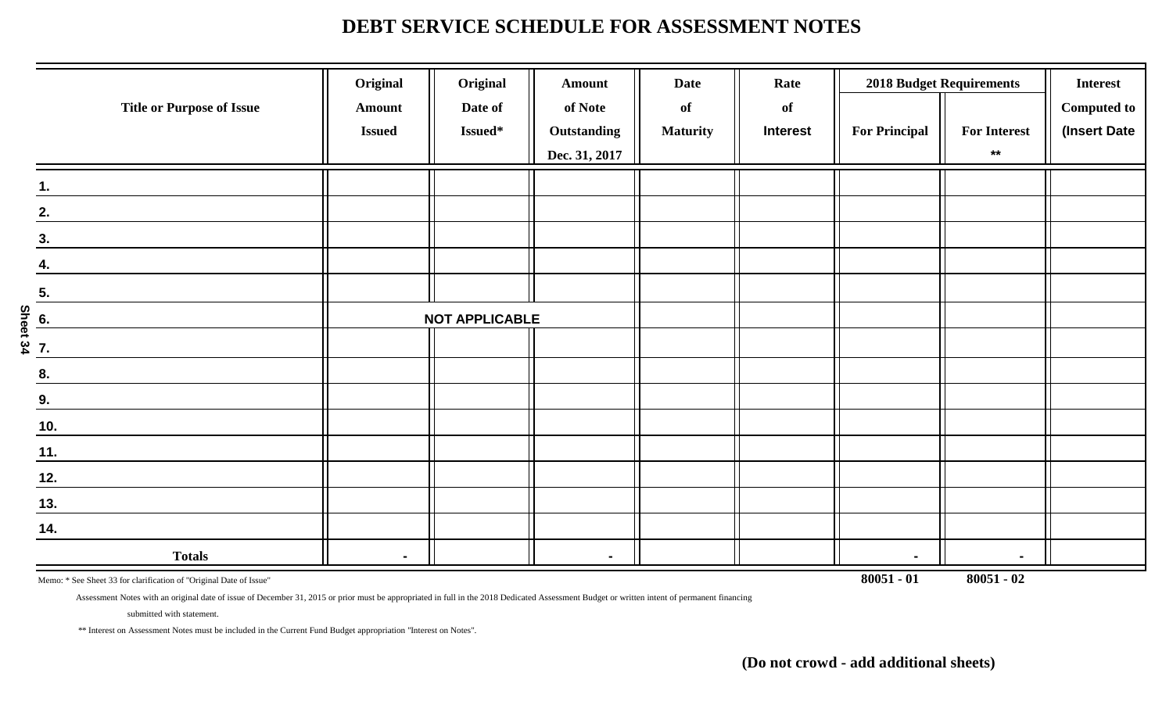### **DEBT SERVICE SCHEDULE FOR ASSESSMENT NOTES**

|                                  | Original      | Original              | <b>Amount</b>      | <b>Date</b>     | Rate            |                      | <b>2018 Budget Requirements</b> | <b>Interest</b>    |
|----------------------------------|---------------|-----------------------|--------------------|-----------------|-----------------|----------------------|---------------------------------|--------------------|
| <b>Title or Purpose of Issue</b> | <b>Amount</b> | Date of               | of Note            | of              | of              |                      |                                 | <b>Computed to</b> |
|                                  | <b>Issued</b> | Issued*               | <b>Outstanding</b> | <b>Maturity</b> | <b>Interest</b> | <b>For Principal</b> | <b>For Interest</b>             | (Insert Date       |
|                                  |               |                       | Dec. 31, 2017      |                 |                 |                      | $***$                           |                    |
| 1.                               |               |                       |                    |                 |                 |                      |                                 |                    |
| 2.                               |               |                       |                    |                 |                 |                      |                                 |                    |
| 3.                               |               |                       |                    |                 |                 |                      |                                 |                    |
| 4.                               |               |                       |                    |                 |                 |                      |                                 |                    |
| 5.                               |               |                       |                    |                 |                 |                      |                                 |                    |
|                                  |               | <b>NOT APPLICABLE</b> |                    |                 |                 |                      |                                 |                    |
| Sheet 34<br>Sheet 34             |               |                       |                    |                 |                 |                      |                                 |                    |
| 8.                               |               |                       |                    |                 |                 |                      |                                 |                    |
| 9.                               |               |                       |                    |                 |                 |                      |                                 |                    |
| $\underline{10}$ .               |               |                       |                    |                 |                 |                      |                                 |                    |
| 11.                              |               |                       |                    |                 |                 |                      |                                 |                    |
| 12.                              |               |                       |                    |                 |                 |                      |                                 |                    |
| 13.                              |               |                       |                    |                 |                 |                      |                                 |                    |
| 14.                              |               |                       |                    |                 |                 |                      |                                 |                    |
| <b>Totals</b>                    |               |                       | $\blacksquare$     |                 |                 | $\blacksquare$       | $\blacksquare$                  |                    |

Memo: \* See Sheet 33 for clarification of "Original Date of Issue" **80051 - 02** 

Assessment Notes with an original date of issue of December 31, 2015 or prior must be appropriated in full in the 2018 Dedicated Assessment Budget or written intent of permanent financing

submitted with statement.

\*\* Interest on Assessment Notes must be included in the Current Fund Budget appropriation "Interest on Notes".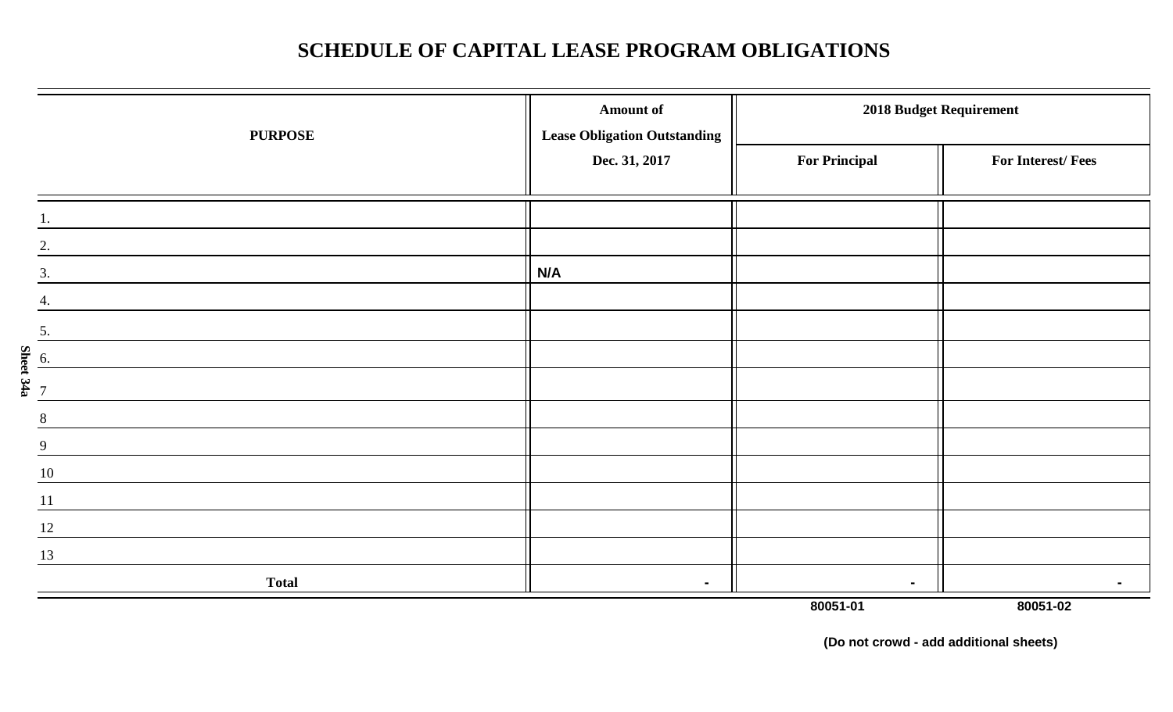## **SCHEDULE OF CAPITAL LEASE PROGRAM OBLIGATIONS**

| <b>PURPOSE</b>              | <b>Amount of</b><br><b>Lease Obligation Outstanding</b> |                      | 2018 Budget Requirement |
|-----------------------------|---------------------------------------------------------|----------------------|-------------------------|
|                             | Dec. 31, 2017                                           | <b>For Principal</b> | For Interest/Fees       |
|                             |                                                         |                      |                         |
| 2.                          |                                                         |                      |                         |
| 3.                          | N/A                                                     |                      |                         |
|                             |                                                         |                      |                         |
| 5.                          |                                                         |                      |                         |
| 6.                          |                                                         |                      |                         |
| Sheet 34a<br>$\overline{7}$ |                                                         |                      |                         |
| 8                           |                                                         |                      |                         |
| 9                           |                                                         |                      |                         |
| 10                          |                                                         |                      |                         |
| 11                          |                                                         |                      |                         |
| 12                          |                                                         |                      |                         |
| 13                          |                                                         |                      |                         |
| <b>Total</b>                | $\blacksquare$                                          | $\blacksquare$       |                         |
|                             |                                                         | 80051-01             | 80051-02                |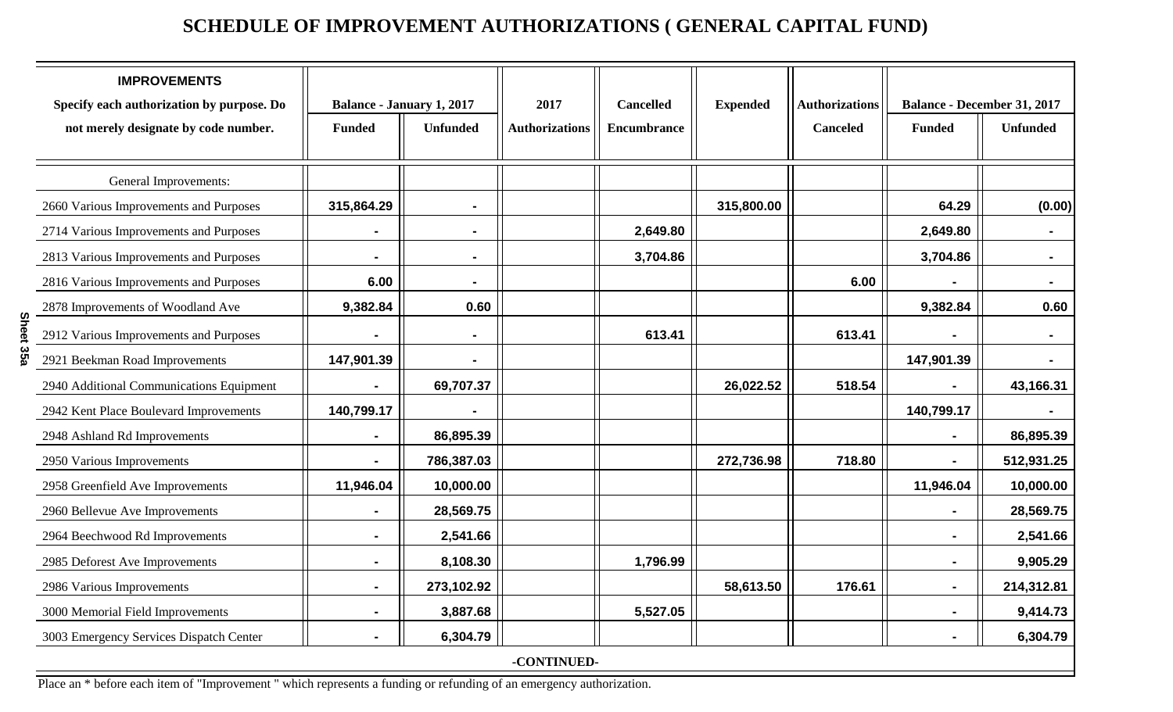## **SCHEDULE OF IMPROVEMENT AUTHORIZATIONS ( GENERAL CAPITAL FUND)**

| <b>IMPROVEMENTS</b><br>Specify each authorization by purpose. Do | <b>Balance - January 1, 2017</b> |                 | 2017                  | <b>Cancelled</b>   | <b>Expended</b> | <b>Authorizations</b> |                | <b>Balance - December 31, 2017</b> |
|------------------------------------------------------------------|----------------------------------|-----------------|-----------------------|--------------------|-----------------|-----------------------|----------------|------------------------------------|
| not merely designate by code number.                             | <b>Funded</b>                    | <b>Unfunded</b> | <b>Authorizations</b> | <b>Encumbrance</b> |                 | <b>Canceled</b>       | <b>Funded</b>  | <b>Unfunded</b>                    |
| General Improvements:                                            |                                  |                 |                       |                    |                 |                       |                |                                    |
| 2660 Various Improvements and Purposes                           | 315,864.29                       |                 |                       |                    | 315,800.00      |                       | 64.29          | (0.00)                             |
| 2714 Various Improvements and Purposes                           |                                  |                 |                       | 2,649.80           |                 |                       | 2,649.80       |                                    |
| 2813 Various Improvements and Purposes                           | $\blacksquare$                   | $\blacksquare$  |                       | 3,704.86           |                 |                       | 3,704.86       |                                    |
| 2816 Various Improvements and Purposes                           | 6.00                             | $\blacksquare$  |                       |                    |                 | 6.00                  |                | $\blacksquare$                     |
| 2878 Improvements of Woodland Ave                                | 9,382.84                         | 0.60            |                       |                    |                 |                       | 9,382.84       | 0.60                               |
| 2912 Various Improvements and Purposes                           |                                  |                 |                       | 613.41             |                 | 613.41                |                |                                    |
| 2921 Beekman Road Improvements                                   | 147,901.39                       |                 |                       |                    |                 |                       | 147,901.39     |                                    |
| 2940 Additional Communications Equipment                         |                                  | 69,707.37       |                       |                    | 26,022.52       | 518.54                |                | 43,166.31                          |
| 2942 Kent Place Boulevard Improvements                           | 140,799.17                       |                 |                       |                    |                 |                       | 140,799.17     |                                    |
| 2948 Ashland Rd Improvements                                     | $\blacksquare$                   | 86,895.39       |                       |                    |                 |                       | $\blacksquare$ | 86,895.39                          |
| 2950 Various Improvements                                        |                                  | 786,387.03      |                       |                    | 272,736.98      | 718.80                | $\blacksquare$ | 512,931.25                         |
| 2958 Greenfield Ave Improvements                                 | 11,946.04                        | 10,000.00       |                       |                    |                 |                       | 11,946.04      | 10,000.00                          |
| 2960 Bellevue Ave Improvements                                   |                                  | 28,569.75       |                       |                    |                 |                       |                | 28,569.75                          |
| 2964 Beechwood Rd Improvements                                   | $\blacksquare$                   | 2,541.66        |                       |                    |                 |                       | $\blacksquare$ | 2,541.66                           |
| 2985 Deforest Ave Improvements                                   | $\blacksquare$                   | 8,108.30        |                       | 1,796.99           |                 |                       | $\blacksquare$ | 9,905.29                           |
| 2986 Various Improvements                                        | -                                | 273,102.92      |                       |                    | 58,613.50       | 176.61                | $\blacksquare$ | 214,312.81                         |
| 3000 Memorial Field Improvements                                 | Ξ.                               | 3,887.68        |                       | 5,527.05           |                 |                       | $\blacksquare$ | 9,414.73                           |
| 3003 Emergency Services Dispatch Center                          | -                                | 6,304.79        |                       |                    |                 |                       | $\blacksquare$ | 6,304.79                           |
|                                                                  |                                  |                 | -CONTINUED-           |                    |                 |                       |                |                                    |

Place an \* before each item of "Improvement " which represents a funding or refunding of an emergency authorization.

**Sheet 35a**

Sheet 35a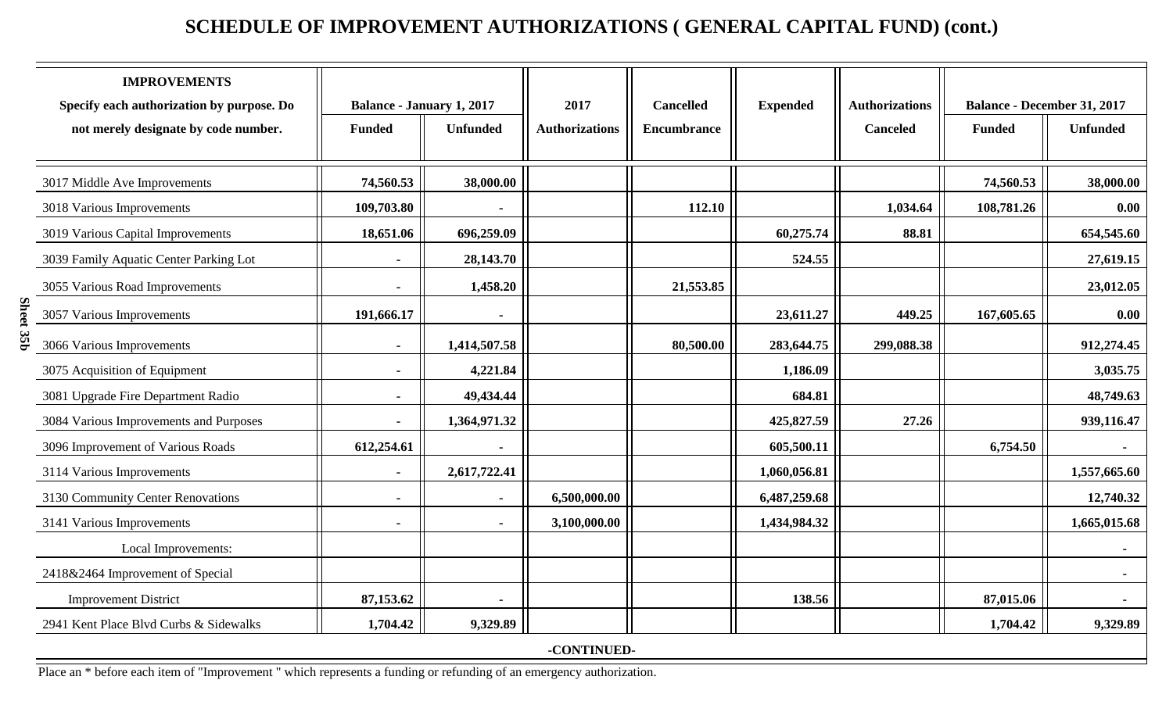## **SCHEDULE OF IMPROVEMENT AUTHORIZATIONS ( GENERAL CAPITAL FUND) (cont.)**

| <b>IMPROVEMENTS</b><br>Specify each authorization by purpose. Do<br>not merely designate by code number. | <b>Balance - January 1, 2017</b><br><b>Funded</b> | <b>Unfunded</b> | 2017<br><b>Authorizations</b> | <b>Cancelled</b><br>Encumbrance | <b>Expended</b> | <b>Authorizations</b><br><b>Canceled</b> | <b>Balance - December 31, 2017</b><br><b>Funded</b> | <b>Unfunded</b> |
|----------------------------------------------------------------------------------------------------------|---------------------------------------------------|-----------------|-------------------------------|---------------------------------|-----------------|------------------------------------------|-----------------------------------------------------|-----------------|
|                                                                                                          |                                                   |                 |                               |                                 |                 |                                          |                                                     |                 |
| 3017 Middle Ave Improvements                                                                             | 74,560.53                                         | 38,000.00       |                               |                                 |                 |                                          | 74,560.53                                           | 38,000.00       |
| 3018 Various Improvements                                                                                | 109,703.80                                        |                 |                               | 112.10                          |                 | 1,034.64                                 | 108,781.26                                          | 0.00            |
| 3019 Various Capital Improvements                                                                        | 18,651.06                                         | 696,259.09      |                               |                                 | 60,275.74       | 88.81                                    |                                                     | 654,545.60      |
| 3039 Family Aquatic Center Parking Lot                                                                   |                                                   | 28,143.70       |                               |                                 | 524.55          |                                          |                                                     | 27,619.15       |
| 3055 Various Road Improvements                                                                           | $\sim$                                            | 1,458.20        |                               | 21,553.85                       |                 |                                          |                                                     | 23,012.05       |
| 3057 Various Improvements                                                                                | 191,666.17                                        | $\blacksquare$  |                               |                                 | 23,611.27       | 449.25                                   | 167,605.65                                          | 0.00            |
| 3066 Various Improvements                                                                                | $\sim$                                            | 1,414,507.58    |                               | 80,500.00                       | 283,644.75      | 299,088.38                               |                                                     | 912,274.45      |
| 3075 Acquisition of Equipment                                                                            | $\sim$                                            | 4,221.84        |                               |                                 | 1,186.09        |                                          |                                                     | 3,035.75        |
| 3081 Upgrade Fire Department Radio                                                                       |                                                   | 49,434.44       |                               |                                 | 684.81          |                                          |                                                     | 48,749.63       |
| 3084 Various Improvements and Purposes                                                                   | $\blacksquare$                                    | 1,364,971.32    |                               |                                 | 425,827.59      | 27.26                                    |                                                     | 939,116.47      |
| 3096 Improvement of Various Roads                                                                        | 612,254.61                                        | $\blacksquare$  |                               |                                 | 605,500.11      |                                          | 6,754.50                                            | $\blacksquare$  |
| 3114 Various Improvements                                                                                | $\sim$                                            | 2,617,722.41    |                               |                                 | 1,060,056.81    |                                          |                                                     | 1,557,665.60    |
| 3130 Community Center Renovations                                                                        | $\blacksquare$                                    |                 | 6,500,000.00                  |                                 | 6,487,259.68    |                                          |                                                     | 12,740.32       |
| 3141 Various Improvements                                                                                | $\sim$                                            | $\blacksquare$  | 3,100,000.00                  |                                 | 1,434,984.32    |                                          |                                                     | 1,665,015.68    |
| Local Improvements:                                                                                      |                                                   |                 |                               |                                 |                 |                                          |                                                     |                 |
| 2418&2464 Improvement of Special                                                                         |                                                   |                 |                               |                                 |                 |                                          |                                                     |                 |
| <b>Improvement District</b>                                                                              | 87,153.62                                         | $\blacksquare$  |                               |                                 | 138.56          |                                          | 87,015.06                                           | $\sim$          |
| 2941 Kent Place Blvd Curbs & Sidewalks                                                                   | 1,704.42                                          | 9,329.89        |                               |                                 |                 |                                          | 1,704.42                                            | 9,329.89        |
|                                                                                                          |                                                   |                 | -CONTINUED-                   |                                 |                 |                                          |                                                     |                 |

Place an \* before each item of "Improvement " which represents a funding or refunding of an emergency authorization.

**Sheet 35b**

Sheet 35b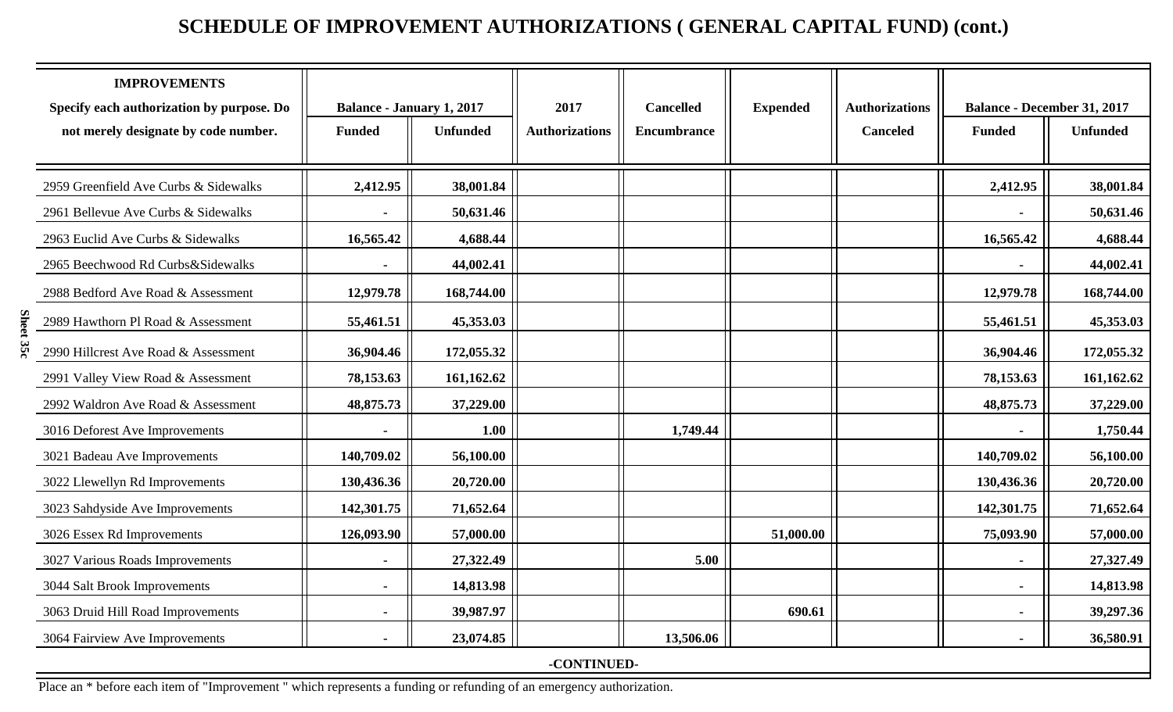## **SCHEDULE OF IMPROVEMENT AUTHORIZATIONS ( GENERAL CAPITAL FUND) (cont.)**

| <b>IMPROVEMENTS</b>                       |                                  |                 |                       |                  |                 |                       |                                    |                 |
|-------------------------------------------|----------------------------------|-----------------|-----------------------|------------------|-----------------|-----------------------|------------------------------------|-----------------|
| Specify each authorization by purpose. Do | <b>Balance - January 1, 2017</b> |                 | 2017                  | <b>Cancelled</b> | <b>Expended</b> | <b>Authorizations</b> | <b>Balance - December 31, 2017</b> |                 |
| not merely designate by code number.      | <b>Funded</b>                    | <b>Unfunded</b> | <b>Authorizations</b> | Encumbrance      |                 | <b>Canceled</b>       | <b>Funded</b>                      | <b>Unfunded</b> |
|                                           |                                  |                 |                       |                  |                 |                       |                                    |                 |
| 2959 Greenfield Ave Curbs & Sidewalks     | 2,412.95                         | 38,001.84       |                       |                  |                 |                       | 2,412.95                           | 38,001.84       |
| 2961 Bellevue Ave Curbs & Sidewalks       |                                  | 50,631.46       |                       |                  |                 |                       |                                    | 50,631.46       |
| 2963 Euclid Ave Curbs & Sidewalks         | 16,565.42                        | 4,688.44        |                       |                  |                 |                       | 16,565.42                          | 4,688.44        |
| 2965 Beechwood Rd Curbs&Sidewalks         |                                  | 44,002.41       |                       |                  |                 |                       |                                    | 44,002.41       |
| 2988 Bedford Ave Road & Assessment        | 12,979.78                        | 168,744.00      |                       |                  |                 |                       | 12,979.78                          | 168,744.00      |
| 2989 Hawthorn Pl Road & Assessment        | 55,461.51                        | 45,353.03       |                       |                  |                 |                       | 55,461.51                          | 45,353.03       |
| 2990 Hillcrest Ave Road & Assessment      | 36,904.46                        | 172,055.32      |                       |                  |                 |                       | 36,904.46                          | 172,055.32      |
| 2991 Valley View Road & Assessment        | 78,153.63                        | 161,162.62      |                       |                  |                 |                       | 78,153.63                          | 161,162.62      |
| 2992 Waldron Ave Road & Assessment        | 48,875.73                        | 37,229.00       |                       |                  |                 |                       | 48,875.73                          | 37,229.00       |
| 3016 Deforest Ave Improvements            |                                  | 1.00            |                       | 1,749.44         |                 |                       |                                    | 1,750.44        |
| 3021 Badeau Ave Improvements              | 140,709.02                       | 56,100.00       |                       |                  |                 |                       | 140,709.02                         | 56,100.00       |
| 3022 Llewellyn Rd Improvements            | 130,436.36                       | 20,720.00       |                       |                  |                 |                       | 130,436.36                         | 20,720.00       |
| 3023 Sahdyside Ave Improvements           | 142,301.75                       | 71,652.64       |                       |                  |                 |                       | 142,301.75                         | 71,652.64       |
| 3026 Essex Rd Improvements                | 126,093.90                       | 57,000.00       |                       |                  | 51,000.00       |                       | 75,093.90                          | 57,000.00       |
| 3027 Various Roads Improvements           |                                  | 27,322.49       |                       | 5.00             |                 |                       |                                    | 27,327.49       |
| 3044 Salt Brook Improvements              | $\blacksquare$                   | 14,813.98       |                       |                  |                 |                       | $\blacksquare$                     | 14,813.98       |
| 3063 Druid Hill Road Improvements         |                                  | 39,987.97       |                       |                  | 690.61          |                       | $\sim$                             | 39,297.36       |
| 3064 Fairview Ave Improvements            |                                  | 23,074.85       |                       | 13,506.06        |                 |                       |                                    | 36,580.91       |
|                                           |                                  |                 | -CONTINUED-           |                  |                 |                       |                                    |                 |

Place an \* before each item of "Improvement " which represents a funding or refunding of an emergency authorization.

**Sheet 35c**

Sheet 35c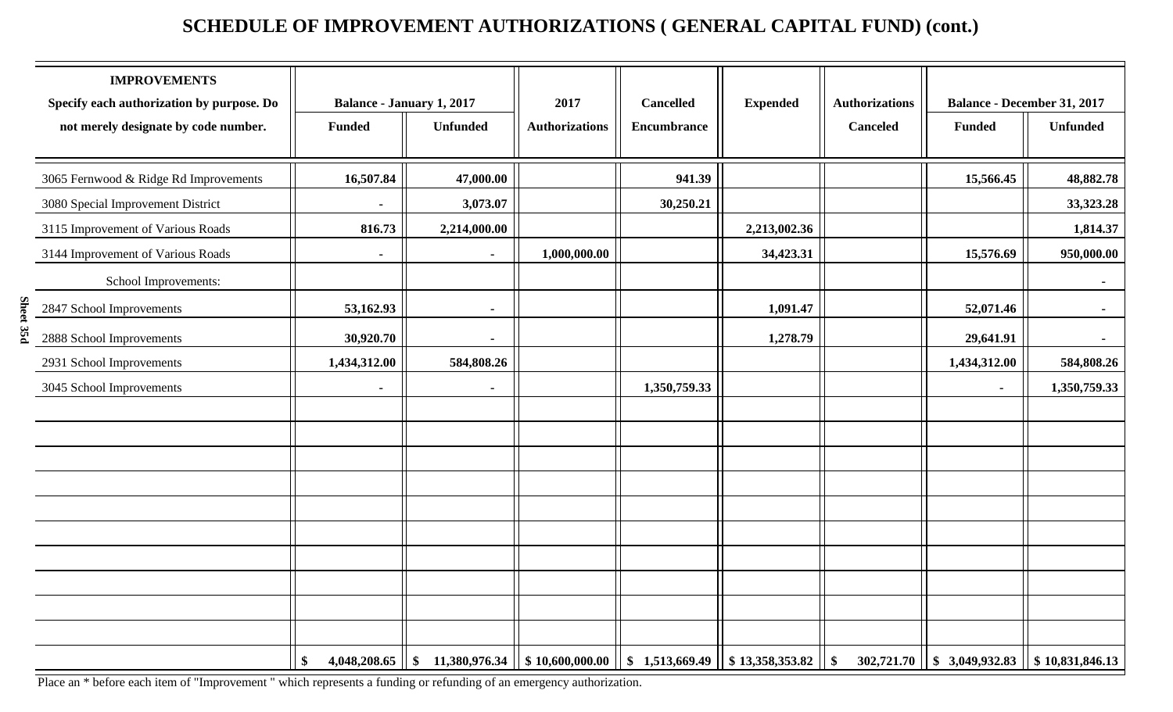## **SCHEDULE OF IMPROVEMENT AUTHORIZATIONS ( GENERAL CAPITAL FUND) (cont.)**

| <b>IMPROVEMENTS</b><br>Specify each authorization by purpose. Do | <b>Balance - January 1, 2017</b> |                                                                                                     | 2017                  | <b>Cancelled</b>   | <b>Expended</b> | <b>Authorizations</b> |                                                   | <b>Balance - December 31, 2017</b> |
|------------------------------------------------------------------|----------------------------------|-----------------------------------------------------------------------------------------------------|-----------------------|--------------------|-----------------|-----------------------|---------------------------------------------------|------------------------------------|
| not merely designate by code number.                             | <b>Funded</b>                    | <b>Unfunded</b>                                                                                     | <b>Authorizations</b> | <b>Encumbrance</b> |                 | <b>Canceled</b>       | <b>Funded</b>                                     | <b>Unfunded</b>                    |
| 3065 Fernwood & Ridge Rd Improvements                            | 16,507.84                        | 47,000.00                                                                                           |                       | 941.39             |                 |                       | 15,566.45                                         | 48,882.78                          |
| 3080 Special Improvement District                                |                                  | 3,073.07                                                                                            |                       | 30,250.21          |                 |                       |                                                   | 33, 323. 28                        |
| 3115 Improvement of Various Roads                                | 816.73                           | 2,214,000.00                                                                                        |                       |                    | 2,213,002.36    |                       |                                                   | 1,814.37                           |
| 3144 Improvement of Various Roads                                | $\blacksquare$                   | $\sim$                                                                                              | 1,000,000.00          |                    | 34,423.31       |                       | 15,576.69                                         | 950,000.00                         |
| School Improvements:                                             |                                  |                                                                                                     |                       |                    |                 |                       |                                                   | $\sim$                             |
| 2847 School Improvements                                         | 53,162.93                        | $\blacksquare$                                                                                      |                       |                    | 1,091.47        |                       | 52,071.46                                         | $\sim$                             |
| 2888 School Improvements                                         | 30,920.70                        | $\blacksquare$                                                                                      |                       |                    | 1,278.79        |                       | 29,641.91                                         | $\sim$                             |
| 2931 School Improvements                                         | 1,434,312.00                     | 584,808.26                                                                                          |                       |                    |                 |                       | 1,434,312.00                                      | 584,808.26                         |
| 3045 School Improvements                                         |                                  |                                                                                                     |                       | 1,350,759.33       |                 |                       | $\blacksquare$                                    | 1,350,759.33                       |
|                                                                  |                                  |                                                                                                     |                       |                    |                 |                       |                                                   |                                    |
|                                                                  |                                  |                                                                                                     |                       |                    |                 |                       |                                                   |                                    |
|                                                                  |                                  |                                                                                                     |                       |                    |                 |                       |                                                   |                                    |
|                                                                  |                                  |                                                                                                     |                       |                    |                 |                       |                                                   |                                    |
|                                                                  |                                  |                                                                                                     |                       |                    |                 |                       |                                                   |                                    |
|                                                                  |                                  |                                                                                                     |                       |                    |                 |                       |                                                   |                                    |
|                                                                  |                                  |                                                                                                     |                       |                    |                 |                       |                                                   |                                    |
|                                                                  |                                  |                                                                                                     |                       |                    |                 |                       |                                                   |                                    |
|                                                                  |                                  |                                                                                                     |                       |                    |                 |                       |                                                   |                                    |
|                                                                  |                                  |                                                                                                     |                       |                    |                 |                       |                                                   |                                    |
|                                                                  | $\mathbf{\$}$                    | $4,048,208.65$    \$ 11,380,976.34    \$ 10,600,000.00    \$ 1,513,669.49    \$ 13,358,353.82    \$ |                       |                    |                 |                       | $302,721.70$   \$ 3,049,932.83   \$ 10,831,846.13 |                                    |

Place an \* before each item of "Improvement " which represents a funding or refunding of an emergency authorization.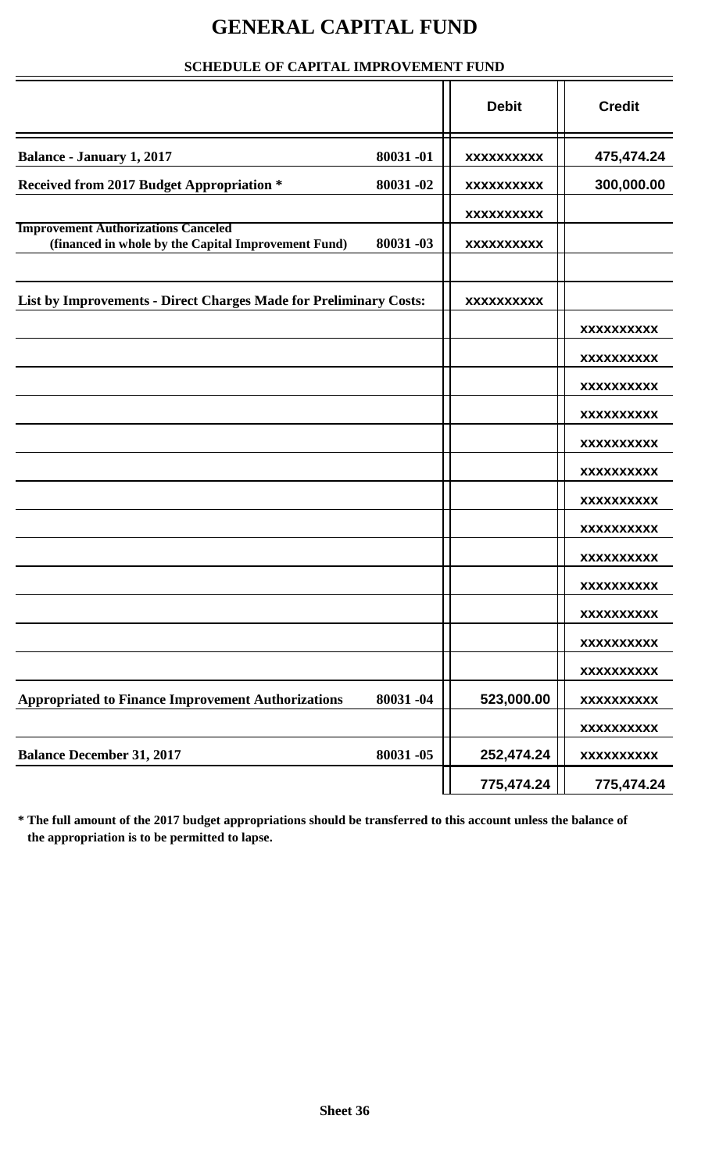## **GENERAL CAPITAL FUND**

#### **SCHEDULE OF CAPITAL IMPROVEMENT FUND**

|                                                                                                   |          | <b>Debit</b> | <b>Credit</b>     |
|---------------------------------------------------------------------------------------------------|----------|--------------|-------------------|
| <b>Balance - January 1, 2017</b>                                                                  | 80031-01 | XXXXXXXXXX   | 475,474.24        |
| Received from 2017 Budget Appropriation *                                                         | 80031-02 | XXXXXXXXXX   | 300,000.00        |
|                                                                                                   |          | XXXXXXXXXX   |                   |
| <b>Improvement Authorizations Canceled</b><br>(financed in whole by the Capital Improvement Fund) | 80031-03 | XXXXXXXXXX   |                   |
|                                                                                                   |          |              |                   |
| List by Improvements - Direct Charges Made for Preliminary Costs:                                 |          | XXXXXXXXXX   |                   |
|                                                                                                   |          |              | <b>XXXXXXXXXX</b> |
|                                                                                                   |          |              | <b>XXXXXXXXXX</b> |
|                                                                                                   |          |              | <b>XXXXXXXXXX</b> |
|                                                                                                   |          |              | XXXXXXXXXX        |
|                                                                                                   |          |              | XXXXXXXXXX        |
|                                                                                                   |          |              | XXXXXXXXXX        |
|                                                                                                   |          |              | XXXXXXXXXX        |
|                                                                                                   |          |              | <b>XXXXXXXXXX</b> |
|                                                                                                   |          |              | XXXXXXXXXX        |
|                                                                                                   |          |              | <b>XXXXXXXXXX</b> |
|                                                                                                   |          |              | <b>XXXXXXXXXX</b> |
|                                                                                                   |          |              | <b>XXXXXXXXXX</b> |
|                                                                                                   |          |              | <b>XXXXXXXXXX</b> |
| <b>Appropriated to Finance Improvement Authorizations</b>                                         | 80031-04 | 523,000.00   | <b>XXXXXXXXXX</b> |
|                                                                                                   |          |              | <b>XXXXXXXXXX</b> |
| <b>Balance December 31, 2017</b>                                                                  | 80031-05 | 252,474.24   | <b>XXXXXXXXXX</b> |
|                                                                                                   |          | 775,474.24   | 775,474.24        |

**\* The full amount of the 2017 budget appropriations should be transferred to this account unless the balance of the appropriation is to be permitted to lapse.**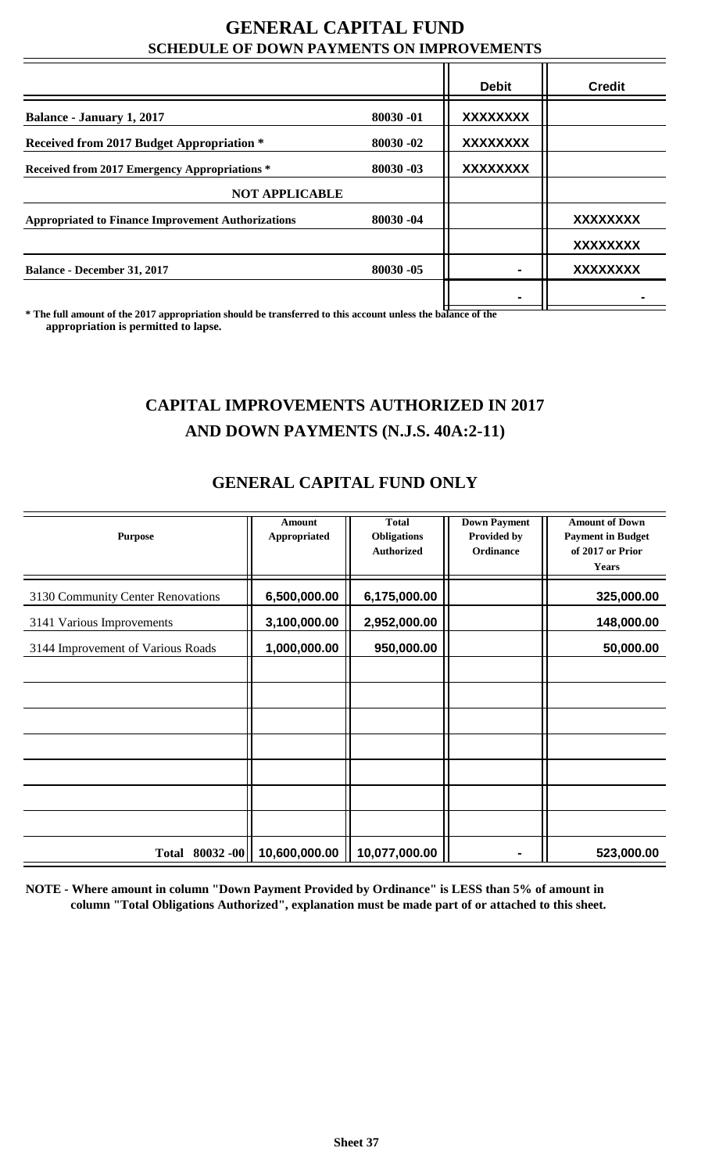#### **GENERAL CAPITAL FUND SCHEDULE OF DOWN PAYMENTS ON IMPROVEMENTS**

|                                                           |            | <b>Debit</b>    | <b>Credit</b>   |
|-----------------------------------------------------------|------------|-----------------|-----------------|
| <b>Balance - January 1, 2017</b>                          | 80030-01   | <b>XXXXXXXX</b> |                 |
| Received from 2017 Budget Appropriation *                 | 80030-02   | <b>XXXXXXXX</b> |                 |
| Received from 2017 Emergency Appropriations *             | 80030-03   | <b>XXXXXXXX</b> |                 |
| <b>NOT APPLICABLE</b>                                     |            |                 |                 |
| <b>Appropriated to Finance Improvement Authorizations</b> | 80030-04   |                 | <b>XXXXXXXX</b> |
|                                                           |            |                 | <b>XXXXXXXX</b> |
| <b>Balance - December 31, 2017</b>                        | 80030 - 05 |                 | <b>XXXXXXXX</b> |
|                                                           |            |                 |                 |

**\* The full amount of the 2017 appropriation should be transferred to this account unless the balance of the appropriation is permitted to lapse.**

## **CAPITAL IMPROVEMENTS AUTHORIZED IN 2017 AND DOWN PAYMENTS (N.J.S. 40A:2-11)**

### **GENERAL CAPITAL FUND ONLY**

|                                   | <b>Amount</b> | <b>Total</b>       | <b>Down Payment</b> | <b>Amount of Down</b>    |
|-----------------------------------|---------------|--------------------|---------------------|--------------------------|
| <b>Purpose</b>                    | Appropriated  | <b>Obligations</b> | Provided by         | <b>Payment in Budget</b> |
|                                   |               | <b>Authorized</b>  | <b>Ordinance</b>    | of 2017 or Prior         |
|                                   |               |                    |                     | <b>Years</b>             |
| 3130 Community Center Renovations | 6,500,000.00  | 6,175,000.00       |                     | 325,000.00               |
| 3141 Various Improvements         | 3,100,000.00  | 2,952,000.00       |                     | 148,000.00               |
| 3144 Improvement of Various Roads | 1,000,000.00  | 950,000.00         |                     | 50,000.00                |
|                                   |               |                    |                     |                          |
|                                   |               |                    |                     |                          |
|                                   |               |                    |                     |                          |
|                                   |               |                    |                     |                          |
|                                   |               |                    |                     |                          |
|                                   |               |                    |                     |                          |
|                                   |               |                    |                     |                          |
| Total 80032-00                    | 10,600,000.00 | 10,077,000.00      |                     | 523,000.00               |

**NOTE - Where amount in column "Down Payment Provided by Ordinance" is LESS than 5% of amount in column "Total Obligations Authorized", explanation must be made part of or attached to this sheet.**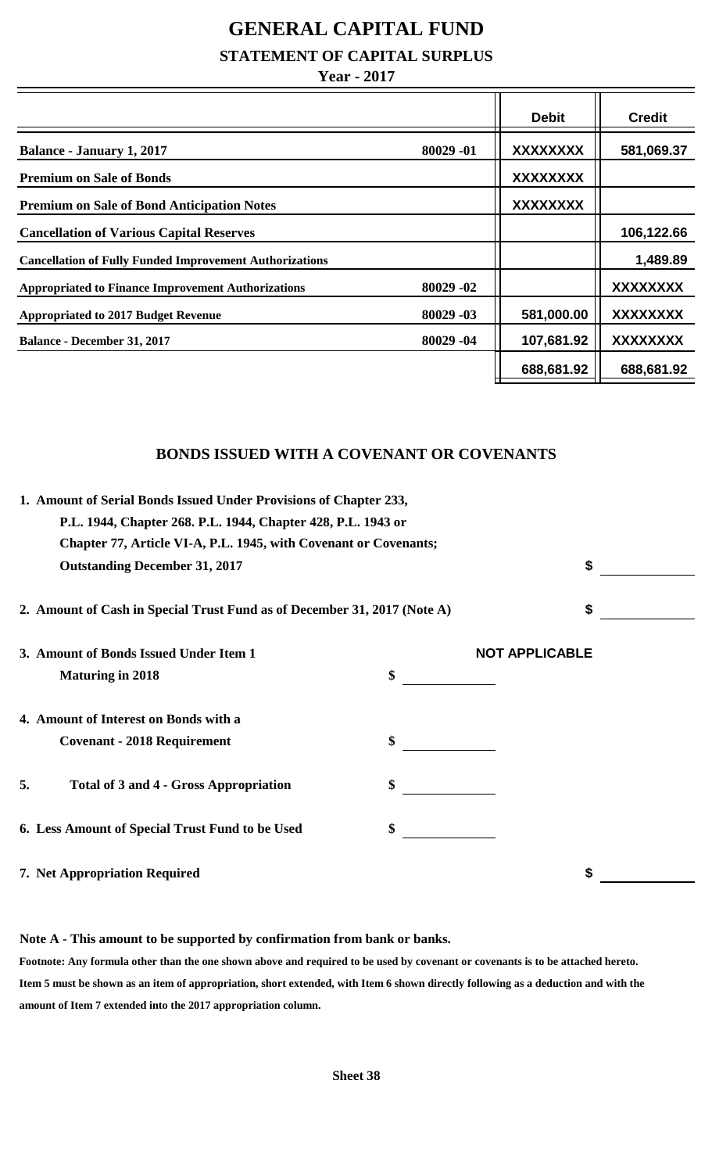# **GENERAL CAPITAL FUND**

**STATEMENT OF CAPITAL SURPLUS**

#### **Year - 2017**

|                                                                       | <b>Debit</b>    | <b>Credit</b>   |
|-----------------------------------------------------------------------|-----------------|-----------------|
| 80029-01<br><b>Balance - January 1, 2017</b>                          | <b>XXXXXXXX</b> | 581,069.37      |
| <b>Premium on Sale of Bonds</b>                                       | <b>XXXXXXXX</b> |                 |
| <b>Premium on Sale of Bond Anticipation Notes</b>                     | <b>XXXXXXXX</b> |                 |
| <b>Cancellation of Various Capital Reserves</b>                       |                 | 106,122.66      |
| <b>Cancellation of Fully Funded Improvement Authorizations</b>        |                 | 1,489.89        |
| 80029-02<br><b>Appropriated to Finance Improvement Authorizations</b> |                 | XXXXXXXX        |
| 80029 -03<br><b>Appropriated to 2017 Budget Revenue</b>               | 581,000.00      | XXXXXXXX        |
| 80029 -04<br><b>Balance - December 31, 2017</b>                       | 107,681.92      | <b>XXXXXXXX</b> |
|                                                                       | 688,681.92      | 688,681.92      |

#### **BONDS ISSUED WITH A COVENANT OR COVENANTS**

|    | 1. Amount of Serial Bonds Issued Under Provisions of Chapter 233,<br>P.L. 1944, Chapter 268. P.L. 1944, Chapter 428, P.L. 1943 or |                       |  |
|----|-----------------------------------------------------------------------------------------------------------------------------------|-----------------------|--|
|    | Chapter 77, Article VI-A, P.L. 1945, with Covenant or Covenants;                                                                  |                       |  |
|    | <b>Outstanding December 31, 2017</b>                                                                                              | \$                    |  |
|    | 2. Amount of Cash in Special Trust Fund as of December 31, 2017 (Note A)                                                          | \$                    |  |
|    | 3. Amount of Bonds Issued Under Item 1                                                                                            | <b>NOT APPLICABLE</b> |  |
|    | <b>Maturing in 2018</b>                                                                                                           | \$                    |  |
|    | 4. Amount of Interest on Bonds with a                                                                                             |                       |  |
|    | <b>Covenant - 2018 Requirement</b>                                                                                                | \$                    |  |
| 5. | <b>Total of 3 and 4 - Gross Appropriation</b>                                                                                     |                       |  |
|    | 6. Less Amount of Special Trust Fund to be Used                                                                                   | \$                    |  |
|    | 7. Net Appropriation Required                                                                                                     | \$                    |  |

#### **Note A - This amount to be supported by confirmation from bank or banks.**

**Footnote: Any formula other than the one shown above and required to be used by covenant or covenants is to be attached hereto. Item 5 must be shown as an item of appropriation, short extended, with Item 6 shown directly following as a deduction and with the amount of Item 7 extended into the 2017 appropriation column.**